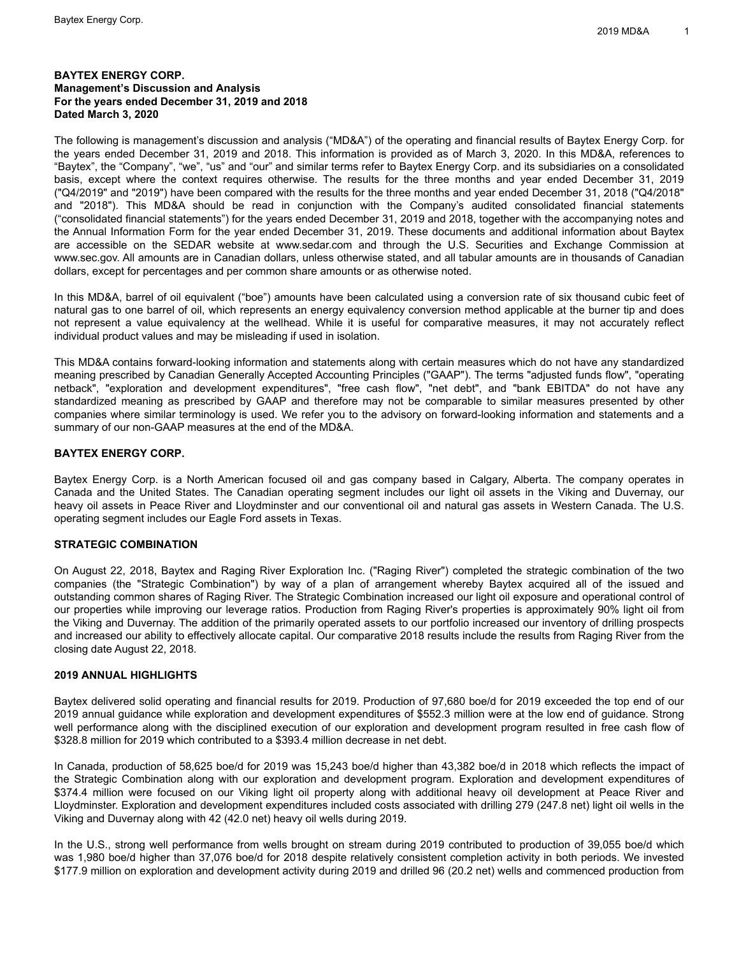## **BAYTEX ENERGY CORP. Management's Discussion and Analysis For the years ended December 31, 2019 and 2018 Dated March 3, 2020**

The following is management's discussion and analysis ("MD&A") of the operating and financial results of Baytex Energy Corp. for the years ended December 31, 2019 and 2018. This information is provided as of March 3, 2020. In this MD&A, references to "Baytex", the "Company", "we", "us" and "our" and similar terms refer to Baytex Energy Corp. and its subsidiaries on a consolidated basis, except where the context requires otherwise. The results for the three months and year ended December 31, 2019 ("Q4/2019" and "2019") have been compared with the results for the three months and year ended December 31, 2018 ("Q4/2018" and "2018"). This MD&A should be read in conjunction with the Company's audited consolidated financial statements ("consolidated financial statements") for the years ended December 31, 2019 and 2018, together with the accompanying notes and the Annual Information Form for the year ended December 31, 2019. These documents and additional information about Baytex are accessible on the SEDAR website at www.sedar.com and through the U.S. Securities and Exchange Commission at www.sec.gov. All amounts are in Canadian dollars, unless otherwise stated, and all tabular amounts are in thousands of Canadian dollars, except for percentages and per common share amounts or as otherwise noted.

In this MD&A, barrel of oil equivalent ("boe") amounts have been calculated using a conversion rate of six thousand cubic feet of natural gas to one barrel of oil, which represents an energy equivalency conversion method applicable at the burner tip and does not represent a value equivalency at the wellhead. While it is useful for comparative measures, it may not accurately reflect individual product values and may be misleading if used in isolation.

This MD&A contains forward-looking information and statements along with certain measures which do not have any standardized meaning prescribed by Canadian Generally Accepted Accounting Principles ("GAAP"). The terms "adjusted funds flow", "operating netback", "exploration and development expenditures", "free cash flow", "net debt", and "bank EBITDA" do not have any standardized meaning as prescribed by GAAP and therefore may not be comparable to similar measures presented by other companies where similar terminology is used. We refer you to the advisory on forward-looking information and statements and a summary of our non-GAAP measures at the end of the MD&A.

## **BAYTEX ENERGY CORP.**

Baytex Energy Corp. is a North American focused oil and gas company based in Calgary, Alberta. The company operates in Canada and the United States. The Canadian operating segment includes our light oil assets in the Viking and Duvernay, our heavy oil assets in Peace River and Lloydminster and our conventional oil and natural gas assets in Western Canada. The U.S. operating segment includes our Eagle Ford assets in Texas.

## **STRATEGIC COMBINATION**

On August 22, 2018, Baytex and Raging River Exploration Inc. ("Raging River") completed the strategic combination of the two companies (the "Strategic Combination") by way of a plan of arrangement whereby Baytex acquired all of the issued and outstanding common shares of Raging River. The Strategic Combination increased our light oil exposure and operational control of our properties while improving our leverage ratios. Production from Raging River's properties is approximately 90% light oil from the Viking and Duvernay. The addition of the primarily operated assets to our portfolio increased our inventory of drilling prospects and increased our ability to effectively allocate capital. Our comparative 2018 results include the results from Raging River from the closing date August 22, 2018.

## **2019 ANNUAL HIGHLIGHTS**

Baytex delivered solid operating and financial results for 2019. Production of 97,680 boe/d for 2019 exceeded the top end of our 2019 annual guidance while exploration and development expenditures of \$552.3 million were at the low end of guidance. Strong well performance along with the disciplined execution of our exploration and development program resulted in free cash flow of \$328.8 million for 2019 which contributed to a \$393.4 million decrease in net debt.

In Canada, production of 58,625 boe/d for 2019 was 15,243 boe/d higher than 43,382 boe/d in 2018 which reflects the impact of the Strategic Combination along with our exploration and development program. Exploration and development expenditures of \$374.4 million were focused on our Viking light oil property along with additional heavy oil development at Peace River and Lloydminster. Exploration and development expenditures included costs associated with drilling 279 (247.8 net) light oil wells in the Viking and Duvernay along with 42 (42.0 net) heavy oil wells during 2019.

In the U.S., strong well performance from wells brought on stream during 2019 contributed to production of 39,055 boe/d which was 1,980 boe/d higher than 37,076 boe/d for 2018 despite relatively consistent completion activity in both periods. We invested \$177.9 million on exploration and development activity during 2019 and drilled 96 (20.2 net) wells and commenced production from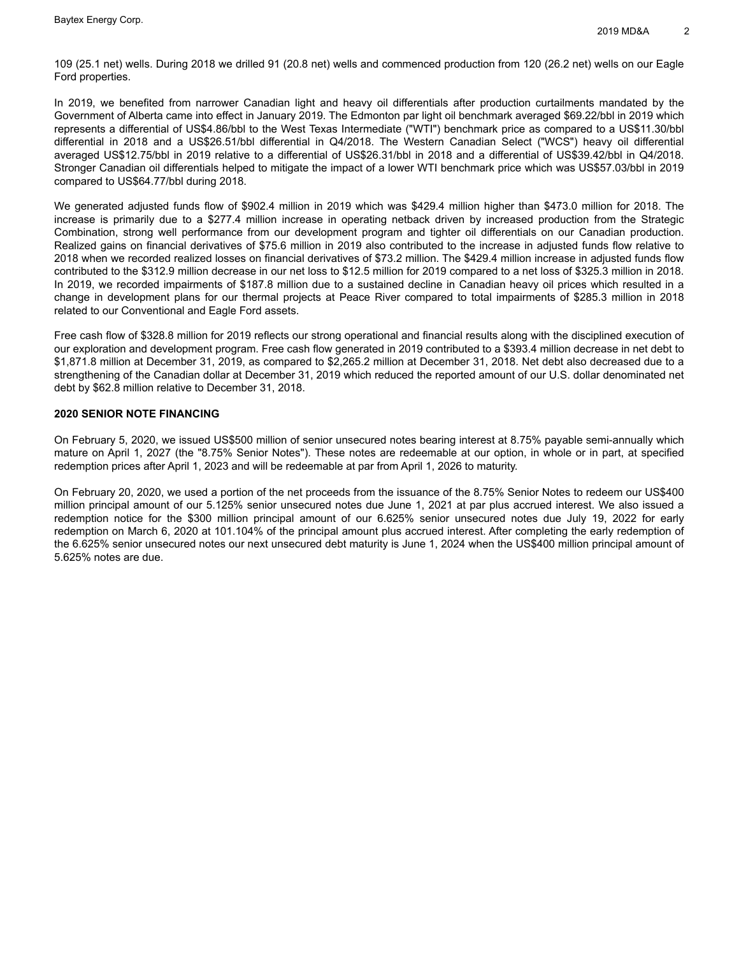109 (25.1 net) wells. During 2018 we drilled 91 (20.8 net) wells and commenced production from 120 (26.2 net) wells on our Eagle Ford properties.

In 2019, we benefited from narrower Canadian light and heavy oil differentials after production curtailments mandated by the Government of Alberta came into effect in January 2019. The Edmonton par light oil benchmark averaged \$69.22/bbl in 2019 which represents a differential of US\$4.86/bbl to the West Texas Intermediate ("WTI") benchmark price as compared to a US\$11.30/bbl differential in 2018 and a US\$26.51/bbl differential in Q4/2018. The Western Canadian Select ("WCS") heavy oil differential averaged US\$12.75/bbl in 2019 relative to a differential of US\$26.31/bbl in 2018 and a differential of US\$39.42/bbl in Q4/2018. Stronger Canadian oil differentials helped to mitigate the impact of a lower WTI benchmark price which was US\$57.03/bbl in 2019 compared to US\$64.77/bbl during 2018.

We generated adjusted funds flow of \$902.4 million in 2019 which was \$429.4 million higher than \$473.0 million for 2018. The increase is primarily due to a \$277.4 million increase in operating netback driven by increased production from the Strategic Combination, strong well performance from our development program and tighter oil differentials on our Canadian production. Realized gains on financial derivatives of \$75.6 million in 2019 also contributed to the increase in adjusted funds flow relative to 2018 when we recorded realized losses on financial derivatives of \$73.2 million. The \$429.4 million increase in adjusted funds flow contributed to the \$312.9 million decrease in our net loss to \$12.5 million for 2019 compared to a net loss of \$325.3 million in 2018. In 2019, we recorded impairments of \$187.8 million due to a sustained decline in Canadian heavy oil prices which resulted in a change in development plans for our thermal projects at Peace River compared to total impairments of \$285.3 million in 2018 related to our Conventional and Eagle Ford assets.

Free cash flow of \$328.8 million for 2019 reflects our strong operational and financial results along with the disciplined execution of our exploration and development program. Free cash flow generated in 2019 contributed to a \$393.4 million decrease in net debt to \$1,871.8 million at December 31, 2019, as compared to \$2,265.2 million at December 31, 2018. Net debt also decreased due to a strengthening of the Canadian dollar at December 31, 2019 which reduced the reported amount of our U.S. dollar denominated net debt by \$62.8 million relative to December 31, 2018.

## **2020 SENIOR NOTE FINANCING**

On February 5, 2020, we issued US\$500 million of senior unsecured notes bearing interest at 8.75% payable semi-annually which mature on April 1, 2027 (the "8.75% Senior Notes"). These notes are redeemable at our option, in whole or in part, at specified redemption prices after April 1, 2023 and will be redeemable at par from April 1, 2026 to maturity.

On February 20, 2020, we used a portion of the net proceeds from the issuance of the 8.75% Senior Notes to redeem our US\$400 million principal amount of our 5.125% senior unsecured notes due June 1, 2021 at par plus accrued interest. We also issued a redemption notice for the \$300 million principal amount of our 6.625% senior unsecured notes due July 19, 2022 for early redemption on March 6, 2020 at 101.104% of the principal amount plus accrued interest. After completing the early redemption of the 6.625% senior unsecured notes our next unsecured debt maturity is June 1, 2024 when the US\$400 million principal amount of 5.625% notes are due.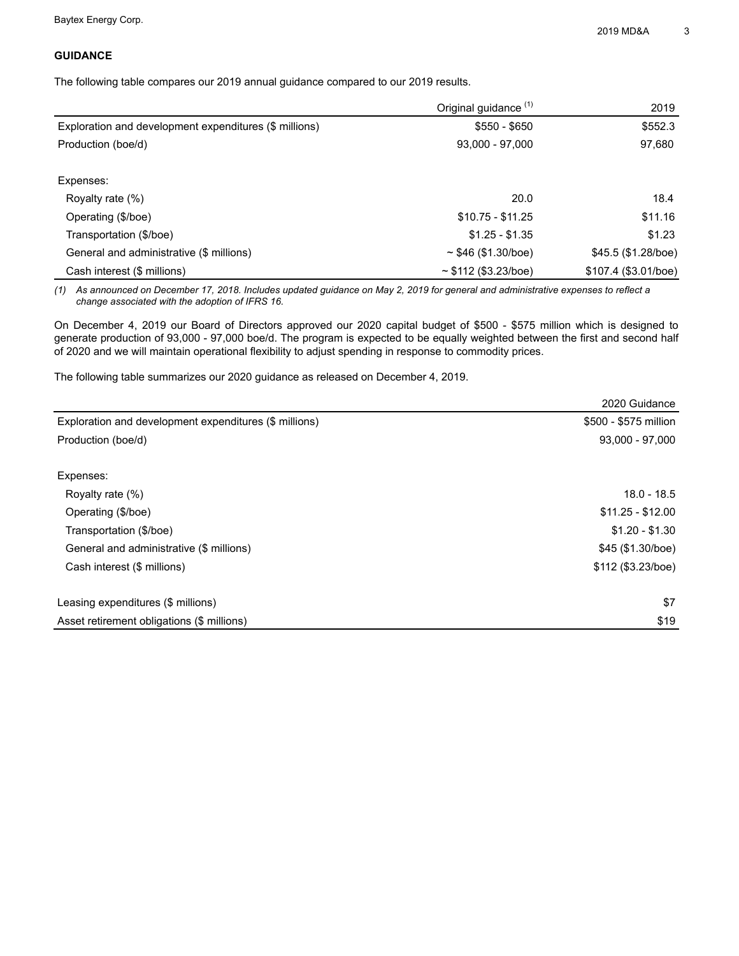# **GUIDANCE**

The following table compares our 2019 annual guidance compared to our 2019 results.

|                                                        | Original guidance <sup>(1)</sup> | 2019                 |
|--------------------------------------------------------|----------------------------------|----------------------|
| Exploration and development expenditures (\$ millions) | $$550 - $650$                    | \$552.3              |
| Production (boe/d)                                     | $93,000 - 97,000$                | 97,680               |
|                                                        |                                  |                      |
| Expenses:                                              |                                  |                      |
| Royalty rate (%)                                       | 20.0                             | 18.4                 |
| Operating (\$/boe)                                     | $$10.75 - $11.25$                | \$11.16              |
| Transportation (\$/boe)                                | $$1.25 - $1.35$                  | \$1.23               |
| General and administrative (\$ millions)               | $\sim$ \$46 (\$1.30/boe)         | $$45.5$ (\$1.28/boe) |
| Cash interest (\$ millions)                            | ~5112~(\$3.23/boe)               | \$107.4 (\$3.01/boe) |

*(1) As announced on December 17, 2018. Includes updated guidance on May 2, 2019 for general and administrative expenses to reflect a change associated with the adoption of IFRS 16.*

On December 4, 2019 our Board of Directors approved our 2020 capital budget of \$500 - \$575 million which is designed to generate production of 93,000 - 97,000 boe/d. The program is expected to be equally weighted between the first and second half of 2020 and we will maintain operational flexibility to adjust spending in response to commodity prices.

The following table summarizes our 2020 guidance as released on December 4, 2019.

|                                                        | 2020 Guidance         |
|--------------------------------------------------------|-----------------------|
| Exploration and development expenditures (\$ millions) | \$500 - \$575 million |
| Production (boe/d)                                     | $93,000 - 97,000$     |
|                                                        |                       |
| Expenses:                                              |                       |
| Royalty rate (%)                                       | $18.0 - 18.5$         |
| Operating (\$/boe)                                     | $$11.25 - $12.00$     |
| Transportation (\$/boe)                                | $$1.20 - $1.30$       |
| General and administrative (\$ millions)               | \$45 (\$1.30/boe)     |
| Cash interest (\$ millions)                            | \$112 (\$3.23/boe)    |
|                                                        |                       |
| Leasing expenditures (\$ millions)                     | \$7                   |
| Asset retirement obligations (\$ millions)             | \$19                  |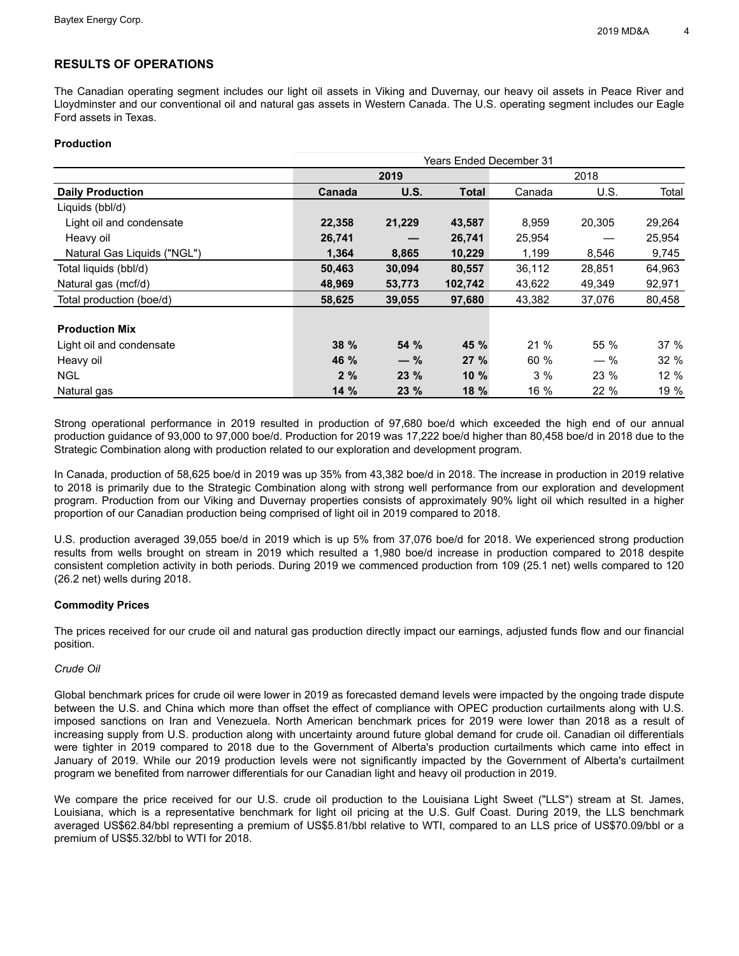# **RESULTS OF OPERATIONS**

The Canadian operating segment includes our light oil assets in Viking and Duvernay, our heavy oil assets in Peace River and Lloydminster and our conventional oil and natural gas assets in Western Canada. The U.S. operating segment includes our Eagle Ford assets in Texas.

## **Production**

|                             | <b>Years Ended December 31</b> |        |              |        |        |        |  |  |  |  |
|-----------------------------|--------------------------------|--------|--------------|--------|--------|--------|--|--|--|--|
|                             |                                | 2019   |              | 2018   |        |        |  |  |  |  |
| <b>Daily Production</b>     | Canada                         | U.S.   | <b>Total</b> | Canada | U.S.   | Total  |  |  |  |  |
| Liquids (bbl/d)             |                                |        |              |        |        |        |  |  |  |  |
| Light oil and condensate    | 22,358                         | 21,229 | 43,587       | 8,959  | 20,305 | 29,264 |  |  |  |  |
| Heavy oil                   | 26,741                         |        | 26,741       | 25,954 |        | 25,954 |  |  |  |  |
| Natural Gas Liquids ("NGL") | 1,364                          | 8,865  | 10,229       | 1,199  | 8,546  | 9,745  |  |  |  |  |
| Total liquids (bbl/d)       | 50,463                         | 30,094 | 80,557       | 36,112 | 28,851 | 64,963 |  |  |  |  |
| Natural gas (mcf/d)         | 48,969                         | 53,773 | 102,742      | 43,622 | 49,349 | 92,971 |  |  |  |  |
| Total production (boe/d)    | 58,625                         | 39,055 | 97,680       | 43,382 | 37,076 | 80,458 |  |  |  |  |
|                             |                                |        |              |        |        |        |  |  |  |  |
| <b>Production Mix</b>       |                                |        |              |        |        |        |  |  |  |  |
| Light oil and condensate    | 38%                            | 54 %   | 45 %         | 21 %   | 55 %   | 37%    |  |  |  |  |
| Heavy oil                   | 46 %                           | $-$ %  | 27%          | 60 %   | $-$ %  | 32%    |  |  |  |  |
| <b>NGL</b>                  | 2%                             | 23 %   | 10%          | 3%     | 23 %   | 12%    |  |  |  |  |
| Natural gas                 | 14%                            | 23 %   | 18 %         | 16 %   | 22 %   | 19 %   |  |  |  |  |

Strong operational performance in 2019 resulted in production of 97,680 boe/d which exceeded the high end of our annual production guidance of 93,000 to 97,000 boe/d. Production for 2019 was 17,222 boe/d higher than 80,458 boe/d in 2018 due to the Strategic Combination along with production related to our exploration and development program.

In Canada, production of 58,625 boe/d in 2019 was up 35% from 43,382 boe/d in 2018. The increase in production in 2019 relative to 2018 is primarily due to the Strategic Combination along with strong well performance from our exploration and development program. Production from our Viking and Duvernay properties consists of approximately 90% light oil which resulted in a higher proportion of our Canadian production being comprised of light oil in 2019 compared to 2018.

U.S. production averaged 39,055 boe/d in 2019 which is up 5% from 37,076 boe/d for 2018. We experienced strong production results from wells brought on stream in 2019 which resulted a 1,980 boe/d increase in production compared to 2018 despite consistent completion activity in both periods. During 2019 we commenced production from 109 (25.1 net) wells compared to 120 (26.2 net) wells during 2018.

## **Commodity Prices**

The prices received for our crude oil and natural gas production directly impact our earnings, adjusted funds flow and our financial position.

## *Crude Oil*

Global benchmark prices for crude oil were lower in 2019 as forecasted demand levels were impacted by the ongoing trade dispute between the U.S. and China which more than offset the effect of compliance with OPEC production curtailments along with U.S. imposed sanctions on Iran and Venezuela. North American benchmark prices for 2019 were lower than 2018 as a result of increasing supply from U.S. production along with uncertainty around future global demand for crude oil. Canadian oil differentials were tighter in 2019 compared to 2018 due to the Government of Alberta's production curtailments which came into effect in January of 2019. While our 2019 production levels were not significantly impacted by the Government of Alberta's curtailment program we benefited from narrower differentials for our Canadian light and heavy oil production in 2019.

We compare the price received for our U.S. crude oil production to the Louisiana Light Sweet ("LLS") stream at St. James, Louisiana, which is a representative benchmark for light oil pricing at the U.S. Gulf Coast. During 2019, the LLS benchmark averaged US\$62.84/bbl representing a premium of US\$5.81/bbl relative to WTI, compared to an LLS price of US\$70.09/bbl or a premium of US\$5.32/bbl to WTI for 2018.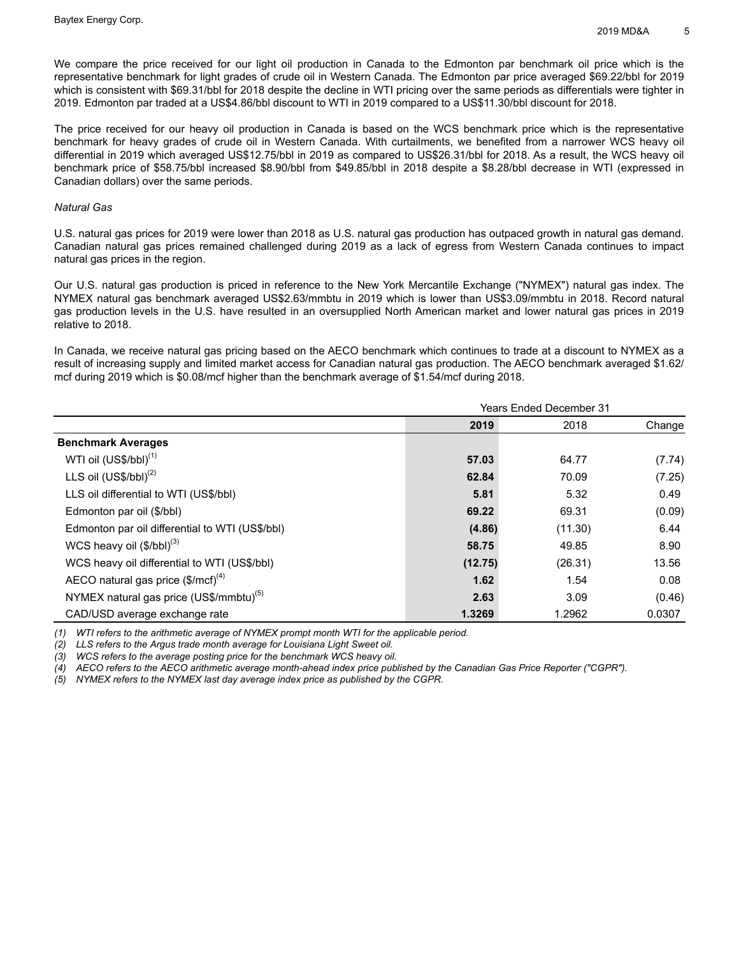We compare the price received for our light oil production in Canada to the Edmonton par benchmark oil price which is the representative benchmark for light grades of crude oil in Western Canada. The Edmonton par price averaged \$69.22/bbl for 2019 which is consistent with \$69.31/bbl for 2018 despite the decline in WTI pricing over the same periods as differentials were tighter in 2019. Edmonton par traded at a US\$4.86/bbl discount to WTI in 2019 compared to a US\$11.30/bbl discount for 2018.

The price received for our heavy oil production in Canada is based on the WCS benchmark price which is the representative benchmark for heavy grades of crude oil in Western Canada. With curtailments, we benefited from a narrower WCS heavy oil differential in 2019 which averaged US\$12.75/bbl in 2019 as compared to US\$26.31/bbl for 2018. As a result, the WCS heavy oil benchmark price of \$58.75/bbl increased \$8.90/bbl from \$49.85/bbl in 2018 despite a \$8.28/bbl decrease in WTI (expressed in Canadian dollars) over the same periods.

#### *Natural Gas*

U.S. natural gas prices for 2019 were lower than 2018 as U.S. natural gas production has outpaced growth in natural gas demand. Canadian natural gas prices remained challenged during 2019 as a lack of egress from Western Canada continues to impact natural gas prices in the region.

Our U.S. natural gas production is priced in reference to the New York Mercantile Exchange ("NYMEX") natural gas index. The NYMEX natural gas benchmark averaged US\$2.63/mmbtu in 2019 which is lower than US\$3.09/mmbtu in 2018. Record natural gas production levels in the U.S. have resulted in an oversupplied North American market and lower natural gas prices in 2019 relative to 2018.

In Canada, we receive natural gas pricing based on the AECO benchmark which continues to trade at a discount to NYMEX as a result of increasing supply and limited market access for Canadian natural gas production. The AECO benchmark averaged \$1.62/ mcf during 2019 which is \$0.08/mcf higher than the benchmark average of \$1.54/mcf during 2018.

|                                                             | <b>Years Ended December 31</b> |         |        |  |  |  |
|-------------------------------------------------------------|--------------------------------|---------|--------|--|--|--|
|                                                             | 2019                           | 2018    | Change |  |  |  |
| <b>Benchmark Averages</b>                                   |                                |         |        |  |  |  |
| WTI oil (US\$/bbl) <sup>(1)</sup>                           | 57.03                          | 64.77   | (7.74) |  |  |  |
| LLS oil $(US$/bbI)^{(2)}$                                   | 62.84                          | 70.09   | (7.25) |  |  |  |
| LLS oil differential to WTI (US\$/bbl)                      | 5.81                           | 5.32    | 0.49   |  |  |  |
| Edmonton par oil (\$/bbl)                                   | 69.22                          | 69.31   | (0.09) |  |  |  |
| Edmonton par oil differential to WTI (US\$/bbl)             | (4.86)                         | (11.30) | 6.44   |  |  |  |
| WCS heavy oil $(\$/bbl)^{(3)}$                              | 58.75                          | 49.85   | 8.90   |  |  |  |
| WCS heavy oil differential to WTI (US\$/bbl)                | (12.75)                        | (26.31) | 13.56  |  |  |  |
| AECO natural gas price $(\text{$\text{Im}}\text{cf})^{(4)}$ | 1.62                           | 1.54    | 0.08   |  |  |  |
| NYMEX natural gas price (US\$/mmbtu) <sup>(5)</sup>         | 2.63                           | 3.09    | (0.46) |  |  |  |
| CAD/USD average exchange rate                               | 1.3269                         | 1.2962  | 0.0307 |  |  |  |

*(1) WTI refers to the arithmetic average of NYMEX prompt month WTI for the applicable period.* 

*(2) LLS refers to the Argus trade month average for Louisiana Light Sweet oil.*

*(3) WCS refers to the average posting price for the benchmark WCS heavy oil.* 

*(4) AECO refers to the AECO arithmetic average month-ahead index price published by the Canadian Gas Price Reporter ("CGPR").*

*(5) NYMEX refers to the NYMEX last day average index price as published by the CGPR.*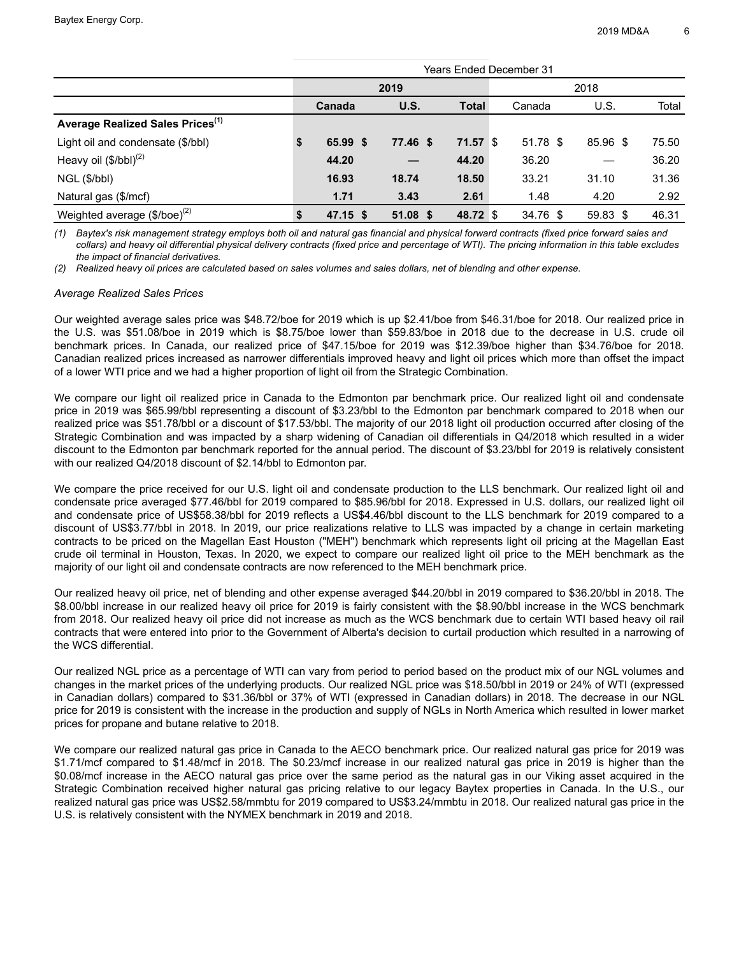|                                                | Years Ended December 31 |            |            |              |  |          |  |               |       |  |  |
|------------------------------------------------|-------------------------|------------|------------|--------------|--|----------|--|---------------|-------|--|--|
|                                                |                         | 2019       |            |              |  | 2018     |  |               |       |  |  |
|                                                |                         | Canada     | U.S.       | <b>Total</b> |  | Canada   |  | U.S.          | Total |  |  |
| Average Realized Sales Prices <sup>(1)</sup>   |                         |            |            |              |  |          |  |               |       |  |  |
| Light oil and condensate (\$/bbl)              | \$                      | 65.99 \$   | 77.46 \$   | $71.57$ \$   |  | 51.78 \$ |  | 85.96 \$      | 75.50 |  |  |
| Heavy oil $(\frac{6}{bbl})^{(2)}$              |                         | 44.20      |            | 44.20        |  | 36.20    |  |               | 36.20 |  |  |
| NGL (\$/bbl)                                   |                         | 16.93      | 18.74      | 18.50        |  | 33.21    |  | 31.10         | 31.36 |  |  |
| Natural gas (\$/mcf)                           |                         | 1.71       | 3.43       | 2.61         |  | 1.48     |  | 4.20          | 2.92  |  |  |
| Weighted average $(\$$ /boe $)$ <sup>(2)</sup> |                         | $47.15$ \$ | $51.08$ \$ | 48.72 \$     |  | 34.76 \$ |  | 59.83<br>- \$ | 46.31 |  |  |

*(1) Baytex's risk management strategy employs both oil and natural gas financial and physical forward contracts (fixed price forward sales and collars) and heavy oil differential physical delivery contracts (fixed price and percentage of WTI). The pricing information in this table excludes the impact of financial derivatives.* 

*(2) Realized heavy oil prices are calculated based on sales volumes and sales dollars, net of blending and other expense.* 

#### *Average Realized Sales Prices*

Our weighted average sales price was \$48.72/boe for 2019 which is up \$2.41/boe from \$46.31/boe for 2018. Our realized price in the U.S. was \$51.08/boe in 2019 which is \$8.75/boe lower than \$59.83/boe in 2018 due to the decrease in U.S. crude oil benchmark prices. In Canada, our realized price of \$47.15/boe for 2019 was \$12.39/boe higher than \$34.76/boe for 2018. Canadian realized prices increased as narrower differentials improved heavy and light oil prices which more than offset the impact of a lower WTI price and we had a higher proportion of light oil from the Strategic Combination.

We compare our light oil realized price in Canada to the Edmonton par benchmark price. Our realized light oil and condensate price in 2019 was \$65.99/bbl representing a discount of \$3.23/bbl to the Edmonton par benchmark compared to 2018 when our realized price was \$51.78/bbl or a discount of \$17.53/bbl. The majority of our 2018 light oil production occurred after closing of the Strategic Combination and was impacted by a sharp widening of Canadian oil differentials in Q4/2018 which resulted in a wider discount to the Edmonton par benchmark reported for the annual period. The discount of \$3.23/bbl for 2019 is relatively consistent with our realized Q4/2018 discount of \$2.14/bbl to Edmonton par.

We compare the price received for our U.S. light oil and condensate production to the LLS benchmark. Our realized light oil and condensate price averaged \$77.46/bbl for 2019 compared to \$85.96/bbl for 2018. Expressed in U.S. dollars, our realized light oil and condensate price of US\$58.38/bbl for 2019 reflects a US\$4.46/bbl discount to the LLS benchmark for 2019 compared to a discount of US\$3.77/bbl in 2018. In 2019, our price realizations relative to LLS was impacted by a change in certain marketing contracts to be priced on the Magellan East Houston ("MEH") benchmark which represents light oil pricing at the Magellan East crude oil terminal in Houston, Texas. In 2020, we expect to compare our realized light oil price to the MEH benchmark as the majority of our light oil and condensate contracts are now referenced to the MEH benchmark price.

Our realized heavy oil price, net of blending and other expense averaged \$44.20/bbl in 2019 compared to \$36.20/bbl in 2018. The \$8.00/bbl increase in our realized heavy oil price for 2019 is fairly consistent with the \$8.90/bbl increase in the WCS benchmark from 2018. Our realized heavy oil price did not increase as much as the WCS benchmark due to certain WTI based heavy oil rail contracts that were entered into prior to the Government of Alberta's decision to curtail production which resulted in a narrowing of the WCS differential.

Our realized NGL price as a percentage of WTI can vary from period to period based on the product mix of our NGL volumes and changes in the market prices of the underlying products. Our realized NGL price was \$18.50/bbl in 2019 or 24% of WTI (expressed in Canadian dollars) compared to \$31.36/bbl or 37% of WTI (expressed in Canadian dollars) in 2018. The decrease in our NGL price for 2019 is consistent with the increase in the production and supply of NGLs in North America which resulted in lower market prices for propane and butane relative to 2018.

We compare our realized natural gas price in Canada to the AECO benchmark price. Our realized natural gas price for 2019 was \$1.71/mcf compared to \$1.48/mcf in 2018. The \$0.23/mcf increase in our realized natural gas price in 2019 is higher than the \$0.08/mcf increase in the AECO natural gas price over the same period as the natural gas in our Viking asset acquired in the Strategic Combination received higher natural gas pricing relative to our legacy Baytex properties in Canada. In the U.S., our realized natural gas price was US\$2.58/mmbtu for 2019 compared to US\$3.24/mmbtu in 2018. Our realized natural gas price in the U.S. is relatively consistent with the NYMEX benchmark in 2019 and 2018.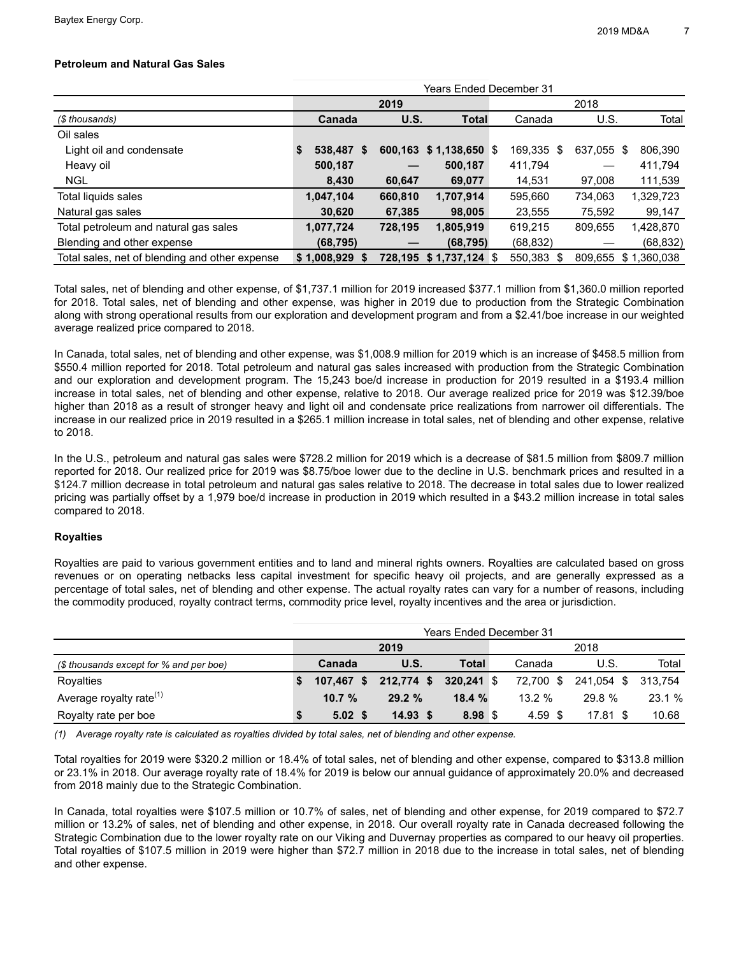## **Petroleum and Natural Gas Sales**

|                                                | Years Ended December 31 |                 |  |         |                        |  |            |            |                     |  |  |
|------------------------------------------------|-------------------------|-----------------|--|---------|------------------------|--|------------|------------|---------------------|--|--|
|                                                |                         |                 |  | 2019    |                        |  | 2018       |            |                     |  |  |
| (\$ thousands)                                 |                         | Canada          |  | U.S.    | Total                  |  | Canada     | U.S.       | Total               |  |  |
| Oil sales                                      |                         |                 |  |         |                        |  |            |            |                     |  |  |
| Light oil and condensate                       | S.                      | 538,487 \$      |  | 600,163 | $$1,138,650$ \$        |  | 169,335 \$ | 637,055 \$ | 806,390             |  |  |
| Heavy oil                                      |                         | 500,187         |  |         | 500,187                |  | 411,794    |            | 411,794             |  |  |
| <b>NGL</b>                                     |                         | 8,430           |  | 60.647  | 69,077                 |  | 14,531     | 97,008     | 111,539             |  |  |
| Total liquids sales                            |                         | 1,047,104       |  | 660,810 | 1,707,914              |  | 595,660    | 734,063    | 1,329,723           |  |  |
| Natural gas sales                              |                         | 30,620          |  | 67,385  | 98,005                 |  | 23,555     | 75,592     | 99,147              |  |  |
| Total petroleum and natural gas sales          |                         | 1,077,724       |  | 728,195 | 1,805,919              |  | 619,215    | 809,655    | 1,428,870           |  |  |
| Blending and other expense                     |                         | (68, 795)       |  |         | (68, 795)              |  | (68, 832)  |            | (68, 832)           |  |  |
| Total sales, net of blending and other expense |                         | $$1,008,929$ \$ |  |         | 728,195 \$1,737,124 \$ |  | 550,383 \$ |            | 809,655 \$1,360,038 |  |  |

Total sales, net of blending and other expense, of \$1,737.1 million for 2019 increased \$377.1 million from \$1,360.0 million reported for 2018. Total sales, net of blending and other expense, was higher in 2019 due to production from the Strategic Combination along with strong operational results from our exploration and development program and from a \$2.41/boe increase in our weighted average realized price compared to 2018.

In Canada, total sales, net of blending and other expense, was \$1,008.9 million for 2019 which is an increase of \$458.5 million from \$550.4 million reported for 2018. Total petroleum and natural gas sales increased with production from the Strategic Combination and our exploration and development program. The 15,243 boe/d increase in production for 2019 resulted in a \$193.4 million increase in total sales, net of blending and other expense, relative to 2018. Our average realized price for 2019 was \$12.39/boe higher than 2018 as a result of stronger heavy and light oil and condensate price realizations from narrower oil differentials. The increase in our realized price in 2019 resulted in a \$265.1 million increase in total sales, net of blending and other expense, relative to 2018.

In the U.S., petroleum and natural gas sales were \$728.2 million for 2019 which is a decrease of \$81.5 million from \$809.7 million reported for 2018. Our realized price for 2019 was \$8.75/boe lower due to the decline in U.S. benchmark prices and resulted in a \$124.7 million decrease in total petroleum and natural gas sales relative to 2018. The decrease in total sales due to lower realized pricing was partially offset by a 1,979 boe/d increase in production in 2019 which resulted in a \$43.2 million increase in total sales compared to 2018.

## **Royalties**

Royalties are paid to various government entities and to land and mineral rights owners. Royalties are calculated based on gross revenues or on operating netbacks less capital investment for specific heavy oil projects, and are generally expressed as a percentage of total sales, net of blending and other expense. The actual royalty rates can vary for a number of reasons, including the commodity produced, royalty contract terms, commodity price level, royalty incentives and the area or jurisdiction.

|                                         | Years Ended December 31 |                   |              |            |  |           |                    |       |  |  |  |
|-----------------------------------------|-------------------------|-------------------|--------------|------------|--|-----------|--------------------|-------|--|--|--|
|                                         | 2019                    |                   |              |            |  | 2018      |                    |       |  |  |  |
| (\$ thousands except for % and per boe) |                         | Canada            | U.S.         | Total      |  | Canada    | U.S.               | Total |  |  |  |
| Royalties                               |                         | 107,467 \$        | $212,774$ \$ | 320.241 \$ |  | 72,700 \$ | 241,054 \$ 313,754 |       |  |  |  |
| Average royalty rate $(1)$              |                         | 10.7%             | $29.2 \%$    | 18.4%      |  | $13.2 \%$ | 29.8%              | 23.1% |  |  |  |
| Royalty rate per boe                    |                         | $5.02 \text{ } $$ | $14.93$ \$   | 8.98 \$    |  | $4.59$ \$ | 17.81 \$           | 10.68 |  |  |  |

*(1) Average royalty rate is calculated as royalties divided by total sales, net of blending and other expense.* 

Total royalties for 2019 were \$320.2 million or 18.4% of total sales, net of blending and other expense, compared to \$313.8 million or 23.1% in 2018. Our average royalty rate of 18.4% for 2019 is below our annual guidance of approximately 20.0% and decreased from 2018 mainly due to the Strategic Combination.

In Canada, total royalties were \$107.5 million or 10.7% of sales, net of blending and other expense, for 2019 compared to \$72.7 million or 13.2% of sales, net of blending and other expense, in 2018. Our overall royalty rate in Canada decreased following the Strategic Combination due to the lower royalty rate on our Viking and Duvernay properties as compared to our heavy oil properties. Total royalties of \$107.5 million in 2019 were higher than \$72.7 million in 2018 due to the increase in total sales, net of blending and other expense.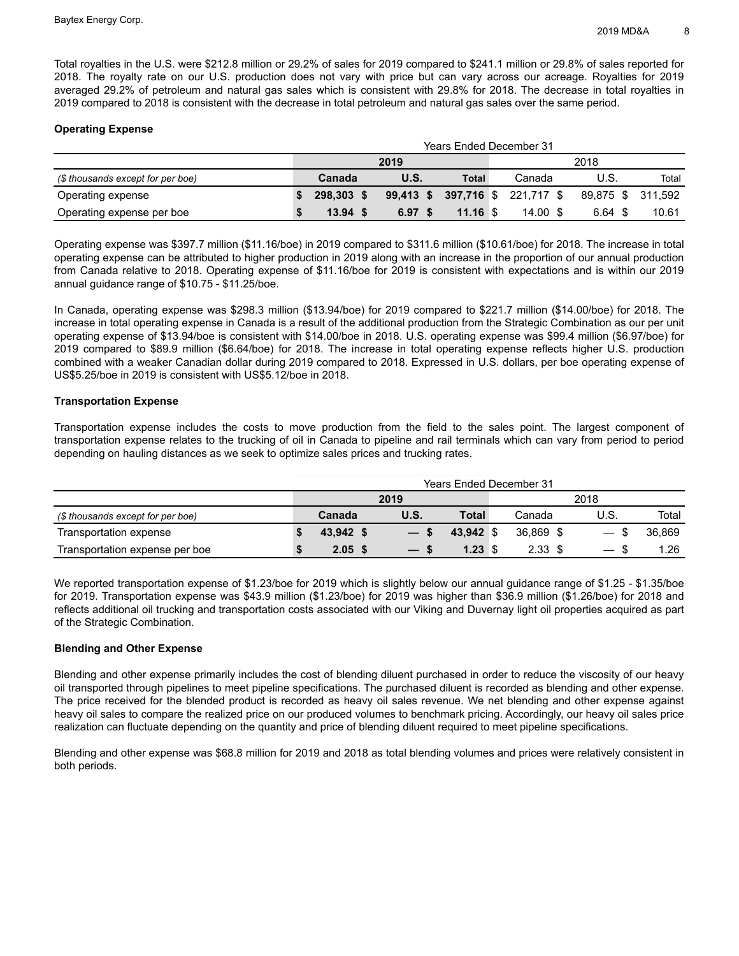Total royalties in the U.S. were \$212.8 million or 29.2% of sales for 2019 compared to \$241.1 million or 29.8% of sales reported for 2018. The royalty rate on our U.S. production does not vary with price but can vary across our acreage. Royalties for 2019 averaged 29.2% of petroleum and natural gas sales which is consistent with 29.8% for 2018. The decrease in total royalties in 2019 compared to 2018 is consistent with the decrease in total petroleum and natural gas sales over the same period.

## **Operating Expense**

|                                   | <b>Years Ended December 31</b> |            |  |                   |  |                                 |  |         |  |         |                   |
|-----------------------------------|--------------------------------|------------|--|-------------------|--|---------------------------------|--|---------|--|---------|-------------------|
|                                   | 2019                           |            |  |                   |  | 2018                            |  |         |  |         |                   |
| (\$ thousands except for per boe) |                                | Canada     |  | <b>U.S.</b>       |  | <b>Total</b>                    |  | Canada  |  | U.S.    | Total             |
| Operating expense                 |                                | 298.303 \$ |  |                   |  | 99,413 \$ 397,716 \$ 221,717 \$ |  |         |  |         | 89.875 \$ 311.592 |
| Operating expense per boe         |                                | 13.94 S    |  | 6.97 <sup>5</sup> |  | $11.16$ \$                      |  | 14.00 S |  | 6.64 \$ | 10.61             |

Operating expense was \$397.7 million (\$11.16/boe) in 2019 compared to \$311.6 million (\$10.61/boe) for 2018. The increase in total operating expense can be attributed to higher production in 2019 along with an increase in the proportion of our annual production from Canada relative to 2018. Operating expense of \$11.16/boe for 2019 is consistent with expectations and is within our 2019 annual guidance range of \$10.75 - \$11.25/boe.

In Canada, operating expense was \$298.3 million (\$13.94/boe) for 2019 compared to \$221.7 million (\$14.00/boe) for 2018. The increase in total operating expense in Canada is a result of the additional production from the Strategic Combination as our per unit operating expense of \$13.94/boe is consistent with \$14.00/boe in 2018. U.S. operating expense was \$99.4 million (\$6.97/boe) for 2019 compared to \$89.9 million (\$6.64/boe) for 2018. The increase in total operating expense reflects higher U.S. production combined with a weaker Canadian dollar during 2019 compared to 2018. Expressed in U.S. dollars, per boe operating expense of US\$5.25/boe in 2019 is consistent with US\$5.12/boe in 2018.

## **Transportation Expense**

Transportation expense includes the costs to move production from the field to the sales point. The largest component of transportation expense relates to the trucking of oil in Canada to pipeline and rail terminals which can vary from period to period depending on hauling distances as we seek to optimize sales prices and trucking rates.

|                                   | <b>Years Ended December 31</b> |           |                                    |                    |  |                   |                          |        |  |  |
|-----------------------------------|--------------------------------|-----------|------------------------------------|--------------------|--|-------------------|--------------------------|--------|--|--|
|                                   | 2019                           |           |                                    |                    |  | 2018              |                          |        |  |  |
| (\$ thousands except for per boe) |                                | Canada    | <b>U.S.</b>                        | Total              |  | Canada            | U.S.                     | Total  |  |  |
| Transportation expense            |                                | 43.942 \$ |                                    | 43.942 \$          |  | 36.869 \$         | — \$                     | 36.869 |  |  |
| Transportation expense per boe    |                                | $2.05$ \$ | $\overline{\phantom{0}}$<br>- 30 - | $1.23 \text{ } $s$ |  | 2.33 <sup>5</sup> | $\overline{\phantom{a}}$ | 1.26   |  |  |

We reported transportation expense of \$1.23/boe for 2019 which is slightly below our annual guidance range of \$1.25 - \$1.35/boe for 2019. Transportation expense was \$43.9 million (\$1.23/boe) for 2019 was higher than \$36.9 million (\$1.26/boe) for 2018 and reflects additional oil trucking and transportation costs associated with our Viking and Duvernay light oil properties acquired as part of the Strategic Combination.

## **Blending and Other Expense**

Blending and other expense primarily includes the cost of blending diluent purchased in order to reduce the viscosity of our heavy oil transported through pipelines to meet pipeline specifications. The purchased diluent is recorded as blending and other expense. The price received for the blended product is recorded as heavy oil sales revenue. We net blending and other expense against heavy oil sales to compare the realized price on our produced volumes to benchmark pricing. Accordingly, our heavy oil sales price realization can fluctuate depending on the quantity and price of blending diluent required to meet pipeline specifications.

Blending and other expense was \$68.8 million for 2019 and 2018 as total blending volumes and prices were relatively consistent in both periods.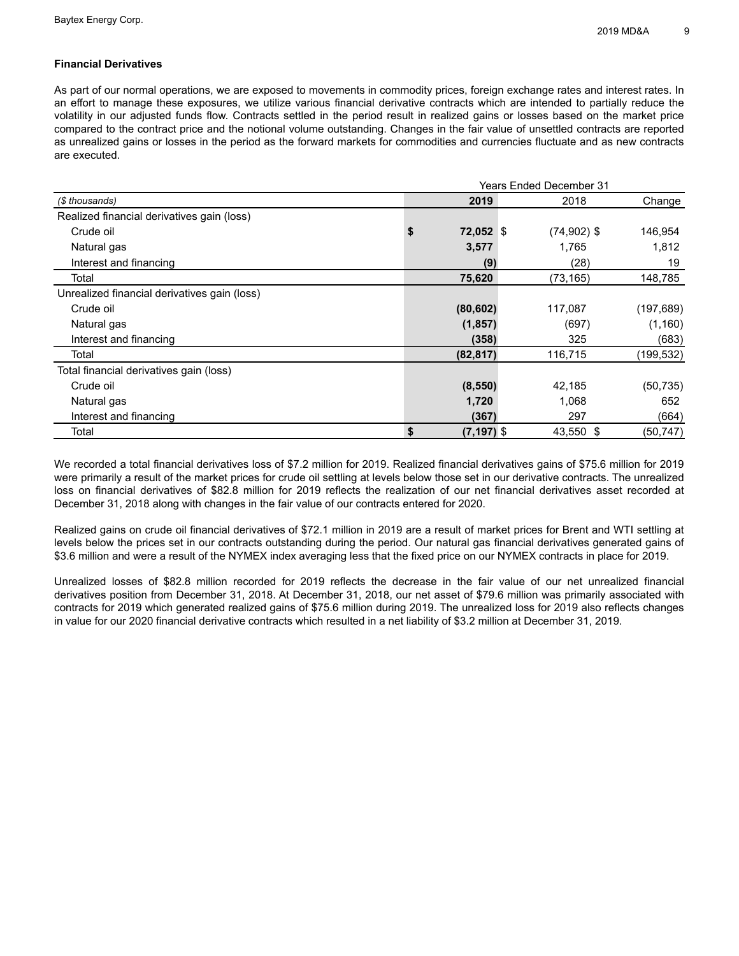## **Financial Derivatives**

As part of our normal operations, we are exposed to movements in commodity prices, foreign exchange rates and interest rates. In an effort to manage these exposures, we utilize various financial derivative contracts which are intended to partially reduce the volatility in our adjusted funds flow. Contracts settled in the period result in realized gains or losses based on the market price compared to the contract price and the notional volume outstanding. Changes in the fair value of unsettled contracts are reported as unrealized gains or losses in the period as the forward markets for commodities and currencies fluctuate and as new contracts are executed.

|                                              |           | <b>Years Ended December 31</b> |               |            |  |  |  |  |  |  |
|----------------------------------------------|-----------|--------------------------------|---------------|------------|--|--|--|--|--|--|
| (\$ thousands)                               |           | 2019                           | 2018          | Change     |  |  |  |  |  |  |
| Realized financial derivatives gain (loss)   |           |                                |               |            |  |  |  |  |  |  |
| Crude oil                                    | \$        | 72,052 \$                      | $(74,902)$ \$ | 146,954    |  |  |  |  |  |  |
| Natural gas                                  | 3,577     |                                | 1,765         | 1,812      |  |  |  |  |  |  |
| Interest and financing                       |           | (9)                            | (28)          | 19         |  |  |  |  |  |  |
| Total                                        | 75,620    |                                | (73, 165)     | 148,785    |  |  |  |  |  |  |
| Unrealized financial derivatives gain (loss) |           |                                |               |            |  |  |  |  |  |  |
| Crude oil                                    | (80, 602) |                                | 117,087       | (197, 689) |  |  |  |  |  |  |
| Natural gas                                  | (1, 857)  |                                | (697)         | (1, 160)   |  |  |  |  |  |  |
| Interest and financing                       |           | (358)                          | 325           | (683)      |  |  |  |  |  |  |
| Total                                        | (82, 817) |                                | 116,715       | (199, 532) |  |  |  |  |  |  |
| Total financial derivatives gain (loss)      |           |                                |               |            |  |  |  |  |  |  |
| Crude oil                                    | (8, 550)  |                                | 42,185        | (50, 735)  |  |  |  |  |  |  |
| Natural gas                                  |           | 1,720                          | 1,068         | 652        |  |  |  |  |  |  |
| Interest and financing                       |           | (367)                          | 297           | (664)      |  |  |  |  |  |  |
| Total                                        | \$        | $(7, 197)$ \$                  | 43,550 \$     | (50, 747)  |  |  |  |  |  |  |

We recorded a total financial derivatives loss of \$7.2 million for 2019. Realized financial derivatives gains of \$75.6 million for 2019 were primarily a result of the market prices for crude oil settling at levels below those set in our derivative contracts. The unrealized loss on financial derivatives of \$82.8 million for 2019 reflects the realization of our net financial derivatives asset recorded at December 31, 2018 along with changes in the fair value of our contracts entered for 2020.

Realized gains on crude oil financial derivatives of \$72.1 million in 2019 are a result of market prices for Brent and WTI settling at levels below the prices set in our contracts outstanding during the period. Our natural gas financial derivatives generated gains of \$3.6 million and were a result of the NYMEX index averaging less that the fixed price on our NYMEX contracts in place for 2019.

Unrealized losses of \$82.8 million recorded for 2019 reflects the decrease in the fair value of our net unrealized financial derivatives position from December 31, 2018. At December 31, 2018, our net asset of \$79.6 million was primarily associated with contracts for 2019 which generated realized gains of \$75.6 million during 2019. The unrealized loss for 2019 also reflects changes in value for our 2020 financial derivative contracts which resulted in a net liability of \$3.2 million at December 31, 2019.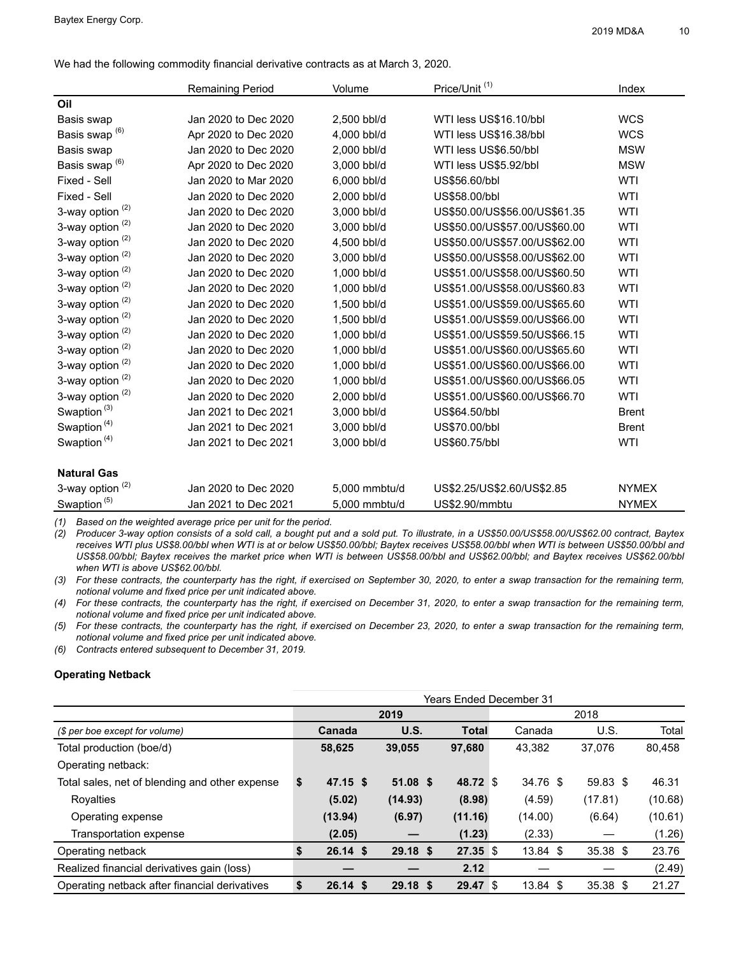We had the following commodity financial derivative contracts as at March 3, 2020.

|                             | <b>Remaining Period</b> | Volume        | Price/Unit <sup>(1)</sup>     | Index        |
|-----------------------------|-------------------------|---------------|-------------------------------|--------------|
| Oil                         |                         |               |                               |              |
| Basis swap                  | Jan 2020 to Dec 2020    | 2,500 bbl/d   | WTI less US\$16.10/bbl        | <b>WCS</b>   |
| Basis swap <sup>(6)</sup>   | Apr 2020 to Dec 2020    | 4,000 bbl/d   | WTI less US\$16.38/bbl        | <b>WCS</b>   |
| Basis swap                  | Jan 2020 to Dec 2020    | 2.000 bbl/d   | WTI less US\$6.50/bbl         | <b>MSW</b>   |
| Basis swap <sup>(6)</sup>   | Apr 2020 to Dec 2020    | 3,000 bbl/d   | WTI less US\$5.92/bbl         | <b>MSW</b>   |
| Fixed - Sell                | Jan 2020 to Mar 2020    | 6,000 bbl/d   | US\$56.60/bbl                 | <b>WTI</b>   |
| Fixed - Sell                | Jan 2020 to Dec 2020    | 2,000 bbl/d   | US\$58.00/bbl                 | <b>WTI</b>   |
| 3-way option <sup>(2)</sup> | Jan 2020 to Dec 2020    | 3,000 bbl/d   | US\$50.00/US\$56.00/US\$61.35 | <b>WTI</b>   |
| 3-way option $(2)$          | Jan 2020 to Dec 2020    | 3,000 bbl/d   | US\$50.00/US\$57.00/US\$60.00 | WTI          |
| 3-way option $(2)$          | Jan 2020 to Dec 2020    | 4.500 bbl/d   | US\$50.00/US\$57.00/US\$62.00 | <b>WTI</b>   |
| 3-way option <sup>(2)</sup> | Jan 2020 to Dec 2020    | 3,000 bbl/d   | US\$50.00/US\$58.00/US\$62.00 | <b>WTI</b>   |
| 3-way option $(2)$          | Jan 2020 to Dec 2020    | 1,000 bbl/d   | US\$51.00/US\$58.00/US\$60.50 | <b>WTI</b>   |
| 3-way option $(2)$          | Jan 2020 to Dec 2020    | 1,000 bbl/d   | US\$51.00/US\$58.00/US\$60.83 | <b>WTI</b>   |
| 3-way option <sup>(2)</sup> | Jan 2020 to Dec 2020    | 1.500 bbl/d   | US\$51.00/US\$59.00/US\$65.60 | <b>WTI</b>   |
| 3-way option <sup>(2)</sup> | Jan 2020 to Dec 2020    | 1,500 bbl/d   | US\$51.00/US\$59.00/US\$66.00 | WTI          |
| 3-way option $(2)$          | Jan 2020 to Dec 2020    | 1,000 bbl/d   | US\$51.00/US\$59.50/US\$66.15 | <b>WTI</b>   |
| 3-way option <sup>(2)</sup> | Jan 2020 to Dec 2020    | 1,000 bbl/d   | US\$51.00/US\$60.00/US\$65.60 | <b>WTI</b>   |
| 3-way option $(2)$          | Jan 2020 to Dec 2020    | 1,000 bbl/d   | US\$51.00/US\$60.00/US\$66.00 | <b>WTI</b>   |
| 3-way option <sup>(2)</sup> | Jan 2020 to Dec 2020    | 1,000 bbl/d   | US\$51.00/US\$60.00/US\$66.05 | <b>WTI</b>   |
| 3-way option <sup>(2)</sup> | Jan 2020 to Dec 2020    | 2.000 bbl/d   | US\$51.00/US\$60.00/US\$66.70 | <b>WTI</b>   |
| Swaption <sup>(3)</sup>     | Jan 2021 to Dec 2021    | 3,000 bbl/d   | US\$64.50/bbl                 | <b>Brent</b> |
| Swaption <sup>(4)</sup>     | Jan 2021 to Dec 2021    | 3,000 bbl/d   | US\$70.00/bbl                 | <b>Brent</b> |
| Swaption <sup>(4)</sup>     | Jan 2021 to Dec 2021    | 3,000 bbl/d   | US\$60.75/bbl                 | <b>WTI</b>   |
| <b>Natural Gas</b>          |                         |               |                               |              |
| 3-way option $(2)$          | Jan 2020 to Dec 2020    | 5,000 mmbtu/d | US\$2.25/US\$2.60/US\$2.85    | <b>NYMEX</b> |
| Swaption <sup>(5)</sup>     | Jan 2021 to Dec 2021    | 5.000 mmbtu/d | US\$2.90/mmbtu                | <b>NYMEX</b> |

*(1) Based on the weighted average price per unit for the period.*

(2) Producer 3-way option consists of a sold call, a bought put and a sold put. To illustrate, in a US\$50.00/US\$58.00/US\$62.00 contract, Baytex receives WTI plus US\$8.00/bbl when WTI is at or below US\$50.00/bbl; Baytex receives US\$58.00/bbl when WTI is between US\$50.00/bbl and US\$58.00/bbl; Baytex receives the market price when WTI is between US\$58.00/bbl and US\$62.00/bbl; and Baytex receives US\$62.00/bbl *when WTI is above US\$62.00/bbl.*

(3) For these contracts, the counterparty has the right, if exercised on September 30, 2020, to enter a swap transaction for the remaining term, *notional volume and fixed price per unit indicated above.*

(4) For these contracts, the counterparty has the right, if exercised on December 31, 2020, to enter a swap transaction for the remaining term, *notional volume and fixed price per unit indicated above.*

(5) For these contracts, the counterparty has the right, if exercised on December 23, 2020, to enter a swap transaction for the remaining term, *notional volume and fixed price per unit indicated above.*

*(6) Contracts entered subsequent to December 31, 2019.*

## **Operating Netback**

|                                                |        |            |            | Years Ended December 31 |        |            |            |         |
|------------------------------------------------|--------|------------|------------|-------------------------|--------|------------|------------|---------|
|                                                |        |            | 2019       |                         | 2018   |            |            |         |
| (\$ per boe except for volume)                 | Canada |            | U.S.       | Total                   | Canada |            | U.S.       | Total   |
| Total production (boe/d)                       |        | 58,625     | 39,055     | 97,680                  |        | 43,382     | 37,076     | 80,458  |
| Operating netback:                             |        |            |            |                         |        |            |            |         |
| Total sales, net of blending and other expense | \$     | $47.15$ \$ | $51.08$ \$ | 48.72 \$                |        | 34.76 \$   | $59.83$ \$ | 46.31   |
| Royalties                                      |        | (5.02)     | (14.93)    | (8.98)                  |        | (4.59)     | (17.81)    | (10.68) |
| Operating expense                              |        | (13.94)    | (6.97)     | (11.16)                 |        | (14.00)    | (6.64)     | (10.61) |
| Transportation expense                         |        | (2.05)     |            | (1.23)                  |        | (2.33)     |            | (1.26)  |
| Operating netback                              | \$     | $26.14$ \$ | $29.18$ \$ | $27.35$ \$              |        | $13.84$ \$ | $35.38$ \$ | 23.76   |
| Realized financial derivatives gain (loss)     |        |            |            | 2.12                    |        |            |            | (2.49)  |
| Operating netback after financial derivatives  | \$     | $26.14$ \$ | $29.18$ \$ | 29.47 \$                |        | 13.84 \$   | $35.38$ \$ | 21.27   |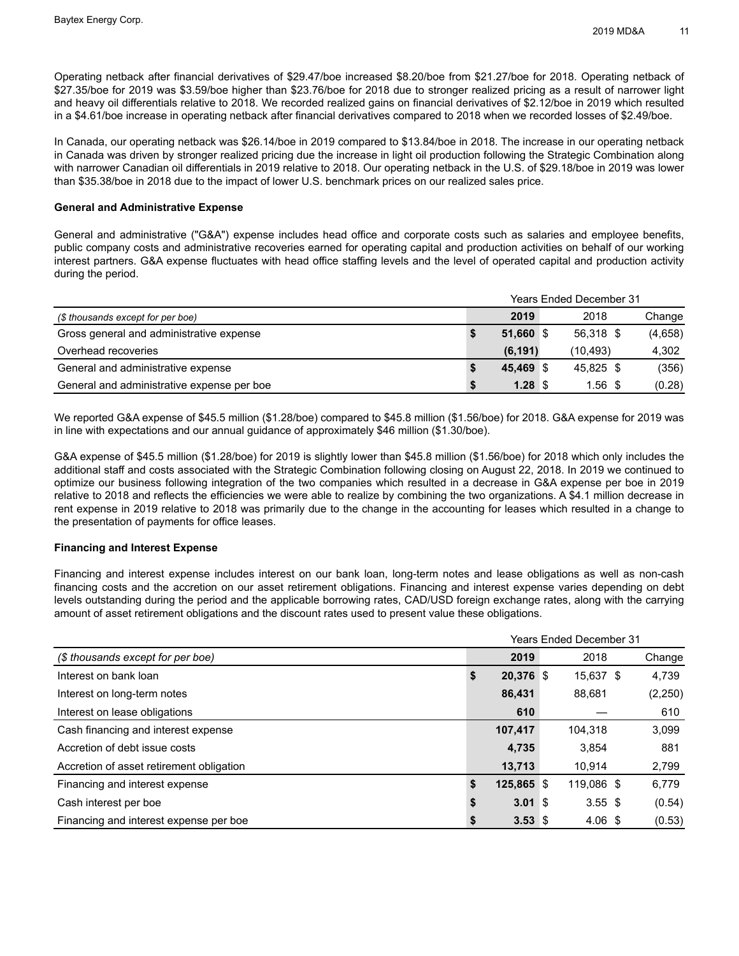Operating netback after financial derivatives of \$29.47/boe increased \$8.20/boe from \$21.27/boe for 2018. Operating netback of \$27.35/boe for 2019 was \$3.59/boe higher than \$23.76/boe for 2018 due to stronger realized pricing as a result of narrower light and heavy oil differentials relative to 2018. We recorded realized gains on financial derivatives of \$2.12/boe in 2019 which resulted in a \$4.61/boe increase in operating netback after financial derivatives compared to 2018 when we recorded losses of \$2.49/boe.

In Canada, our operating netback was \$26.14/boe in 2019 compared to \$13.84/boe in 2018. The increase in our operating netback in Canada was driven by stronger realized pricing due the increase in light oil production following the Strategic Combination along with narrower Canadian oil differentials in 2019 relative to 2018. Our operating netback in the U.S. of \$29.18/boe in 2019 was lower than \$35.38/boe in 2018 due to the impact of lower U.S. benchmark prices on our realized sales price.

## **General and Administrative Expense**

General and administrative ("G&A") expense includes head office and corporate costs such as salaries and employee benefits, public company costs and administrative recoveries earned for operating capital and production activities on behalf of our working interest partners. G&A expense fluctuates with head office staffing levels and the level of operated capital and production activity during the period.

|                                            |           | <b>Years Ended December 31</b> |         |
|--------------------------------------------|-----------|--------------------------------|---------|
| (\$ thousands except for per boe)          | 2019      | 2018                           | Change  |
| Gross general and administrative expense   | 51.660 \$ | 56.318 \$                      | (4,658) |
| Overhead recoveries                        | (6, 191)  | (10.493)                       | 4,302   |
| General and administrative expense         | 45.469 \$ | 45.825 \$                      | (356)   |
| General and administrative expense per boe | $1.28$ \$ | $1.56$ \$                      | (0.28)  |

We reported G&A expense of \$45.5 million (\$1.28/boe) compared to \$45.8 million (\$1.56/boe) for 2018. G&A expense for 2019 was in line with expectations and our annual guidance of approximately \$46 million (\$1.30/boe).

G&A expense of \$45.5 million (\$1.28/boe) for 2019 is slightly lower than \$45.8 million (\$1.56/boe) for 2018 which only includes the additional staff and costs associated with the Strategic Combination following closing on August 22, 2018. In 2019 we continued to optimize our business following integration of the two companies which resulted in a decrease in G&A expense per boe in 2019 relative to 2018 and reflects the efficiencies we were able to realize by combining the two organizations. A \$4.1 million decrease in rent expense in 2019 relative to 2018 was primarily due to the change in the accounting for leases which resulted in a change to the presentation of payments for office leases.

## **Financing and Interest Expense**

Financing and interest expense includes interest on our bank loan, long-term notes and lease obligations as well as non-cash financing costs and the accretion on our asset retirement obligations. Financing and interest expense varies depending on debt levels outstanding during the period and the applicable borrowing rates, CAD/USD foreign exchange rates, along with the carrying amount of asset retirement obligations and the discount rates used to present value these obligations.

|                                          | <b>Years Ended December 31</b> |              |  |                  |  |          |  |  |
|------------------------------------------|--------------------------------|--------------|--|------------------|--|----------|--|--|
| (\$ thousands except for per boe)        | 2019<br>2018                   |              |  |                  |  |          |  |  |
| Interest on bank loan                    | \$                             | 20,376 \$    |  | 15,637 \$        |  | 4,739    |  |  |
| Interest on long-term notes              |                                | 86,431       |  | 88,681           |  | (2, 250) |  |  |
| Interest on lease obligations            |                                | 610          |  |                  |  | 610      |  |  |
| Cash financing and interest expense      |                                | 107,417      |  | 104.318          |  | 3,099    |  |  |
| Accretion of debt issue costs            |                                | 4,735        |  | 3,854            |  | 881      |  |  |
| Accretion of asset retirement obligation |                                | 13.713       |  | 10.914           |  | 2,799    |  |  |
| Financing and interest expense           | \$                             | $125,865$ \$ |  | 119,086 \$       |  | 6,779    |  |  |
| Cash interest per boe                    | \$                             | $3.01$ \$    |  | $3.55$ \$        |  | (0.54)   |  |  |
| Financing and interest expense per boe   | S                              | $3.53$ \$    |  | $4.06~{\rm \AA}$ |  | (0.53)   |  |  |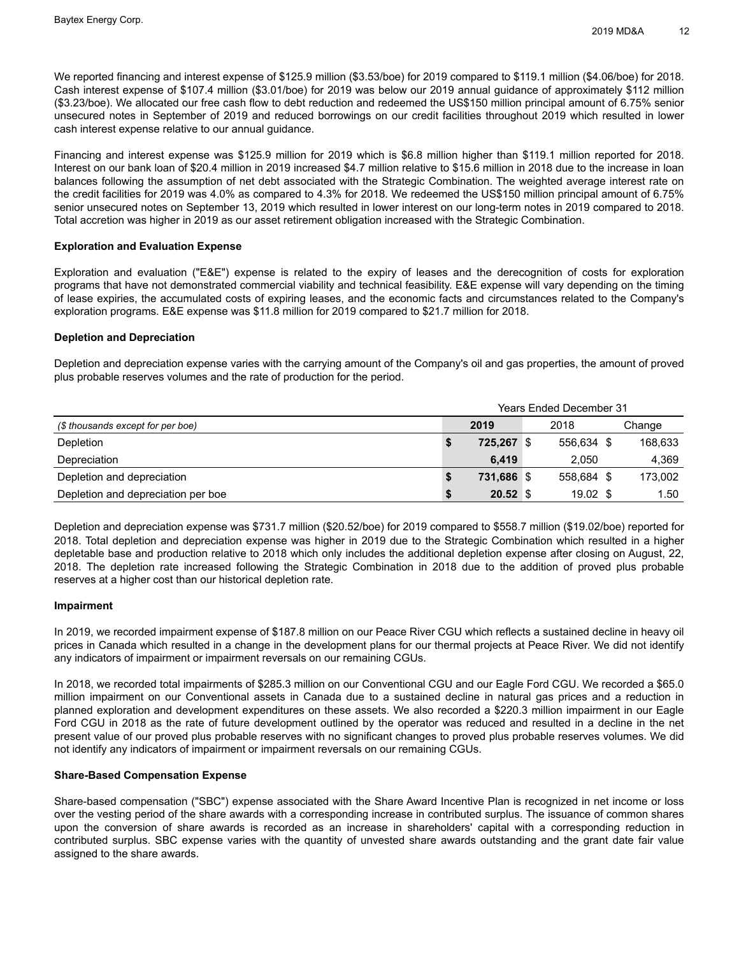We reported financing and interest expense of \$125.9 million (\$3.53/boe) for 2019 compared to \$119.1 million (\$4.06/boe) for 2018. Cash interest expense of \$107.4 million (\$3.01/boe) for 2019 was below our 2019 annual guidance of approximately \$112 million (\$3.23/boe). We allocated our free cash flow to debt reduction and redeemed the US\$150 million principal amount of 6.75% senior unsecured notes in September of 2019 and reduced borrowings on our credit facilities throughout 2019 which resulted in lower cash interest expense relative to our annual guidance.

Financing and interest expense was \$125.9 million for 2019 which is \$6.8 million higher than \$119.1 million reported for 2018. Interest on our bank loan of \$20.4 million in 2019 increased \$4.7 million relative to \$15.6 million in 2018 due to the increase in loan balances following the assumption of net debt associated with the Strategic Combination. The weighted average interest rate on the credit facilities for 2019 was 4.0% as compared to 4.3% for 2018. We redeemed the US\$150 million principal amount of 6.75% senior unsecured notes on September 13, 2019 which resulted in lower interest on our long-term notes in 2019 compared to 2018. Total accretion was higher in 2019 as our asset retirement obligation increased with the Strategic Combination.

## **Exploration and Evaluation Expense**

Exploration and evaluation ("E&E") expense is related to the expiry of leases and the derecognition of costs for exploration programs that have not demonstrated commercial viability and technical feasibility. E&E expense will vary depending on the timing of lease expiries, the accumulated costs of expiring leases, and the economic facts and circumstances related to the Company's exploration programs. E&E expense was \$11.8 million for 2019 compared to \$21.7 million for 2018.

## **Depletion and Depreciation**

Depletion and depreciation expense varies with the carrying amount of the Company's oil and gas properties, the amount of proved plus probable reserves volumes and the rate of production for the period.

|                                    | <b>Years Ended December 31</b>            |            |     |            |  |         |  |  |
|------------------------------------|-------------------------------------------|------------|-----|------------|--|---------|--|--|
| (\$ thousands except for per boe)  | 2019<br>2018<br>Change                    |            |     |            |  |         |  |  |
| Depletion                          |                                           | 725.267    | ∣\$ | 556.634 \$ |  | 168,633 |  |  |
| Depreciation                       |                                           | 6.419      |     | 2.050      |  | 4,369   |  |  |
| Depletion and depreciation         |                                           | 731.686 \$ |     | 558.684 \$ |  | 173.002 |  |  |
| Depletion and depreciation per boe | $20.52$ \$<br>$19.02 \text{ }$ \$<br>1.50 |            |     |            |  |         |  |  |

Depletion and depreciation expense was \$731.7 million (\$20.52/boe) for 2019 compared to \$558.7 million (\$19.02/boe) reported for 2018. Total depletion and depreciation expense was higher in 2019 due to the Strategic Combination which resulted in a higher depletable base and production relative to 2018 which only includes the additional depletion expense after closing on August, 22, 2018. The depletion rate increased following the Strategic Combination in 2018 due to the addition of proved plus probable reserves at a higher cost than our historical depletion rate.

## **Impairment**

In 2019, we recorded impairment expense of \$187.8 million on our Peace River CGU which reflects a sustained decline in heavy oil prices in Canada which resulted in a change in the development plans for our thermal projects at Peace River. We did not identify any indicators of impairment or impairment reversals on our remaining CGUs.

In 2018, we recorded total impairments of \$285.3 million on our Conventional CGU and our Eagle Ford CGU. We recorded a \$65.0 million impairment on our Conventional assets in Canada due to a sustained decline in natural gas prices and a reduction in planned exploration and development expenditures on these assets. We also recorded a \$220.3 million impairment in our Eagle Ford CGU in 2018 as the rate of future development outlined by the operator was reduced and resulted in a decline in the net present value of our proved plus probable reserves with no significant changes to proved plus probable reserves volumes. We did not identify any indicators of impairment or impairment reversals on our remaining CGUs.

## **Share-Based Compensation Expense**

Share-based compensation ("SBC") expense associated with the Share Award Incentive Plan is recognized in net income or loss over the vesting period of the share awards with a corresponding increase in contributed surplus. The issuance of common shares upon the conversion of share awards is recorded as an increase in shareholders' capital with a corresponding reduction in contributed surplus. SBC expense varies with the quantity of unvested share awards outstanding and the grant date fair value assigned to the share awards.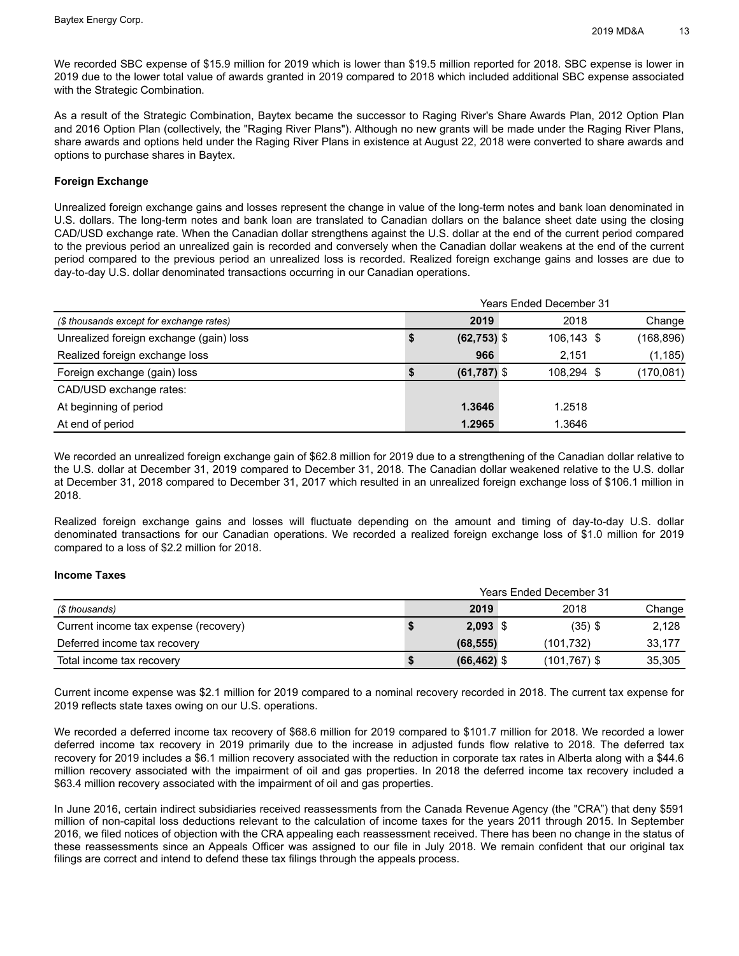We recorded SBC expense of \$15.9 million for 2019 which is lower than \$19.5 million reported for 2018. SBC expense is lower in 2019 due to the lower total value of awards granted in 2019 compared to 2018 which included additional SBC expense associated with the Strategic Combination.

As a result of the Strategic Combination, Baytex became the successor to Raging River's Share Awards Plan, 2012 Option Plan and 2016 Option Plan (collectively, the "Raging River Plans"). Although no new grants will be made under the Raging River Plans, share awards and options held under the Raging River Plans in existence at August 22, 2018 were converted to share awards and options to purchase shares in Baytex.

## **Foreign Exchange**

Unrealized foreign exchange gains and losses represent the change in value of the long-term notes and bank loan denominated in U.S. dollars. The long-term notes and bank loan are translated to Canadian dollars on the balance sheet date using the closing CAD/USD exchange rate. When the Canadian dollar strengthens against the U.S. dollar at the end of the current period compared to the previous period an unrealized gain is recorded and conversely when the Canadian dollar weakens at the end of the current period compared to the previous period an unrealized loss is recorded. Realized foreign exchange gains and losses are due to day-to-day U.S. dollar denominated transactions occurring in our Canadian operations.

|                                          |                | <b>Years Ended December 31</b> |            |
|------------------------------------------|----------------|--------------------------------|------------|
| (\$ thousands except for exchange rates) | 2019           | 2018                           | Change     |
| Unrealized foreign exchange (gain) loss  | $(62, 753)$ \$ | 106,143 \$                     | (168, 896) |
| Realized foreign exchange loss           | 966            | 2.151                          | (1, 185)   |
| Foreign exchange (gain) loss             | $(61, 787)$ \$ | 108.294 \$                     | (170,081)  |
| CAD/USD exchange rates:                  |                |                                |            |
| At beginning of period                   | 1.3646         | 1.2518                         |            |
| At end of period                         | 1.2965         | 1.3646                         |            |

We recorded an unrealized foreign exchange gain of \$62.8 million for 2019 due to a strengthening of the Canadian dollar relative to the U.S. dollar at December 31, 2019 compared to December 31, 2018. The Canadian dollar weakened relative to the U.S. dollar at December 31, 2018 compared to December 31, 2017 which resulted in an unrealized foreign exchange loss of \$106.1 million in 2018.

Realized foreign exchange gains and losses will fluctuate depending on the amount and timing of day-to-day U.S. dollar denominated transactions for our Canadian operations. We recorded a realized foreign exchange loss of \$1.0 million for 2019 compared to a loss of \$2.2 million for 2018.

## **Income Taxes**

|                                       |   | <b>Years Ended December 31</b> |                 |        |
|---------------------------------------|---|--------------------------------|-----------------|--------|
| (\$ thousands)                        |   | 2019                           | 2018            | Change |
| Current income tax expense (recovery) |   | $2,093$ \$                     | $(35)$ \$       | 2,128  |
| Deferred income tax recovery          |   | (68, 555)                      | (101.732)       | 33.177 |
| Total income tax recovery             | ъ | $(66, 462)$ \$                 | $(101, 767)$ \$ | 35,305 |

Current income expense was \$2.1 million for 2019 compared to a nominal recovery recorded in 2018. The current tax expense for 2019 reflects state taxes owing on our U.S. operations.

We recorded a deferred income tax recovery of \$68.6 million for 2019 compared to \$101.7 million for 2018. We recorded a lower deferred income tax recovery in 2019 primarily due to the increase in adjusted funds flow relative to 2018. The deferred tax recovery for 2019 includes a \$6.1 million recovery associated with the reduction in corporate tax rates in Alberta along with a \$44.6 million recovery associated with the impairment of oil and gas properties. In 2018 the deferred income tax recovery included a \$63.4 million recovery associated with the impairment of oil and gas properties.

In June 2016, certain indirect subsidiaries received reassessments from the Canada Revenue Agency (the "CRA") that deny \$591 million of non-capital loss deductions relevant to the calculation of income taxes for the years 2011 through 2015. In September 2016, we filed notices of objection with the CRA appealing each reassessment received. There has been no change in the status of these reassessments since an Appeals Officer was assigned to our file in July 2018. We remain confident that our original tax filings are correct and intend to defend these tax filings through the appeals process.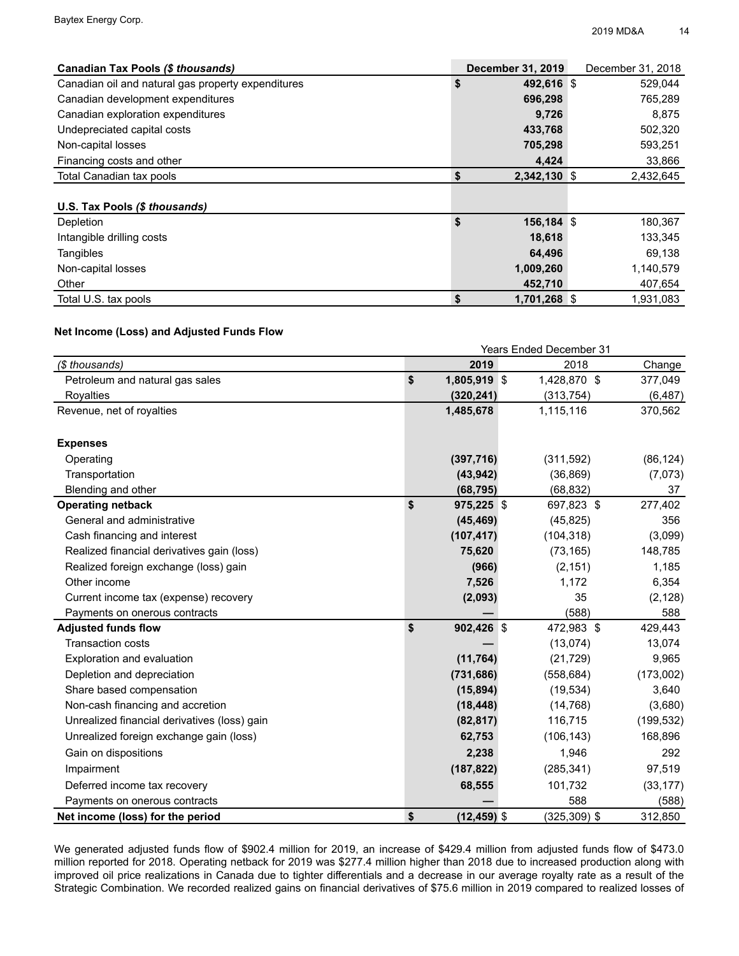| Canadian Tax Pools (\$ thousands)                  | <b>December 31, 2019</b> | December 31, 2018 |
|----------------------------------------------------|--------------------------|-------------------|
| Canadian oil and natural gas property expenditures | \$<br>492,616 \$         | 529,044           |
| Canadian development expenditures                  | 696,298                  | 765,289           |
| Canadian exploration expenditures                  | 9,726                    | 8,875             |
| Undepreciated capital costs                        | 433,768                  | 502,320           |
| Non-capital losses                                 | 705,298                  | 593,251           |
| Financing costs and other                          | 4,424                    | 33,866            |
| Total Canadian tax pools                           | \$<br>2,342,130 \$       | 2,432,645         |
|                                                    |                          |                   |
| U.S. Tax Pools (\$ thousands)                      |                          |                   |
| Depletion                                          | \$<br>$156, 184$ \$      | 180,367           |
| Intangible drilling costs                          | 18,618                   | 133,345           |
| Tangibles                                          | 64,496                   | 69,138            |
| Non-capital losses                                 | 1,009,260                | 1,140,579         |
| Other                                              | 452,710                  | 407,654           |
| Total U.S. tax pools                               | \$<br>1,701,268 \$       | 1.931.083         |

## **Net Income (Loss) and Adjusted Funds Flow**

|                                              |                      | <b>Years Ended December 31</b> |            |
|----------------------------------------------|----------------------|--------------------------------|------------|
| (\$ thousands)                               | 2019                 | 2018                           | Change     |
| Petroleum and natural gas sales              | \$<br>1,805,919 \$   | 1,428,870 \$                   | 377,049    |
| <b>Royalties</b>                             | (320, 241)           | (313, 754)                     | (6, 487)   |
| Revenue, net of royalties                    | 1,485,678            | 1,115,116                      | 370,562    |
| <b>Expenses</b>                              |                      |                                |            |
| Operating                                    | (397, 716)           | (311, 592)                     | (86, 124)  |
| Transportation                               | (43, 942)            | (36, 869)                      | (7,073)    |
| Blending and other                           | (68, 795)            | (68, 832)                      | 37         |
| <b>Operating netback</b>                     | \$<br>975,225 \$     | 697,823 \$                     | 277,402    |
| General and administrative                   | (45, 469)            | (45, 825)                      | 356        |
| Cash financing and interest                  | (107, 417)           | (104, 318)                     | (3,099)    |
| Realized financial derivatives gain (loss)   | 75,620               | (73, 165)                      | 148,785    |
| Realized foreign exchange (loss) gain        | (966)                | (2, 151)                       | 1,185      |
| Other income                                 | 7,526                | 1,172                          | 6,354      |
| Current income tax (expense) recovery        | (2,093)              | 35                             | (2, 128)   |
| Payments on onerous contracts                |                      | (588)                          | 588        |
| <b>Adjusted funds flow</b>                   | \$<br>902,426 \$     | 472,983 \$                     | 429,443    |
| <b>Transaction costs</b>                     |                      | (13,074)                       | 13,074     |
| Exploration and evaluation                   | (11, 764)            | (21, 729)                      | 9,965      |
| Depletion and depreciation                   | (731, 686)           | (558, 684)                     | (173,002)  |
| Share based compensation                     | (15, 894)            | (19, 534)                      | 3,640      |
| Non-cash financing and accretion             | (18, 448)            | (14, 768)                      | (3,680)    |
| Unrealized financial derivatives (loss) gain | (82, 817)            | 116,715                        | (199, 532) |
| Unrealized foreign exchange gain (loss)      | 62,753               | (106, 143)                     | 168,896    |
| Gain on dispositions                         | 2,238                | 1,946                          | 292        |
| Impairment                                   | (187, 822)           | (285, 341)                     | 97,519     |
| Deferred income tax recovery                 | 68,555               | 101,732                        | (33, 177)  |
| Payments on onerous contracts                |                      | 588                            | (588)      |
| Net income (loss) for the period             | \$<br>$(12, 459)$ \$ | $(325, 309)$ \$                | 312,850    |

We generated adjusted funds flow of \$902.4 million for 2019, an increase of \$429.4 million from adjusted funds flow of \$473.0 million reported for 2018. Operating netback for 2019 was \$277.4 million higher than 2018 due to increased production along with improved oil price realizations in Canada due to tighter differentials and a decrease in our average royalty rate as a result of the Strategic Combination. We recorded realized gains on financial derivatives of \$75.6 million in 2019 compared to realized losses of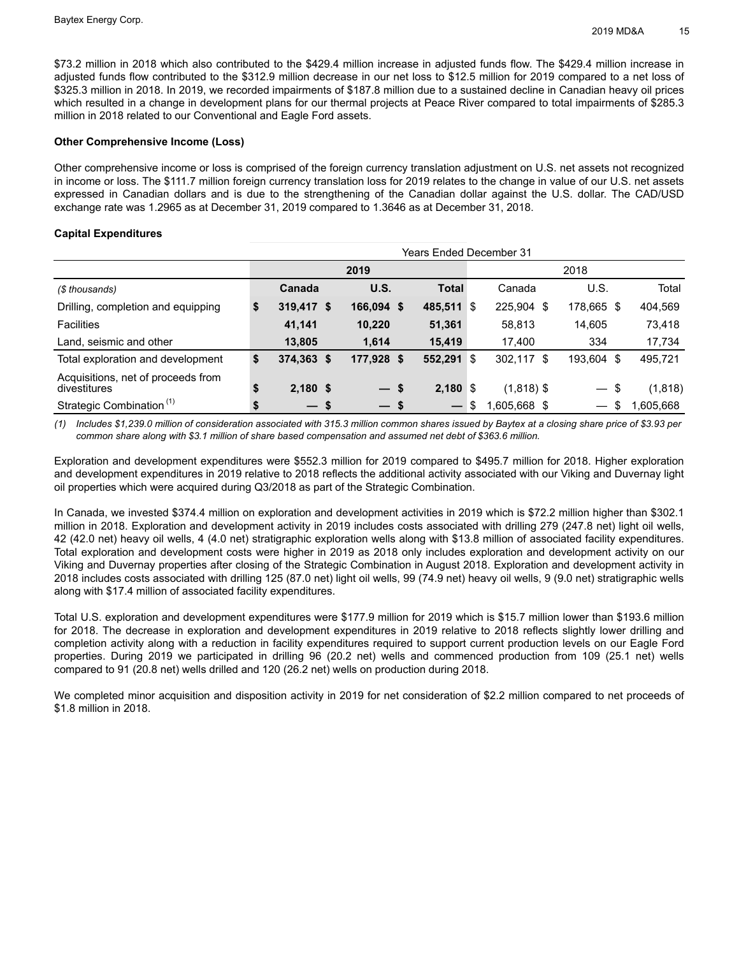\$73.2 million in 2018 which also contributed to the \$429.4 million increase in adjusted funds flow. The \$429.4 million increase in adjusted funds flow contributed to the \$312.9 million decrease in our net loss to \$12.5 million for 2019 compared to a net loss of \$325.3 million in 2018. In 2019, we recorded impairments of \$187.8 million due to a sustained decline in Canadian heavy oil prices which resulted in a change in development plans for our thermal projects at Peace River compared to total impairments of \$285.3 million in 2018 related to our Conventional and Eagle Ford assets.

## **Other Comprehensive Income (Loss)**

Other comprehensive income or loss is comprised of the foreign currency translation adjustment on U.S. net assets not recognized in income or loss. The \$111.7 million foreign currency translation loss for 2019 relates to the change in value of our U.S. net assets expressed in Canadian dollars and is due to the strengthening of the Canadian dollar against the U.S. dollar. The CAD/USD exchange rate was 1.2965 as at December 31, 2019 compared to 1.3646 as at December 31, 2018.

## **Capital Expenditures**

|                                                    | Years Ended December 31 |            |  |                   |     |                 |                                     |           |  |  |  |
|----------------------------------------------------|-------------------------|------------|--|-------------------|-----|-----------------|-------------------------------------|-----------|--|--|--|
|                                                    | 2019<br>2018            |            |  |                   |     |                 |                                     |           |  |  |  |
| (\$ thousands)                                     | Canada                  | U.S.       |  | <b>Total</b>      |     | Canada          | U.S.                                | Total     |  |  |  |
| Drilling, completion and equipping                 | \$<br>319,417 \$        | 166,094 \$ |  | 485,511           | ∣\$ | 225,904<br>- \$ | 178,665 \$                          | 404,569   |  |  |  |
| <b>Facilities</b>                                  | 41,141                  | 10,220     |  | 51,361            |     | 58,813          | 14,605                              | 73,418    |  |  |  |
| Land, seismic and other                            | 13.805                  | 1.614      |  | 15,419            |     | 17.400          | 334                                 | 17,734    |  |  |  |
| Total exploration and development                  | \$<br>374,363 \$        | 177,928 \$ |  | 552,291           | 8   | 302.117 \$      | 193,604 \$                          | 495,721   |  |  |  |
| Acquisitions, net of proceeds from<br>divestitures | \$<br>$2,180$ \$        | $-s$       |  | $2,180$ \$        |     | $(1,818)$ \$    | \$<br>$\overbrace{\phantom{13333}}$ | (1,818)   |  |  |  |
| Strategic Combination <sup>(1)</sup>               | \$<br>$-s$              | $-s$       |  | $\hspace{0.05cm}$ | S   | 1,605,668 \$    | $\hspace{0.05cm}$                   | 1,605,668 |  |  |  |

*(1) Includes \$1,239.0 million of consideration associated with 315.3 million common shares issued by Baytex at a closing share price of \$3.93 per common share along with \$3.1 million of share based compensation and assumed net debt of \$363.6 million.*

Exploration and development expenditures were \$552.3 million for 2019 compared to \$495.7 million for 2018. Higher exploration and development expenditures in 2019 relative to 2018 reflects the additional activity associated with our Viking and Duvernay light oil properties which were acquired during Q3/2018 as part of the Strategic Combination.

In Canada, we invested \$374.4 million on exploration and development activities in 2019 which is \$72.2 million higher than \$302.1 million in 2018. Exploration and development activity in 2019 includes costs associated with drilling 279 (247.8 net) light oil wells, 42 (42.0 net) heavy oil wells, 4 (4.0 net) stratigraphic exploration wells along with \$13.8 million of associated facility expenditures. Total exploration and development costs were higher in 2019 as 2018 only includes exploration and development activity on our Viking and Duvernay properties after closing of the Strategic Combination in August 2018. Exploration and development activity in 2018 includes costs associated with drilling 125 (87.0 net) light oil wells, 99 (74.9 net) heavy oil wells, 9 (9.0 net) stratigraphic wells along with \$17.4 million of associated facility expenditures.

Total U.S. exploration and development expenditures were \$177.9 million for 2019 which is \$15.7 million lower than \$193.6 million for 2018. The decrease in exploration and development expenditures in 2019 relative to 2018 reflects slightly lower drilling and completion activity along with a reduction in facility expenditures required to support current production levels on our Eagle Ford properties. During 2019 we participated in drilling 96 (20.2 net) wells and commenced production from 109 (25.1 net) wells compared to 91 (20.8 net) wells drilled and 120 (26.2 net) wells on production during 2018.

We completed minor acquisition and disposition activity in 2019 for net consideration of \$2.2 million compared to net proceeds of \$1.8 million in 2018.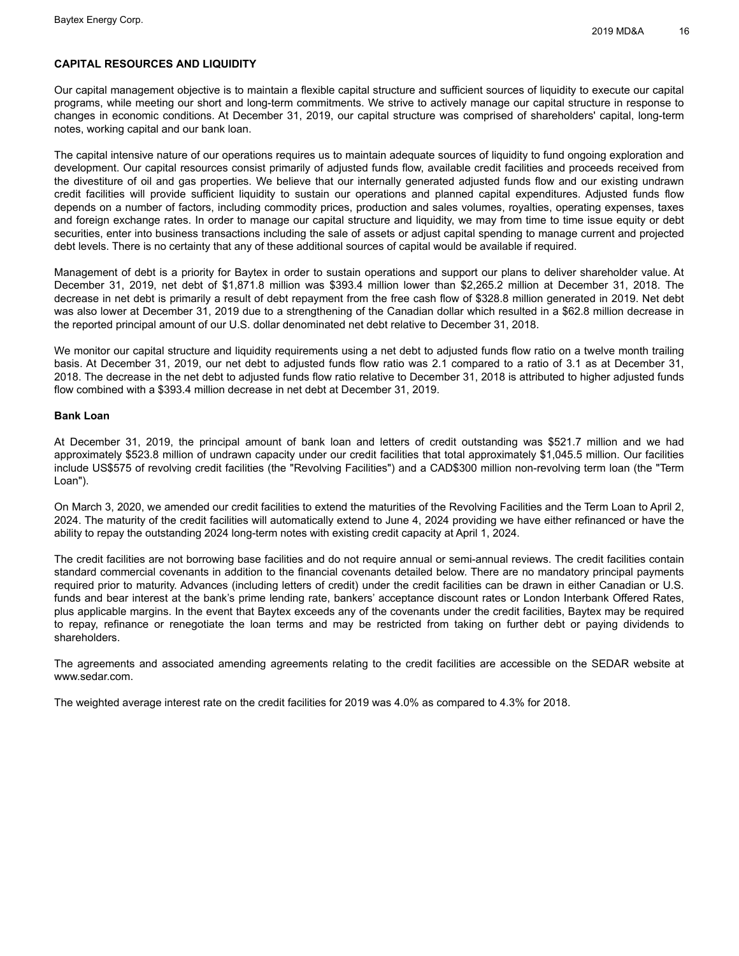## **CAPITAL RESOURCES AND LIQUIDITY**

Our capital management objective is to maintain a flexible capital structure and sufficient sources of liquidity to execute our capital programs, while meeting our short and long-term commitments. We strive to actively manage our capital structure in response to changes in economic conditions. At December 31, 2019, our capital structure was comprised of shareholders' capital, long-term notes, working capital and our bank loan.

The capital intensive nature of our operations requires us to maintain adequate sources of liquidity to fund ongoing exploration and development. Our capital resources consist primarily of adjusted funds flow, available credit facilities and proceeds received from the divestiture of oil and gas properties. We believe that our internally generated adjusted funds flow and our existing undrawn credit facilities will provide sufficient liquidity to sustain our operations and planned capital expenditures. Adjusted funds flow depends on a number of factors, including commodity prices, production and sales volumes, royalties, operating expenses, taxes and foreign exchange rates. In order to manage our capital structure and liquidity, we may from time to time issue equity or debt securities, enter into business transactions including the sale of assets or adjust capital spending to manage current and projected debt levels. There is no certainty that any of these additional sources of capital would be available if required.

Management of debt is a priority for Baytex in order to sustain operations and support our plans to deliver shareholder value. At December 31, 2019, net debt of \$1,871.8 million was \$393.4 million lower than \$2,265.2 million at December 31, 2018. The decrease in net debt is primarily a result of debt repayment from the free cash flow of \$328.8 million generated in 2019. Net debt was also lower at December 31, 2019 due to a strengthening of the Canadian dollar which resulted in a \$62.8 million decrease in the reported principal amount of our U.S. dollar denominated net debt relative to December 31, 2018.

We monitor our capital structure and liquidity requirements using a net debt to adjusted funds flow ratio on a twelve month trailing basis. At December 31, 2019, our net debt to adjusted funds flow ratio was 2.1 compared to a ratio of 3.1 as at December 31, 2018. The decrease in the net debt to adjusted funds flow ratio relative to December 31, 2018 is attributed to higher adjusted funds flow combined with a \$393.4 million decrease in net debt at December 31, 2019.

## **Bank Loan**

At December 31, 2019, the principal amount of bank loan and letters of credit outstanding was \$521.7 million and we had approximately \$523.8 million of undrawn capacity under our credit facilities that total approximately \$1,045.5 million. Our facilities include US\$575 of revolving credit facilities (the "Revolving Facilities") and a CAD\$300 million non-revolving term loan (the "Term Loan").

On March 3, 2020, we amended our credit facilities to extend the maturities of the Revolving Facilities and the Term Loan to April 2, 2024. The maturity of the credit facilities will automatically extend to June 4, 2024 providing we have either refinanced or have the ability to repay the outstanding 2024 long-term notes with existing credit capacity at April 1, 2024.

The credit facilities are not borrowing base facilities and do not require annual or semi-annual reviews. The credit facilities contain standard commercial covenants in addition to the financial covenants detailed below. There are no mandatory principal payments required prior to maturity. Advances (including letters of credit) under the credit facilities can be drawn in either Canadian or U.S. funds and bear interest at the bank's prime lending rate, bankers' acceptance discount rates or London Interbank Offered Rates, plus applicable margins. In the event that Baytex exceeds any of the covenants under the credit facilities, Baytex may be required to repay, refinance or renegotiate the loan terms and may be restricted from taking on further debt or paying dividends to shareholders.

The agreements and associated amending agreements relating to the credit facilities are accessible on the SEDAR website at www.sedar.com.

The weighted average interest rate on the credit facilities for 2019 was 4.0% as compared to 4.3% for 2018.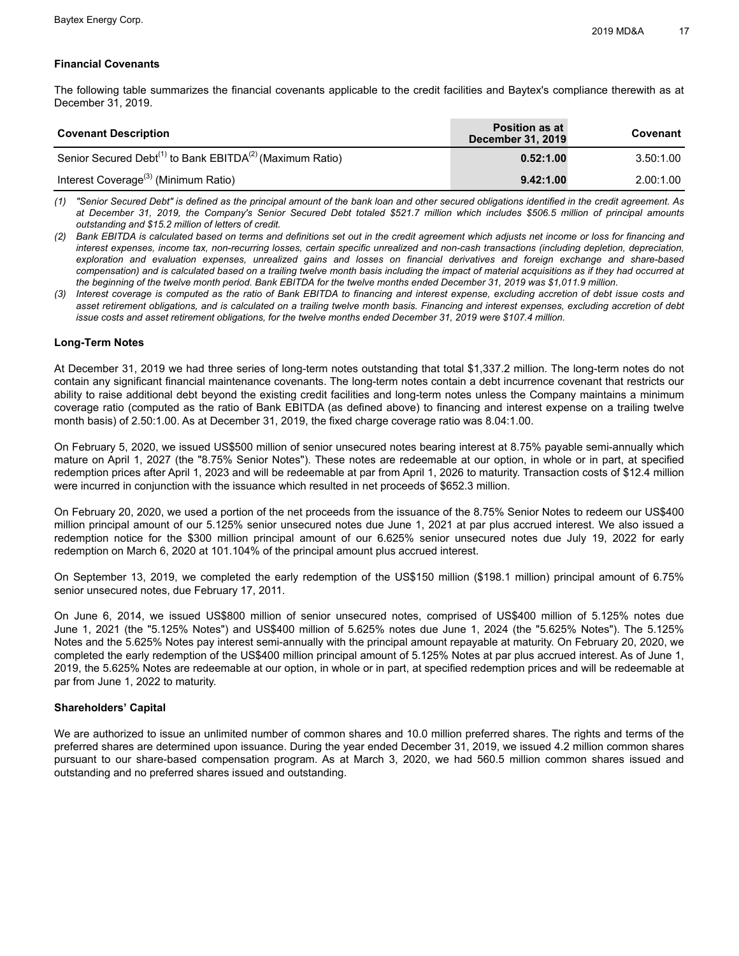## **Financial Covenants**

The following table summarizes the financial covenants applicable to the credit facilities and Baytex's compliance therewith as at December 31, 2019.

| <b>Covenant Description</b>                                                      | <b>Position as at</b><br><b>December 31, 2019</b> | Covenant  |
|----------------------------------------------------------------------------------|---------------------------------------------------|-----------|
| Senior Secured Debt <sup>(1)</sup> to Bank EBITDA <sup>(2)</sup> (Maximum Ratio) | 0.52:1.00                                         | 3.50:1.00 |
| Interest Coverage <sup>(3)</sup> (Minimum Ratio)                                 | 9.42:1.00                                         | 2.00:1.00 |

(1) "Senior Secured Debt" is defined as the principal amount of the bank loan and other secured obligations identified in the credit agreement. As at December 31, 2019, the Company's Senior Secured Debt totaled \$521.7 million which includes \$506.5 million of principal amounts *outstanding and \$15.2 million of letters of credit.*

(2) Bank EBITDA is calculated based on terms and definitions set out in the credit agreement which adjusts net income or loss for financing and interest expenses, income tax, non-recurring losses, certain specific unrealized and non-cash transactions (including depletion, depreciation, exploration and evaluation expenses, unrealized gains and losses on financial derivatives and foreign exchange and share-based compensation) and is calculated based on a trailing twelve month basis including the impact of material acquisitions as if they had occurred at the beginning of the twelve month period. Bank EBITDA for the twelve months ended December 31, 2019 was \$1,011.9 million.

(3) Interest coverage is computed as the ratio of Bank EBITDA to financing and interest expense, excluding accretion of debt issue costs and asset retirement obligations, and is calculated on a trailing twelve month basis. Financing and interest expenses, excluding accretion of debt issue costs and asset retirement obligations, for the twelve months ended December 31, 2019 were \$107.4 million.

## **Long-Term Notes**

At December 31, 2019 we had three series of long-term notes outstanding that total \$1,337.2 million. The long-term notes do not contain any significant financial maintenance covenants. The long-term notes contain a debt incurrence covenant that restricts our ability to raise additional debt beyond the existing credit facilities and long-term notes unless the Company maintains a minimum coverage ratio (computed as the ratio of Bank EBITDA (as defined above) to financing and interest expense on a trailing twelve month basis) of 2.50:1.00. As at December 31, 2019, the fixed charge coverage ratio was 8.04:1.00.

On February 5, 2020, we issued US\$500 million of senior unsecured notes bearing interest at 8.75% payable semi-annually which mature on April 1, 2027 (the "8.75% Senior Notes"). These notes are redeemable at our option, in whole or in part, at specified redemption prices after April 1, 2023 and will be redeemable at par from April 1, 2026 to maturity. Transaction costs of \$12.4 million were incurred in conjunction with the issuance which resulted in net proceeds of \$652.3 million.

On February 20, 2020, we used a portion of the net proceeds from the issuance of the 8.75% Senior Notes to redeem our US\$400 million principal amount of our 5.125% senior unsecured notes due June 1, 2021 at par plus accrued interest. We also issued a redemption notice for the \$300 million principal amount of our 6.625% senior unsecured notes due July 19, 2022 for early redemption on March 6, 2020 at 101.104% of the principal amount plus accrued interest.

On September 13, 2019, we completed the early redemption of the US\$150 million (\$198.1 million) principal amount of 6.75% senior unsecured notes, due February 17, 2011.

On June 6, 2014, we issued US\$800 million of senior unsecured notes, comprised of US\$400 million of 5.125% notes due June 1, 2021 (the "5.125% Notes") and US\$400 million of 5.625% notes due June 1, 2024 (the "5.625% Notes"). The 5.125% Notes and the 5.625% Notes pay interest semi-annually with the principal amount repayable at maturity. On February 20, 2020, we completed the early redemption of the US\$400 million principal amount of 5.125% Notes at par plus accrued interest. As of June 1, 2019, the 5.625% Notes are redeemable at our option, in whole or in part, at specified redemption prices and will be redeemable at par from June 1, 2022 to maturity.

## **Shareholders' Capital**

We are authorized to issue an unlimited number of common shares and 10.0 million preferred shares. The rights and terms of the preferred shares are determined upon issuance. During the year ended December 31, 2019, we issued 4.2 million common shares pursuant to our share-based compensation program. As at March 3, 2020, we had 560.5 million common shares issued and outstanding and no preferred shares issued and outstanding.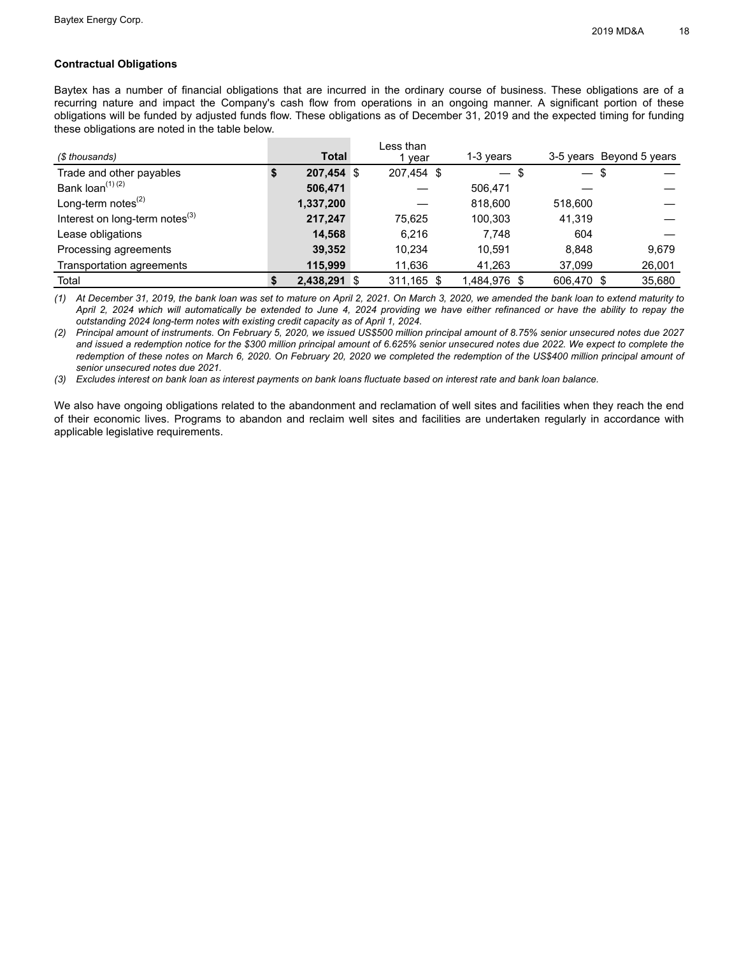## **Contractual Obligations**

Baytex has a number of financial obligations that are incurred in the ordinary course of business. These obligations are of a recurring nature and impact the Company's cash flow from operations in an ongoing manner. A significant portion of these obligations will be funded by adjusted funds flow. These obligations as of December 31, 2019 and the expected timing for funding these obligations are noted in the table below.

| (\$ thousands)                       | Total        | Less than<br>year | 1-3 years                |            | 3-5 years Beyond 5 years |
|--------------------------------------|--------------|-------------------|--------------------------|------------|--------------------------|
| Trade and other payables             | $207,454$ \$ | 207,454 \$        | $\overline{\phantom{0}}$ | — \$       |                          |
| Bank loan <sup>(1)(2)</sup>          | 506,471      |                   | 506.471                  |            |                          |
| Long-term notes $^{(2)}$             | 1,337,200    |                   | 818,600                  | 518,600    |                          |
| Interest on long-term notes $^{(3)}$ | 217,247      | 75.625            | 100.303                  | 41.319     |                          |
| Lease obligations                    | 14,568       | 6.216             | 7.748                    | 604        |                          |
| Processing agreements                | 39,352       | 10.234            | 10.591                   | 8.848      | 9.679                    |
| Transportation agreements            | 115.999      | 11,636            | 41,263                   | 37,099     | 26,001                   |
| Total                                | 2,438,291 \$ | 311,165 \$        | 1,484,976 \$             | 606.470 \$ | 35,680                   |

(1) At December 31, 2019, the bank loan was set to mature on April 2, 2021. On March 3, 2020, we amended the bank loan to extend maturity to April 2, 2024 which will automatically be extended to June 4, 2024 providing we have either refinanced or have the ability to repay the *outstanding 2024 long-term notes with existing credit capacity as of April 1, 2024.*

(2) Principal amount of instruments. On February 5, 2020, we issued US\$500 million principal amount of 8.75% senior unsecured notes due 2027 and issued a redemption notice for the \$300 million principal amount of 6.625% senior unsecured notes due 2022. We expect to complete the redemption of these notes on March 6, 2020. On February 20, 2020 we completed the redemption of the US\$400 million principal amount of *senior unsecured notes due 2021.*

(3) Excludes interest on bank loan as interest payments on bank loans fluctuate based on interest rate and bank loan balance.

We also have ongoing obligations related to the abandonment and reclamation of well sites and facilities when they reach the end of their economic lives. Programs to abandon and reclaim well sites and facilities are undertaken regularly in accordance with applicable legislative requirements.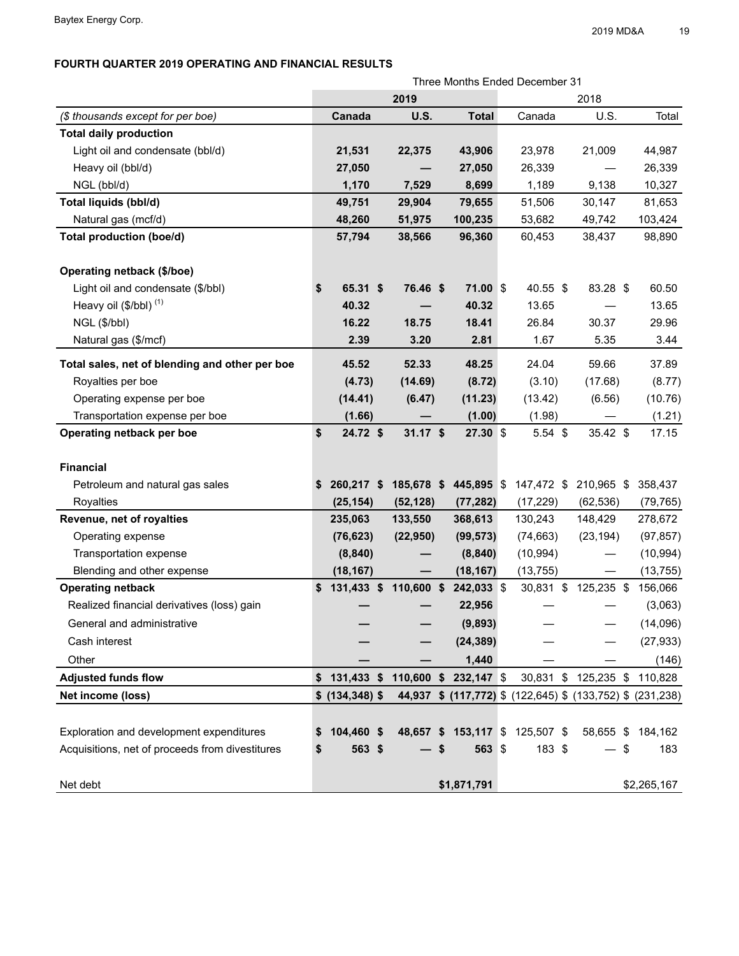# **FOURTH QUARTER 2019 OPERATING AND FINANCIAL RESULTS**

| Three Months Ended December 31                  |    |                       |             |    |                       |  |                                                            |                      |             |
|-------------------------------------------------|----|-----------------------|-------------|----|-----------------------|--|------------------------------------------------------------|----------------------|-------------|
|                                                 |    |                       | 2019        |    |                       |  |                                                            | 2018                 |             |
| (\$ thousands except for per boe)               |    | Canada                | <b>U.S.</b> |    | <b>Total</b>          |  | Canada                                                     | U.S.                 | Total       |
| <b>Total daily production</b>                   |    |                       |             |    |                       |  |                                                            |                      |             |
| Light oil and condensate (bbl/d)                |    | 21,531                | 22,375      |    | 43,906                |  | 23,978                                                     | 21,009               | 44,987      |
| Heavy oil (bbl/d)                               |    | 27,050                |             |    | 27,050                |  | 26,339                                                     |                      | 26,339      |
| NGL (bbl/d)                                     |    | 1,170                 | 7,529       |    | 8,699                 |  | 1,189                                                      | 9,138                | 10,327      |
| Total liquids (bbl/d)                           |    | 49,751                | 29,904      |    | 79,655                |  | 51,506                                                     | 30,147               | 81,653      |
| Natural gas (mcf/d)                             |    | 48,260                | 51,975      |    | 100,235               |  | 53,682                                                     | 49,742               | 103,424     |
| <b>Total production (boe/d)</b>                 |    | 57,794                | 38,566      |    | 96,360                |  | 60,453                                                     | 38,437               | 98,890      |
|                                                 |    |                       |             |    |                       |  |                                                            |                      |             |
| Operating netback (\$/boe)                      |    |                       |             |    |                       |  |                                                            |                      |             |
| Light oil and condensate (\$/bbl)               | \$ | 65.31 \$              | 76.46 \$    |    | $71.00$ \$            |  | 40.55 \$                                                   | 83.28 \$             | 60.50       |
| Heavy oil $(\$/bbl)$ <sup>(1)</sup>             |    | 40.32                 |             |    | 40.32                 |  | 13.65                                                      |                      | 13.65       |
| NGL (\$/bbl)                                    |    | 16.22                 | 18.75       |    | 18.41                 |  | 26.84                                                      | 30.37                | 29.96       |
| Natural gas (\$/mcf)                            |    | 2.39                  | 3.20        |    | 2.81                  |  | 1.67                                                       | 5.35                 | 3.44        |
| Total sales, net of blending and other per boe  |    | 45.52                 | 52.33       |    | 48.25                 |  | 24.04                                                      | 59.66                | 37.89       |
| Royalties per boe                               |    | (4.73)                | (14.69)     |    | (8.72)                |  | (3.10)                                                     | (17.68)              | (8.77)      |
| Operating expense per boe                       |    | (14.41)               | (6.47)      |    | (11.23)               |  | (13.42)                                                    | (6.56)               | (10.76)     |
| Transportation expense per boe                  |    | (1.66)                |             |    | (1.00)                |  | (1.98)                                                     |                      | (1.21)      |
| Operating netback per boe                       | \$ | 24.72 \$              | $31.17$ \$  |    | $27.30$ \$            |  | $5.54$ \$                                                  | 35.42 \$             | 17.15       |
|                                                 |    |                       |             |    |                       |  |                                                            |                      |             |
| <b>Financial</b>                                |    |                       |             |    |                       |  |                                                            |                      |             |
| Petroleum and natural gas sales                 | \$ | 260,217 \$            | 185,678 \$  |    | 445,895 \$            |  | 147,472 \$                                                 | 210,965 \$           | 358,437     |
| Royalties                                       |    | (25, 154)             | (52, 128)   |    | (77, 282)             |  | (17, 229)                                                  | (62, 536)            | (79, 765)   |
| Revenue, net of royalties                       |    | 235,063               | 133,550     |    | 368,613               |  | 130,243                                                    | 148,429              | 278,672     |
| Operating expense                               |    | (76, 623)             | (22, 950)   |    | (99, 573)             |  | (74, 663)                                                  | (23, 194)            | (97, 857)   |
| Transportation expense                          |    | (8, 840)              |             |    | (8, 840)              |  | (10, 994)                                                  |                      | (10, 994)   |
| Blending and other expense                      |    | (18, 167)             |             |    | (18, 167)             |  | (13, 755)                                                  |                      | (13, 755)   |
| <b>Operating netback</b>                        | \$ | 131,433 \$ 110,600 \$ |             |    | 242,033 \$            |  | 30,831 \$                                                  | 125,235 \$           | 156,066     |
| Realized financial derivatives (loss) gain      |    |                       |             |    | 22,956                |  |                                                            |                      | (3,063)     |
| General and administrative                      |    |                       |             |    | (9,893)               |  |                                                            |                      | (14,096)    |
| Cash interest                                   |    |                       |             |    | (24, 389)             |  |                                                            |                      | (27, 933)   |
| Other                                           |    |                       |             |    | 1,440                 |  |                                                            |                      | (146)       |
| <b>Adjusted funds flow</b>                      |    | 131,433 \$            |             |    | 110,600 \$ 232,147 \$ |  |                                                            | 30,831 \$ 125,235 \$ | 110,828     |
| Net income (loss)                               |    | $$$ (134,348) $$$     |             |    |                       |  | 44,937 \$ (117,772) \$ (122,645) \$ (133,752) \$ (231,238) |                      |             |
|                                                 |    |                       |             |    |                       |  |                                                            |                      |             |
| Exploration and development expenditures        | \$ | 104,460 \$            |             |    |                       |  | 48,657 \$ 153,117 \$ 125,507 \$                            | 58,655 \$            | 184,162     |
| Acquisitions, net of proceeds from divestitures | \$ | 563 \$                |             | \$ | 563 \$                |  | 183 \$                                                     | - \$                 | 183         |
|                                                 |    |                       |             |    |                       |  |                                                            |                      |             |
| Net debt                                        |    |                       |             |    | \$1,871,791           |  |                                                            |                      | \$2,265,167 |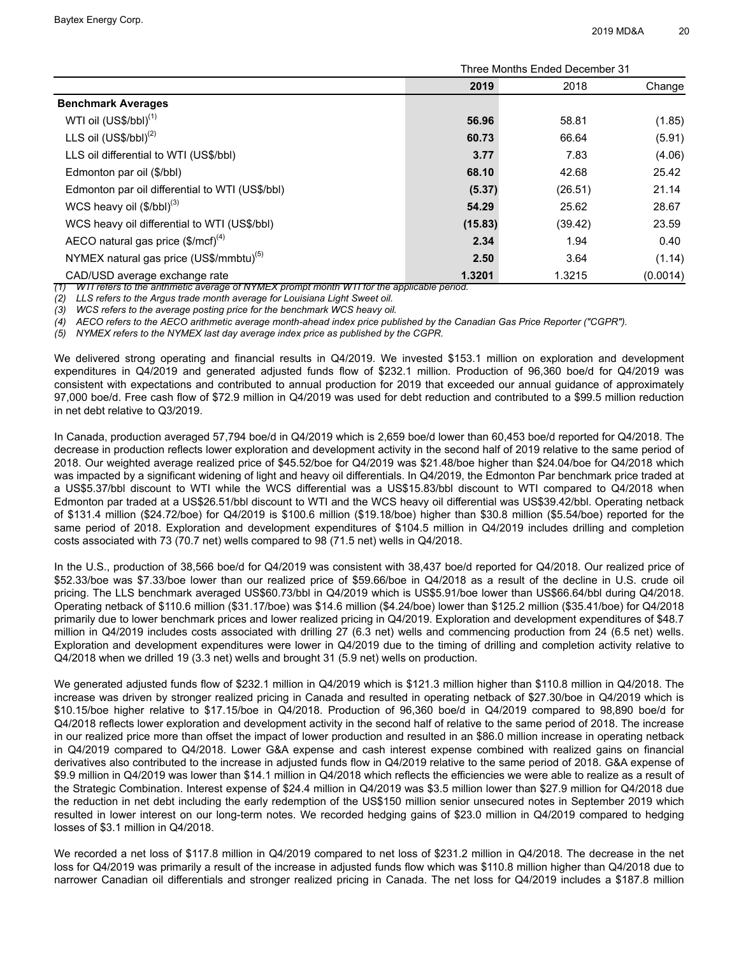|                                                     |         | Three Months Ended December 31 |          |  |  |  |  |  |  |
|-----------------------------------------------------|---------|--------------------------------|----------|--|--|--|--|--|--|
|                                                     | 2019    | 2018                           | Change   |  |  |  |  |  |  |
| <b>Benchmark Averages</b>                           |         |                                |          |  |  |  |  |  |  |
| WTI oil (US\$/bbl) <sup>(1)</sup>                   | 56.96   | 58.81                          | (1.85)   |  |  |  |  |  |  |
| LLS oil $(US$/bbI)^{(2)}$                           | 60.73   | 66.64                          | (5.91)   |  |  |  |  |  |  |
| LLS oil differential to WTI (US\$/bbl)              | 3.77    | 7.83                           | (4.06)   |  |  |  |  |  |  |
| Edmonton par oil (\$/bbl)                           | 68.10   | 42.68                          | 25.42    |  |  |  |  |  |  |
| Edmonton par oil differential to WTI (US\$/bbl)     | (5.37)  | (26.51)                        | 21.14    |  |  |  |  |  |  |
| WCS heavy oil $(\$/bbl)^{(3)}$                      | 54.29   | 25.62                          | 28.67    |  |  |  |  |  |  |
| WCS heavy oil differential to WTI (US\$/bbl)        | (15.83) | (39.42)                        | 23.59    |  |  |  |  |  |  |
| AECO natural gas price (\$/mcf) <sup>(4)</sup>      | 2.34    | 1.94                           | 0.40     |  |  |  |  |  |  |
| NYMEX natural gas price (US\$/mmbtu) <sup>(5)</sup> | 2.50    | 3.64                           | (1.14)   |  |  |  |  |  |  |
| CAD/USD average exchange rate                       | 1.3201  | 1.3215                         | (0.0014) |  |  |  |  |  |  |

*(1) WTI refers to the arithmetic average of NYMEX prompt month WTI for the applicable period.* 

*(2) LLS refers to the Argus trade month average for Louisiana Light Sweet oil.*

*(3) WCS refers to the average posting price for the benchmark WCS heavy oil.* 

*(4) AECO refers to the AECO arithmetic average month-ahead index price published by the Canadian Gas Price Reporter ("CGPR").*

*(5) NYMEX refers to the NYMEX last day average index price as published by the CGPR.*

We delivered strong operating and financial results in Q4/2019. We invested \$153.1 million on exploration and development expenditures in Q4/2019 and generated adjusted funds flow of \$232.1 million. Production of 96,360 boe/d for Q4/2019 was consistent with expectations and contributed to annual production for 2019 that exceeded our annual guidance of approximately 97,000 boe/d. Free cash flow of \$72.9 million in Q4/2019 was used for debt reduction and contributed to a \$99.5 million reduction in net debt relative to Q3/2019.

In Canada, production averaged 57,794 boe/d in Q4/2019 which is 2,659 boe/d lower than 60,453 boe/d reported for Q4/2018. The decrease in production reflects lower exploration and development activity in the second half of 2019 relative to the same period of 2018. Our weighted average realized price of \$45.52/boe for Q4/2019 was \$21.48/boe higher than \$24.04/boe for Q4/2018 which was impacted by a significant widening of light and heavy oil differentials. In Q4/2019, the Edmonton Par benchmark price traded at a US\$5.37/bbl discount to WTI while the WCS differential was a US\$15.83/bbl discount to WTI compared to Q4/2018 when Edmonton par traded at a US\$26.51/bbl discount to WTI and the WCS heavy oil differential was US\$39.42/bbl. Operating netback of \$131.4 million (\$24.72/boe) for Q4/2019 is \$100.6 million (\$19.18/boe) higher than \$30.8 million (\$5.54/boe) reported for the same period of 2018. Exploration and development expenditures of \$104.5 million in Q4/2019 includes drilling and completion costs associated with 73 (70.7 net) wells compared to 98 (71.5 net) wells in Q4/2018.

In the U.S., production of 38,566 boe/d for Q4/2019 was consistent with 38,437 boe/d reported for Q4/2018. Our realized price of \$52.33/boe was \$7.33/boe lower than our realized price of \$59.66/boe in Q4/2018 as a result of the decline in U.S. crude oil pricing. The LLS benchmark averaged US\$60.73/bbl in Q4/2019 which is US\$5.91/boe lower than US\$66.64/bbl during Q4/2018. Operating netback of \$110.6 million (\$31.17/boe) was \$14.6 million (\$4.24/boe) lower than \$125.2 million (\$35.41/boe) for Q4/2018 primarily due to lower benchmark prices and lower realized pricing in Q4/2019. Exploration and development expenditures of \$48.7 million in Q4/2019 includes costs associated with drilling 27 (6.3 net) wells and commencing production from 24 (6.5 net) wells. Exploration and development expenditures were lower in Q4/2019 due to the timing of drilling and completion activity relative to Q4/2018 when we drilled 19 (3.3 net) wells and brought 31 (5.9 net) wells on production.

We generated adjusted funds flow of \$232.1 million in Q4/2019 which is \$121.3 million higher than \$110.8 million in Q4/2018. The increase was driven by stronger realized pricing in Canada and resulted in operating netback of \$27.30/boe in Q4/2019 which is \$10.15/boe higher relative to \$17.15/boe in Q4/2018. Production of 96,360 boe/d in Q4/2019 compared to 98,890 boe/d for Q4/2018 reflects lower exploration and development activity in the second half of relative to the same period of 2018. The increase in our realized price more than offset the impact of lower production and resulted in an \$86.0 million increase in operating netback in Q4/2019 compared to Q4/2018. Lower G&A expense and cash interest expense combined with realized gains on financial derivatives also contributed to the increase in adjusted funds flow in Q4/2019 relative to the same period of 2018. G&A expense of \$9.9 million in Q4/2019 was lower than \$14.1 million in Q4/2018 which reflects the efficiencies we were able to realize as a result of the Strategic Combination. Interest expense of \$24.4 million in Q4/2019 was \$3.5 million lower than \$27.9 million for Q4/2018 due the reduction in net debt including the early redemption of the US\$150 million senior unsecured notes in September 2019 which resulted in lower interest on our long-term notes. We recorded hedging gains of \$23.0 million in Q4/2019 compared to hedging losses of \$3.1 million in Q4/2018.

We recorded a net loss of \$117.8 million in Q4/2019 compared to net loss of \$231.2 million in Q4/2018. The decrease in the net loss for Q4/2019 was primarily a result of the increase in adjusted funds flow which was \$110.8 million higher than Q4/2018 due to narrower Canadian oil differentials and stronger realized pricing in Canada. The net loss for Q4/2019 includes a \$187.8 million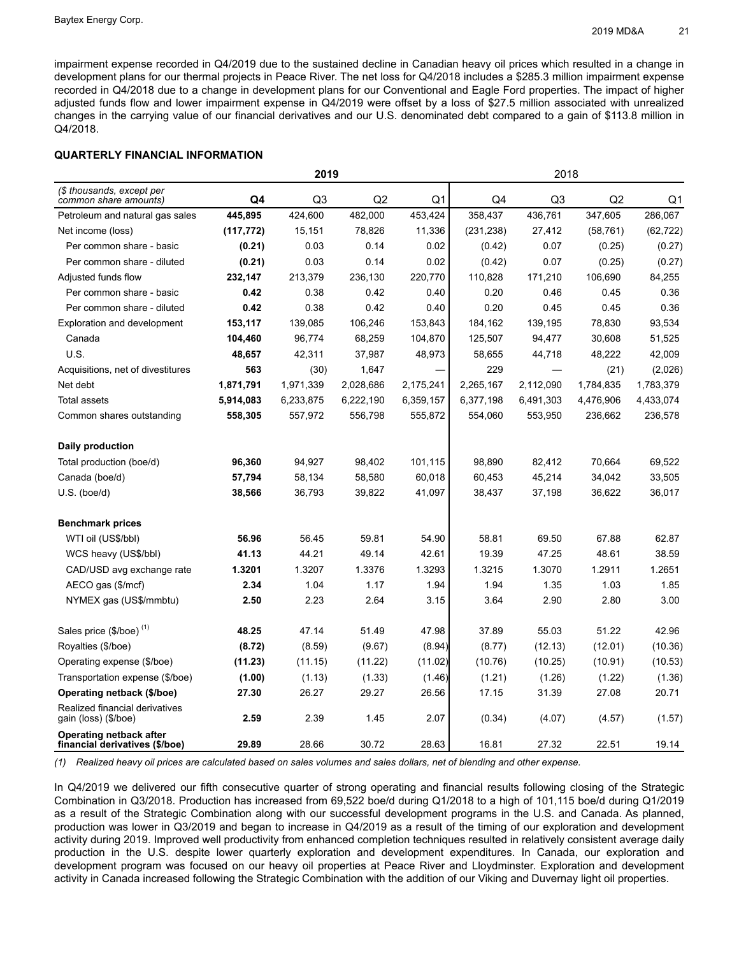impairment expense recorded in Q4/2019 due to the sustained decline in Canadian heavy oil prices which resulted in a change in development plans for our thermal projects in Peace River. The net loss for Q4/2018 includes a \$285.3 million impairment expense recorded in Q4/2018 due to a change in development plans for our Conventional and Eagle Ford properties. The impact of higher adjusted funds flow and lower impairment expense in Q4/2019 were offset by a loss of \$27.5 million associated with unrealized changes in the carrying value of our financial derivatives and our U.S. denominated debt compared to a gain of \$113.8 million in Q4/2018.

## **QUARTERLY FINANCIAL INFORMATION**

|                                                                  |            | 2019      |                |           | 2018       |                |           |           |  |
|------------------------------------------------------------------|------------|-----------|----------------|-----------|------------|----------------|-----------|-----------|--|
| (\$ thousands, except per<br>common share amounts)               | Q4         | Q3        | Q <sub>2</sub> | Q1        | Q4         | Q <sub>3</sub> | Q2        | Q1        |  |
| Petroleum and natural gas sales                                  | 445,895    | 424,600   | 482,000        | 453,424   | 358,437    | 436,761        | 347,605   | 286,067   |  |
| Net income (loss)                                                | (117, 772) | 15,151    | 78,826         | 11,336    | (231, 238) | 27,412         | (58, 761) | (62, 722) |  |
| Per common share - basic                                         | (0.21)     | 0.03      | 0.14           | 0.02      | (0.42)     | 0.07           | (0.25)    | (0.27)    |  |
| Per common share - diluted                                       | (0.21)     | 0.03      | 0.14           | 0.02      | (0.42)     | 0.07           | (0.25)    | (0.27)    |  |
| Adjusted funds flow                                              | 232,147    | 213,379   | 236,130        | 220,770   | 110,828    | 171,210        | 106,690   | 84,255    |  |
| Per common share - basic                                         | 0.42       | 0.38      | 0.42           | 0.40      | 0.20       | 0.46           | 0.45      | 0.36      |  |
| Per common share - diluted                                       | 0.42       | 0.38      | 0.42           | 0.40      | 0.20       | 0.45           | 0.45      | 0.36      |  |
| <b>Exploration and development</b>                               | 153,117    | 139,085   | 106,246        | 153,843   | 184,162    | 139,195        | 78,830    | 93,534    |  |
| Canada                                                           | 104,460    | 96,774    | 68,259         | 104,870   | 125,507    | 94,477         | 30,608    | 51,525    |  |
| U.S.                                                             | 48,657     | 42,311    | 37,987         | 48,973    | 58,655     | 44,718         | 48,222    | 42,009    |  |
| Acquisitions, net of divestitures                                | 563        | (30)      | 1,647          |           | 229        |                | (21)      | (2,026)   |  |
| Net debt                                                         | 1,871,791  | 1,971,339 | 2,028,686      | 2,175,241 | 2,265,167  | 2,112,090      | 1,784,835 | 1,783,379 |  |
| Total assets                                                     | 5,914,083  | 6,233,875 | 6,222,190      | 6,359,157 | 6,377,198  | 6,491,303      | 4,476,906 | 4,433,074 |  |
| Common shares outstanding                                        | 558,305    | 557,972   | 556,798        | 555,872   | 554,060    | 553,950        | 236,662   | 236,578   |  |
| Daily production                                                 |            |           |                |           |            |                |           |           |  |
| Total production (boe/d)                                         | 96,360     | 94,927    | 98,402         | 101,115   | 98,890     | 82,412         | 70,664    | 69,522    |  |
| Canada (boe/d)                                                   | 57,794     | 58,134    | 58,580         | 60,018    | 60,453     | 45,214         | 34,042    | 33,505    |  |
| $U.S.$ (boe/d)                                                   | 38,566     | 36,793    | 39,822         | 41,097    | 38,437     | 37,198         | 36,622    | 36,017    |  |
| <b>Benchmark prices</b>                                          |            |           |                |           |            |                |           |           |  |
| WTI oil (US\$/bbl)                                               | 56.96      | 56.45     | 59.81          | 54.90     | 58.81      | 69.50          | 67.88     | 62.87     |  |
| WCS heavy (US\$/bbl)                                             | 41.13      | 44.21     | 49.14          | 42.61     | 19.39      | 47.25          | 48.61     | 38.59     |  |
| CAD/USD avg exchange rate                                        | 1.3201     | 1.3207    | 1.3376         | 1.3293    | 1.3215     | 1.3070         | 1.2911    | 1.2651    |  |
| AECO gas (\$/mcf)                                                | 2.34       | 1.04      | 1.17           | 1.94      | 1.94       | 1.35           | 1.03      | 1.85      |  |
| NYMEX gas (US\$/mmbtu)                                           | 2.50       | 2.23      | 2.64           | 3.15      | 3.64       | 2.90           | 2.80      | 3.00      |  |
| Sales price (\$/boe) <sup>(1)</sup>                              | 48.25      | 47.14     | 51.49          | 47.98     | 37.89      | 55.03          | 51.22     | 42.96     |  |
| Royalties (\$/boe)                                               | (8.72)     | (8.59)    | (9.67)         | (8.94)    | (8.77)     | (12.13)        | (12.01)   | (10.36)   |  |
| Operating expense (\$/boe)                                       | (11.23)    | (11.15)   | (11.22)        | (11.02)   | (10.76)    | (10.25)        | (10.91)   | (10.53)   |  |
| Transportation expense (\$/boe)                                  | (1.00)     | (1.13)    | (1.33)         | (1.46)    | (1.21)     | (1.26)         | (1.22)    | (1.36)    |  |
| Operating netback (\$/boe)                                       | 27.30      | 26.27     | 29.27          | 26.56     | 17.15      | 31.39          | 27.08     | 20.71     |  |
| Realized financial derivatives<br>gain (loss) (\$/boe)           | 2.59       | 2.39      | 1.45           | 2.07      | (0.34)     | (4.07)         | (4.57)    | (1.57)    |  |
| <b>Operating netback after</b><br>financial derivatives (\$/boe) | 29.89      | 28.66     | 30.72          | 28.63     | 16.81      | 27.32          | 22.51     | 19.14     |  |

*(1) Realized heavy oil prices are calculated based on sales volumes and sales dollars, net of blending and other expense.*

In Q4/2019 we delivered our fifth consecutive quarter of strong operating and financial results following closing of the Strategic Combination in Q3/2018. Production has increased from 69,522 boe/d during Q1/2018 to a high of 101,115 boe/d during Q1/2019 as a result of the Strategic Combination along with our successful development programs in the U.S. and Canada. As planned, production was lower in Q3/2019 and began to increase in Q4/2019 as a result of the timing of our exploration and development activity during 2019. Improved well productivity from enhanced completion techniques resulted in relatively consistent average daily production in the U.S. despite lower quarterly exploration and development expenditures. In Canada, our exploration and development program was focused on our heavy oil properties at Peace River and Lloydminster. Exploration and development activity in Canada increased following the Strategic Combination with the addition of our Viking and Duvernay light oil properties.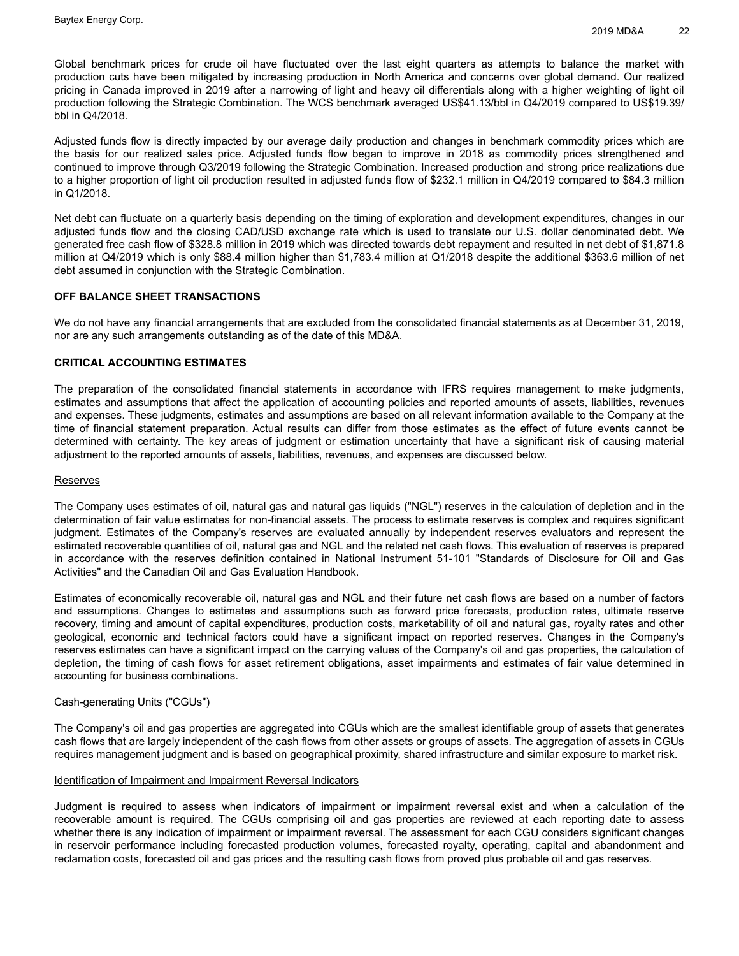Global benchmark prices for crude oil have fluctuated over the last eight quarters as attempts to balance the market with production cuts have been mitigated by increasing production in North America and concerns over global demand. Our realized pricing in Canada improved in 2019 after a narrowing of light and heavy oil differentials along with a higher weighting of light oil production following the Strategic Combination. The WCS benchmark averaged US\$41.13/bbl in Q4/2019 compared to US\$19.39/ bbl in Q4/2018.

Adjusted funds flow is directly impacted by our average daily production and changes in benchmark commodity prices which are the basis for our realized sales price. Adjusted funds flow began to improve in 2018 as commodity prices strengthened and continued to improve through Q3/2019 following the Strategic Combination. Increased production and strong price realizations due to a higher proportion of light oil production resulted in adjusted funds flow of \$232.1 million in Q4/2019 compared to \$84.3 million in Q1/2018.

Net debt can fluctuate on a quarterly basis depending on the timing of exploration and development expenditures, changes in our adjusted funds flow and the closing CAD/USD exchange rate which is used to translate our U.S. dollar denominated debt. We generated free cash flow of \$328.8 million in 2019 which was directed towards debt repayment and resulted in net debt of \$1,871.8 million at Q4/2019 which is only \$88.4 million higher than \$1,783.4 million at Q1/2018 despite the additional \$363.6 million of net debt assumed in conjunction with the Strategic Combination.

## **OFF BALANCE SHEET TRANSACTIONS**

We do not have any financial arrangements that are excluded from the consolidated financial statements as at December 31, 2019, nor are any such arrangements outstanding as of the date of this MD&A.

#### **CRITICAL ACCOUNTING ESTIMATES**

The preparation of the consolidated financial statements in accordance with IFRS requires management to make judgments, estimates and assumptions that affect the application of accounting policies and reported amounts of assets, liabilities, revenues and expenses. These judgments, estimates and assumptions are based on all relevant information available to the Company at the time of financial statement preparation. Actual results can differ from those estimates as the effect of future events cannot be determined with certainty. The key areas of judgment or estimation uncertainty that have a significant risk of causing material adjustment to the reported amounts of assets, liabilities, revenues, and expenses are discussed below.

#### Reserves

The Company uses estimates of oil, natural gas and natural gas liquids ("NGL") reserves in the calculation of depletion and in the determination of fair value estimates for non-financial assets. The process to estimate reserves is complex and requires significant judgment. Estimates of the Company's reserves are evaluated annually by independent reserves evaluators and represent the estimated recoverable quantities of oil, natural gas and NGL and the related net cash flows. This evaluation of reserves is prepared in accordance with the reserves definition contained in National Instrument 51-101 "Standards of Disclosure for Oil and Gas Activities" and the Canadian Oil and Gas Evaluation Handbook.

Estimates of economically recoverable oil, natural gas and NGL and their future net cash flows are based on a number of factors and assumptions. Changes to estimates and assumptions such as forward price forecasts, production rates, ultimate reserve recovery, timing and amount of capital expenditures, production costs, marketability of oil and natural gas, royalty rates and other geological, economic and technical factors could have a significant impact on reported reserves. Changes in the Company's reserves estimates can have a significant impact on the carrying values of the Company's oil and gas properties, the calculation of depletion, the timing of cash flows for asset retirement obligations, asset impairments and estimates of fair value determined in accounting for business combinations.

#### Cash-generating Units ("CGUs")

The Company's oil and gas properties are aggregated into CGUs which are the smallest identifiable group of assets that generates cash flows that are largely independent of the cash flows from other assets or groups of assets. The aggregation of assets in CGUs requires management judgment and is based on geographical proximity, shared infrastructure and similar exposure to market risk.

#### Identification of Impairment and Impairment Reversal Indicators

Judgment is required to assess when indicators of impairment or impairment reversal exist and when a calculation of the recoverable amount is required. The CGUs comprising oil and gas properties are reviewed at each reporting date to assess whether there is any indication of impairment or impairment reversal. The assessment for each CGU considers significant changes in reservoir performance including forecasted production volumes, forecasted royalty, operating, capital and abandonment and reclamation costs, forecasted oil and gas prices and the resulting cash flows from proved plus probable oil and gas reserves.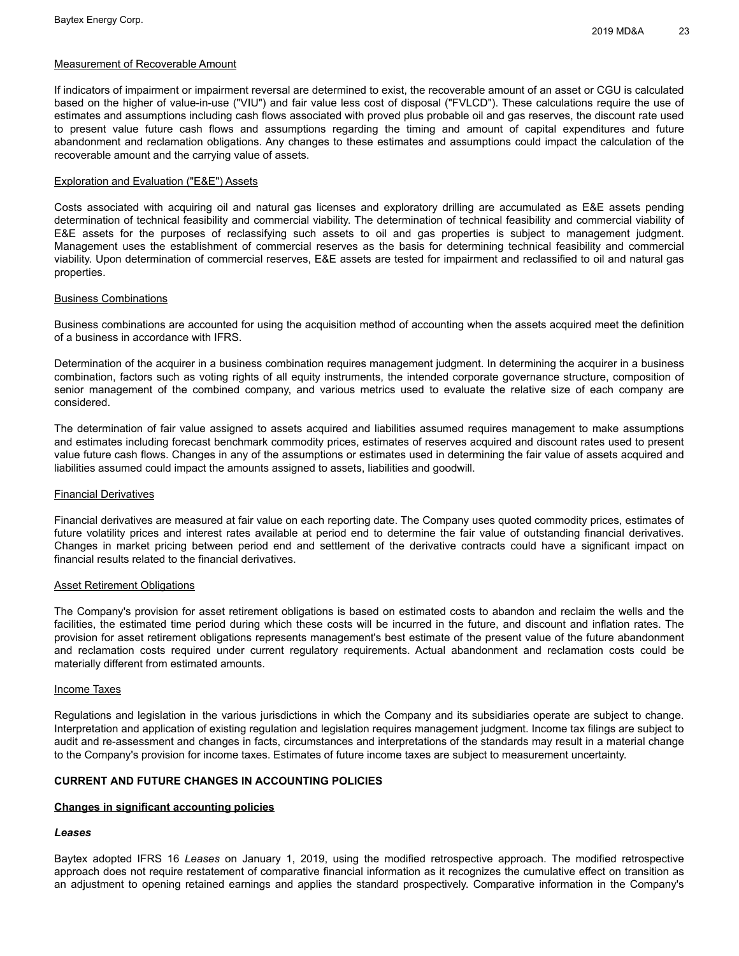#### Measurement of Recoverable Amount

If indicators of impairment or impairment reversal are determined to exist, the recoverable amount of an asset or CGU is calculated based on the higher of value-in-use ("VIU") and fair value less cost of disposal ("FVLCD"). These calculations require the use of estimates and assumptions including cash flows associated with proved plus probable oil and gas reserves, the discount rate used to present value future cash flows and assumptions regarding the timing and amount of capital expenditures and future abandonment and reclamation obligations. Any changes to these estimates and assumptions could impact the calculation of the recoverable amount and the carrying value of assets.

#### Exploration and Evaluation ("E&E") Assets

Costs associated with acquiring oil and natural gas licenses and exploratory drilling are accumulated as E&E assets pending determination of technical feasibility and commercial viability. The determination of technical feasibility and commercial viability of E&E assets for the purposes of reclassifying such assets to oil and gas properties is subject to management judgment. Management uses the establishment of commercial reserves as the basis for determining technical feasibility and commercial viability. Upon determination of commercial reserves, E&E assets are tested for impairment and reclassified to oil and natural gas properties.

#### Business Combinations

Business combinations are accounted for using the acquisition method of accounting when the assets acquired meet the definition of a business in accordance with IFRS.

Determination of the acquirer in a business combination requires management judgment. In determining the acquirer in a business combination, factors such as voting rights of all equity instruments, the intended corporate governance structure, composition of senior management of the combined company, and various metrics used to evaluate the relative size of each company are considered.

The determination of fair value assigned to assets acquired and liabilities assumed requires management to make assumptions and estimates including forecast benchmark commodity prices, estimates of reserves acquired and discount rates used to present value future cash flows. Changes in any of the assumptions or estimates used in determining the fair value of assets acquired and liabilities assumed could impact the amounts assigned to assets, liabilities and goodwill.

#### Financial Derivatives

Financial derivatives are measured at fair value on each reporting date. The Company uses quoted commodity prices, estimates of future volatility prices and interest rates available at period end to determine the fair value of outstanding financial derivatives. Changes in market pricing between period end and settlement of the derivative contracts could have a significant impact on financial results related to the financial derivatives.

#### Asset Retirement Obligations

The Company's provision for asset retirement obligations is based on estimated costs to abandon and reclaim the wells and the facilities, the estimated time period during which these costs will be incurred in the future, and discount and inflation rates. The provision for asset retirement obligations represents management's best estimate of the present value of the future abandonment and reclamation costs required under current regulatory requirements. Actual abandonment and reclamation costs could be materially different from estimated amounts.

#### Income Taxes

Regulations and legislation in the various jurisdictions in which the Company and its subsidiaries operate are subject to change. Interpretation and application of existing regulation and legislation requires management judgment. Income tax filings are subject to audit and re-assessment and changes in facts, circumstances and interpretations of the standards may result in a material change to the Company's provision for income taxes. Estimates of future income taxes are subject to measurement uncertainty.

## **CURRENT AND FUTURE CHANGES IN ACCOUNTING POLICIES**

## **Changes in significant accounting policies**

#### *Leases*

Baytex adopted IFRS 16 *Leases* on January 1, 2019, using the modified retrospective approach. The modified retrospective approach does not require restatement of comparative financial information as it recognizes the cumulative effect on transition as an adjustment to opening retained earnings and applies the standard prospectively. Comparative information in the Company's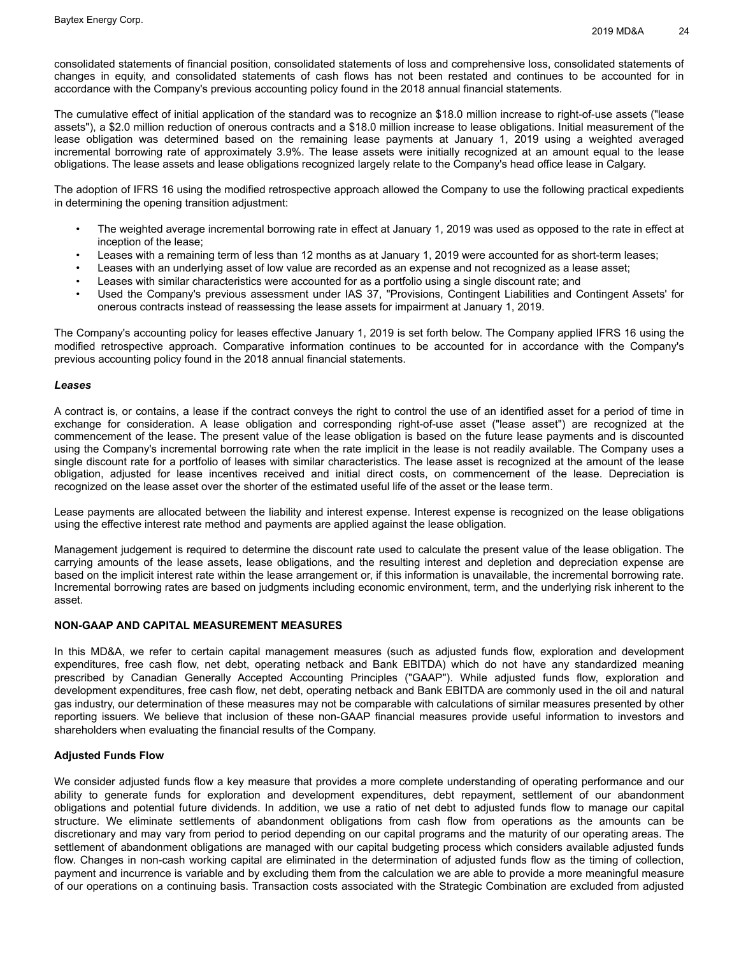consolidated statements of financial position, consolidated statements of loss and comprehensive loss, consolidated statements of changes in equity, and consolidated statements of cash flows has not been restated and continues to be accounted for in accordance with the Company's previous accounting policy found in the 2018 annual financial statements.

The cumulative effect of initial application of the standard was to recognize an \$18.0 million increase to right-of-use assets ("lease assets"), a \$2.0 million reduction of onerous contracts and a \$18.0 million increase to lease obligations. Initial measurement of the lease obligation was determined based on the remaining lease payments at January 1, 2019 using a weighted averaged incremental borrowing rate of approximately 3.9%. The lease assets were initially recognized at an amount equal to the lease obligations. The lease assets and lease obligations recognized largely relate to the Company's head office lease in Calgary.

The adoption of IFRS 16 using the modified retrospective approach allowed the Company to use the following practical expedients in determining the opening transition adjustment:

- The weighted average incremental borrowing rate in effect at January 1, 2019 was used as opposed to the rate in effect at inception of the lease;
- Leases with a remaining term of less than 12 months as at January 1, 2019 were accounted for as short-term leases;
- Leases with an underlying asset of low value are recorded as an expense and not recognized as a lease asset;
- Leases with similar characteristics were accounted for as a portfolio using a single discount rate; and
- Used the Company's previous assessment under IAS 37, "Provisions, Contingent Liabilities and Contingent Assets' for onerous contracts instead of reassessing the lease assets for impairment at January 1, 2019.

The Company's accounting policy for leases effective January 1, 2019 is set forth below. The Company applied IFRS 16 using the modified retrospective approach. Comparative information continues to be accounted for in accordance with the Company's previous accounting policy found in the 2018 annual financial statements.

#### *Leases*

A contract is, or contains, a lease if the contract conveys the right to control the use of an identified asset for a period of time in exchange for consideration. A lease obligation and corresponding right-of-use asset ("lease asset") are recognized at the commencement of the lease. The present value of the lease obligation is based on the future lease payments and is discounted using the Company's incremental borrowing rate when the rate implicit in the lease is not readily available. The Company uses a single discount rate for a portfolio of leases with similar characteristics. The lease asset is recognized at the amount of the lease obligation, adjusted for lease incentives received and initial direct costs, on commencement of the lease. Depreciation is recognized on the lease asset over the shorter of the estimated useful life of the asset or the lease term.

Lease payments are allocated between the liability and interest expense. Interest expense is recognized on the lease obligations using the effective interest rate method and payments are applied against the lease obligation.

Management judgement is required to determine the discount rate used to calculate the present value of the lease obligation. The carrying amounts of the lease assets, lease obligations, and the resulting interest and depletion and depreciation expense are based on the implicit interest rate within the lease arrangement or, if this information is unavailable, the incremental borrowing rate. Incremental borrowing rates are based on judgments including economic environment, term, and the underlying risk inherent to the asset.

#### **NON-GAAP AND CAPITAL MEASUREMENT MEASURES**

In this MD&A, we refer to certain capital management measures (such as adjusted funds flow, exploration and development expenditures, free cash flow, net debt, operating netback and Bank EBITDA) which do not have any standardized meaning prescribed by Canadian Generally Accepted Accounting Principles ("GAAP"). While adjusted funds flow, exploration and development expenditures, free cash flow, net debt, operating netback and Bank EBITDA are commonly used in the oil and natural gas industry, our determination of these measures may not be comparable with calculations of similar measures presented by other reporting issuers. We believe that inclusion of these non-GAAP financial measures provide useful information to investors and shareholders when evaluating the financial results of the Company.

## **Adjusted Funds Flow**

We consider adjusted funds flow a key measure that provides a more complete understanding of operating performance and our ability to generate funds for exploration and development expenditures, debt repayment, settlement of our abandonment obligations and potential future dividends. In addition, we use a ratio of net debt to adjusted funds flow to manage our capital structure. We eliminate settlements of abandonment obligations from cash flow from operations as the amounts can be discretionary and may vary from period to period depending on our capital programs and the maturity of our operating areas. The settlement of abandonment obligations are managed with our capital budgeting process which considers available adjusted funds flow. Changes in non-cash working capital are eliminated in the determination of adjusted funds flow as the timing of collection, payment and incurrence is variable and by excluding them from the calculation we are able to provide a more meaningful measure of our operations on a continuing basis. Transaction costs associated with the Strategic Combination are excluded from adjusted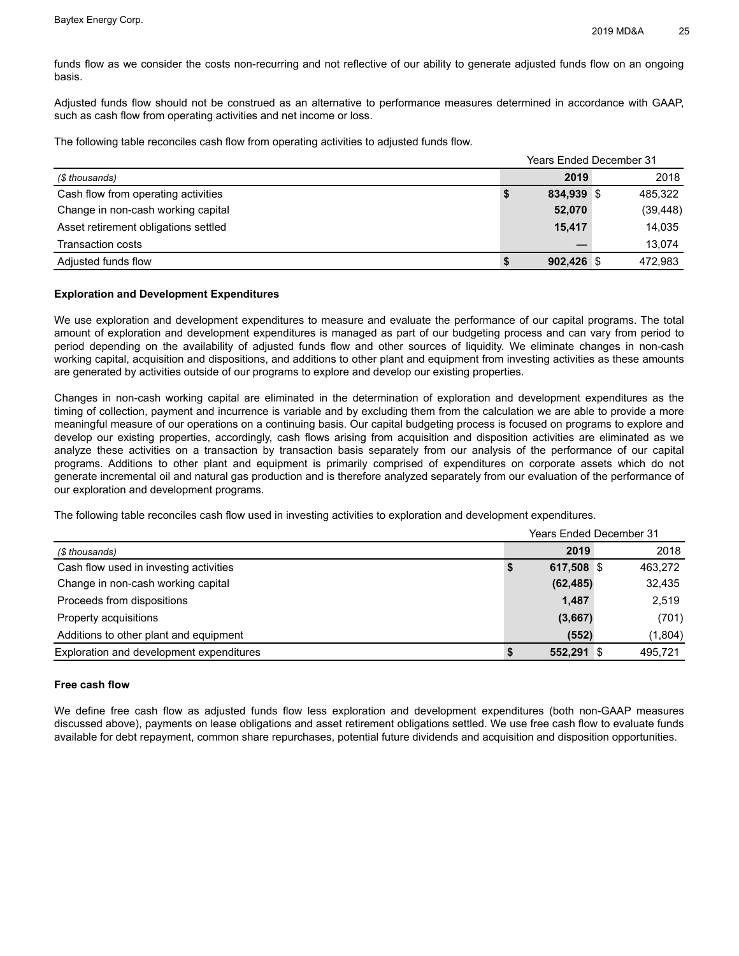funds flow as we consider the costs non-recurring and not reflective of our ability to generate adjusted funds flow on an ongoing basis.

Adjusted funds flow should not be construed as an alternative to performance measures determined in accordance with GAAP, such as cash flow from operating activities and net income or loss.

The following table reconciles cash flow from operating activities to adjusted funds flow.

|                                      | <b>Years Ended December 31</b> |           |  |
|--------------------------------------|--------------------------------|-----------|--|
| (\$ thousands)                       | 2019                           | 2018      |  |
| Cash flow from operating activities  | 834,939 \$                     | 485,322   |  |
| Change in non-cash working capital   | 52,070                         | (39, 448) |  |
| Asset retirement obligations settled | 15.417                         | 14,035    |  |
| <b>Transaction costs</b>             |                                | 13,074    |  |
| Adjusted funds flow                  | $902,426$ \$                   | 472.983   |  |

## **Exploration and Development Expenditures**

We use exploration and development expenditures to measure and evaluate the performance of our capital programs. The total amount of exploration and development expenditures is managed as part of our budgeting process and can vary from period to period depending on the availability of adjusted funds flow and other sources of liquidity. We eliminate changes in non-cash working capital, acquisition and dispositions, and additions to other plant and equipment from investing activities as these amounts are generated by activities outside of our programs to explore and develop our existing properties.

Changes in non-cash working capital are eliminated in the determination of exploration and development expenditures as the timing of collection, payment and incurrence is variable and by excluding them from the calculation we are able to provide a more meaningful measure of our operations on a continuing basis. Our capital budgeting process is focused on programs to explore and develop our existing properties, accordingly, cash flows arising from acquisition and disposition activities are eliminated as we analyze these activities on a transaction by transaction basis separately from our analysis of the performance of our capital programs. Additions to other plant and equipment is primarily comprised of expenditures on corporate assets which do not generate incremental oil and natural gas production and is therefore analyzed separately from our evaluation of the performance of our exploration and development programs.

The following table reconciles cash flow used in investing activities to exploration and development expenditures.

|                                          | <b>Years Ended December 31</b> |            |  |         |  |  |
|------------------------------------------|--------------------------------|------------|--|---------|--|--|
| (\$ thousands)                           |                                | 2019       |  | 2018    |  |  |
| Cash flow used in investing activities   | \$                             | 617,508 \$ |  | 463,272 |  |  |
| Change in non-cash working capital       |                                | (62, 485)  |  | 32,435  |  |  |
| Proceeds from dispositions               |                                | 1,487      |  | 2,519   |  |  |
| Property acquisitions                    |                                | (3,667)    |  | (701)   |  |  |
| Additions to other plant and equipment   |                                | (552)      |  | (1,804) |  |  |
| Exploration and development expenditures |                                | 552,291 \$ |  | 495.721 |  |  |

#### **Free cash flow**

We define free cash flow as adjusted funds flow less exploration and development expenditures (both non-GAAP measures discussed above), payments on lease obligations and asset retirement obligations settled. We use free cash flow to evaluate funds available for debt repayment, common share repurchases, potential future dividends and acquisition and disposition opportunities.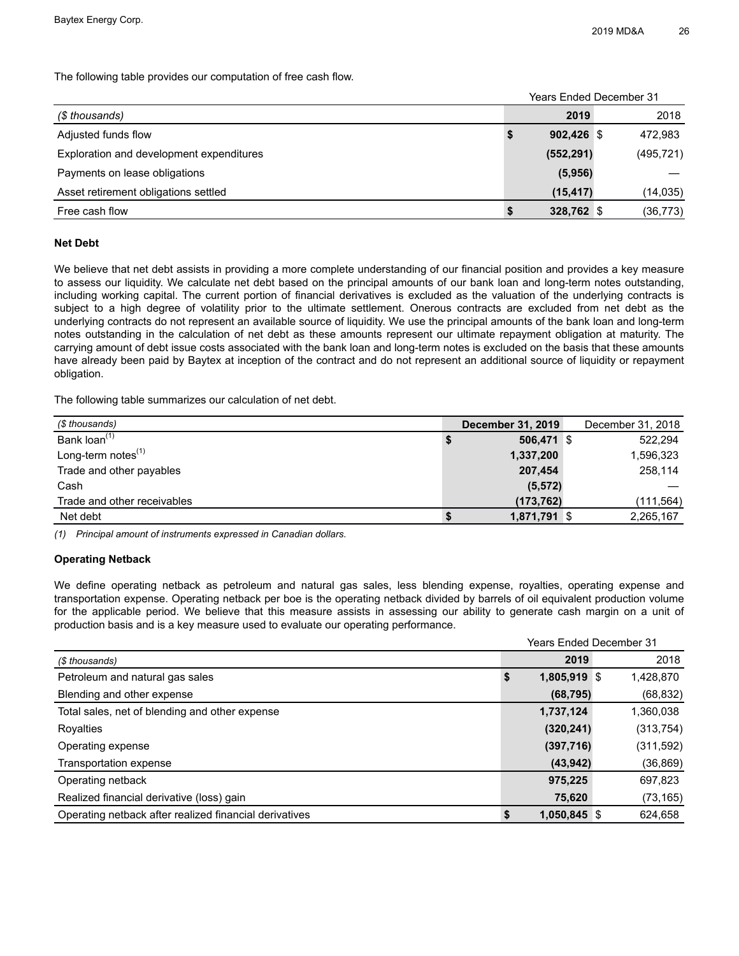The following table provides our computation of free cash flow.

|                                          |    | <b>Years Ended December 31</b> |  |            |
|------------------------------------------|----|--------------------------------|--|------------|
| (\$ thousands)                           |    | 2019                           |  | 2018       |
| Adjusted funds flow                      | \$ | 902.426 \$                     |  | 472,983    |
| Exploration and development expenditures |    | (552, 291)                     |  | (495, 721) |
| Payments on lease obligations            |    | (5,956)                        |  |            |
| Asset retirement obligations settled     |    | (15, 417)                      |  | (14, 035)  |
| Free cash flow                           | S  | 328,762 \$                     |  | (36, 773)  |

## **Net Debt**

We believe that net debt assists in providing a more complete understanding of our financial position and provides a key measure to assess our liquidity. We calculate net debt based on the principal amounts of our bank loan and long-term notes outstanding, including working capital. The current portion of financial derivatives is excluded as the valuation of the underlying contracts is subject to a high degree of volatility prior to the ultimate settlement. Onerous contracts are excluded from net debt as the underlying contracts do not represent an available source of liquidity. We use the principal amounts of the bank loan and long-term notes outstanding in the calculation of net debt as these amounts represent our ultimate repayment obligation at maturity. The carrying amount of debt issue costs associated with the bank loan and long-term notes is excluded on the basis that these amounts have already been paid by Baytex at inception of the contract and do not represent an additional source of liquidity or repayment obligation.

The following table summarizes our calculation of net debt.

| (\$ thousands)              | <b>December 31, 2019</b> | December 31, 2018 |
|-----------------------------|--------------------------|-------------------|
| Bank loan <sup>(1)</sup>    | 506,471 \$               | 522,294           |
| Long-term notes $(1)$       | 1,337,200                | 1,596,323         |
| Trade and other payables    | 207.454                  | 258.114           |
| Cash                        | (5, 572)                 |                   |
| Trade and other receivables | (173, 762)               | (111,564)         |
| Net debt                    | 1,871,791 \$             | 2,265,167         |

*(1) Principal amount of instruments expressed in Canadian dollars.* 

## **Operating Netback**

We define operating netback as petroleum and natural gas sales, less blending expense, royalties, operating expense and transportation expense. Operating netback per boe is the operating netback divided by barrels of oil equivalent production volume for the applicable period. We believe that this measure assists in assessing our ability to generate cash margin on a unit of production basis and is a key measure used to evaluate our operating performance.

| <b>Years Ended December 31</b>                         |    |              |  |            |  |  |
|--------------------------------------------------------|----|--------------|--|------------|--|--|
| (\$ thousands)                                         |    | 2019         |  | 2018       |  |  |
| Petroleum and natural gas sales                        | \$ | 1,805,919 \$ |  | 1,428,870  |  |  |
| Blending and other expense                             |    | (68, 795)    |  | (68, 832)  |  |  |
| Total sales, net of blending and other expense         |    | 1,737,124    |  | 1,360,038  |  |  |
| Royalties                                              |    | (320, 241)   |  | (313, 754) |  |  |
| Operating expense                                      |    | (397, 716)   |  | (311, 592) |  |  |
| Transportation expense                                 |    | (43, 942)    |  | (36, 869)  |  |  |
| Operating netback                                      |    | 975,225      |  | 697,823    |  |  |
| Realized financial derivative (loss) gain              |    | 75,620       |  | (73, 165)  |  |  |
| Operating netback after realized financial derivatives |    | 1,050,845 \$ |  | 624,658    |  |  |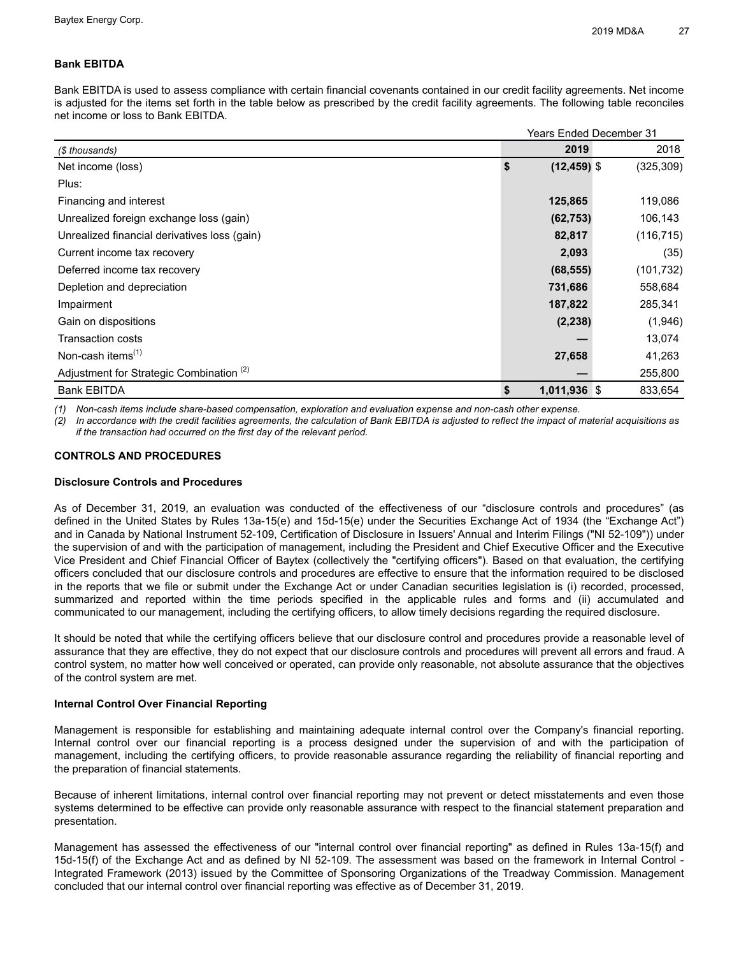## **Bank EBITDA**

Bank EBITDA is used to assess compliance with certain financial covenants contained in our credit facility agreements. Net income is adjusted for the items set forth in the table below as prescribed by the credit facility agreements. The following table reconciles net income or loss to Bank EBITDA.

|                                                     | <b>Years Ended December 31</b> |            |
|-----------------------------------------------------|--------------------------------|------------|
| (\$ thousands)                                      | 2019                           | 2018       |
| Net income (loss)                                   | \$<br>$(12, 459)$ \$           | (325, 309) |
| Plus:                                               |                                |            |
| Financing and interest                              | 125,865                        | 119,086    |
| Unrealized foreign exchange loss (gain)             | (62, 753)                      | 106,143    |
| Unrealized financial derivatives loss (gain)        | 82,817                         | (116, 715) |
| Current income tax recovery                         | 2,093                          | (35)       |
| Deferred income tax recovery                        | (68, 555)                      | (101, 732) |
| Depletion and depreciation                          | 731,686                        | 558,684    |
| Impairment                                          | 187,822                        | 285,341    |
| Gain on dispositions                                | (2, 238)                       | (1,946)    |
| <b>Transaction costs</b>                            |                                | 13,074     |
| Non-cash items <sup>(1)</sup>                       | 27,658                         | 41,263     |
| Adjustment for Strategic Combination <sup>(2)</sup> |                                | 255,800    |
| <b>Bank EBITDA</b>                                  | \$<br>1,011,936 \$             | 833,654    |

*(1) Non-cash items include share-based compensation, exploration and evaluation expense and non-cash other expense.*

*(2) In accordance with the credit facilities agreements, the calculation of Bank EBITDA is adjusted to reflect the impact of material acquisitions as if the transaction had occurred on the first day of the relevant period.*

## **CONTROLS AND PROCEDURES**

## **Disclosure Controls and Procedures**

As of December 31, 2019, an evaluation was conducted of the effectiveness of our "disclosure controls and procedures" (as defined in the United States by Rules 13a-15(e) and 15d-15(e) under the Securities Exchange Act of 1934 (the "Exchange Act") and in Canada by National Instrument 52-109, Certification of Disclosure in Issuers' Annual and Interim Filings ("NI 52-109")) under the supervision of and with the participation of management, including the President and Chief Executive Officer and the Executive Vice President and Chief Financial Officer of Baytex (collectively the "certifying officers"). Based on that evaluation, the certifying officers concluded that our disclosure controls and procedures are effective to ensure that the information required to be disclosed in the reports that we file or submit under the Exchange Act or under Canadian securities legislation is (i) recorded, processed, summarized and reported within the time periods specified in the applicable rules and forms and (ii) accumulated and communicated to our management, including the certifying officers, to allow timely decisions regarding the required disclosure.

It should be noted that while the certifying officers believe that our disclosure control and procedures provide a reasonable level of assurance that they are effective, they do not expect that our disclosure controls and procedures will prevent all errors and fraud. A control system, no matter how well conceived or operated, can provide only reasonable, not absolute assurance that the objectives of the control system are met.

## **Internal Control Over Financial Reporting**

Management is responsible for establishing and maintaining adequate internal control over the Company's financial reporting. Internal control over our financial reporting is a process designed under the supervision of and with the participation of management, including the certifying officers, to provide reasonable assurance regarding the reliability of financial reporting and the preparation of financial statements.

Because of inherent limitations, internal control over financial reporting may not prevent or detect misstatements and even those systems determined to be effective can provide only reasonable assurance with respect to the financial statement preparation and presentation.

Management has assessed the effectiveness of our "internal control over financial reporting" as defined in Rules 13a-15(f) and 15d-15(f) of the Exchange Act and as defined by NI 52-109. The assessment was based on the framework in Internal Control - Integrated Framework (2013) issued by the Committee of Sponsoring Organizations of the Treadway Commission. Management concluded that our internal control over financial reporting was effective as of December 31, 2019.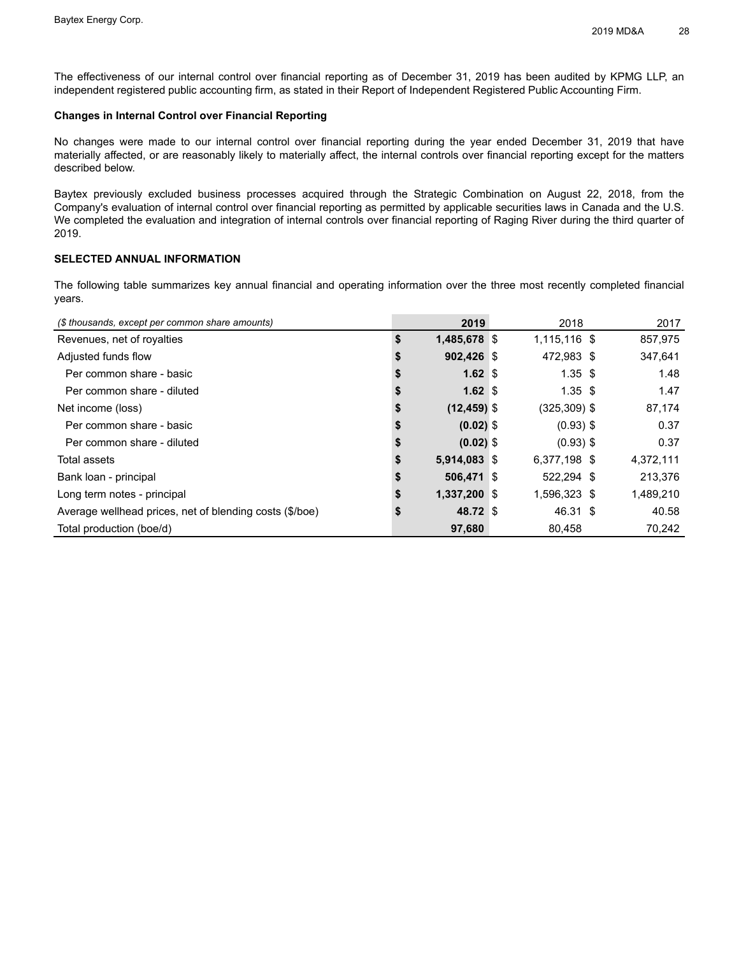The effectiveness of our internal control over financial reporting as of December 31, 2019 has been audited by KPMG LLP, an independent registered public accounting firm, as stated in their Report of Independent Registered Public Accounting Firm.

## **Changes in Internal Control over Financial Reporting**

No changes were made to our internal control over financial reporting during the year ended December 31, 2019 that have materially affected, or are reasonably likely to materially affect, the internal controls over financial reporting except for the matters described below.

Baytex previously excluded business processes acquired through the Strategic Combination on August 22, 2018, from the Company's evaluation of internal control over financial reporting as permitted by applicable securities laws in Canada and the U.S. We completed the evaluation and integration of internal controls over financial reporting of Raging River during the third quarter of 2019.

## **SELECTED ANNUAL INFORMATION**

The following table summarizes key annual financial and operating information over the three most recently completed financial years.

| (\$ thousands, except per common share amounts)         | 2019                 | 2018           | 2017      |
|---------------------------------------------------------|----------------------|----------------|-----------|
| Revenues, net of royalties                              | \$<br>1,485,678 \$   | 1,115,116 \$   | 857,975   |
| Adjusted funds flow                                     | $902,426$ \$         | 472,983 \$     | 347,641   |
| Per common share - basic                                | 1.62 $$$             | $1.35$ \$      | 1.48      |
| Per common share - diluted                              | 1.62 $$$             | $1.35$ \$      | 1.47      |
| Net income (loss)                                       | \$<br>$(12, 459)$ \$ | $(325,309)$ \$ | 87,174    |
| Per common share - basic                                | $(0.02)$ \$          | $(0.93)$ \$    | 0.37      |
| Per common share - diluted                              | $(0.02)$ \$          | $(0.93)$ \$    | 0.37      |
| Total assets                                            | 5,914,083 \$         | 6,377,198 \$   | 4,372,111 |
| Bank loan - principal                                   | $506,471$ \$         | 522,294 \$     | 213,376   |
| Long term notes - principal                             | 1,337,200 \$         | 1,596,323 \$   | 1,489,210 |
| Average wellhead prices, net of blending costs (\$/boe) | 48.72 \$             | 46.31 \$       | 40.58     |
| Total production (boe/d)                                | 97,680               | 80.458         | 70.242    |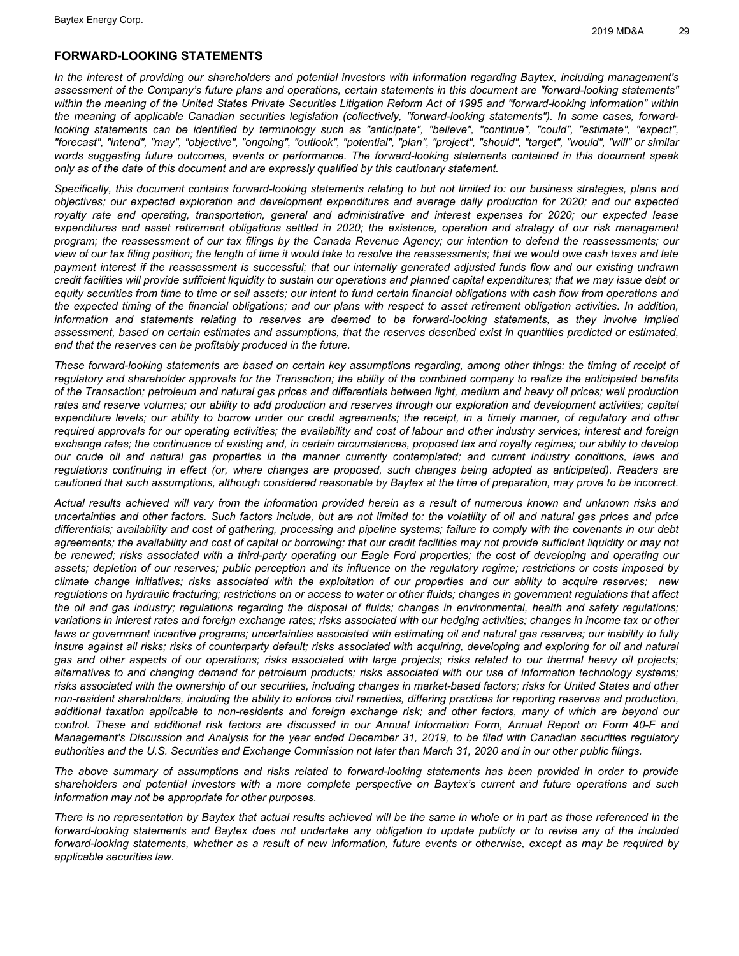## **FORWARD-LOOKING STATEMENTS**

In the interest of providing our shareholders and potential investors with information regarding Baytex, including management's assessment of the Company's future plans and operations, certain statements in this document are "forward-looking statements" within the meaning of the United States Private Securities Litigation Reform Act of 1995 and "forward-looking information" within the meaning of applicable Canadian securities legislation (collectively, "forward-looking statements"). In some cases, forwardlooking statements can be identified by terminology such as "anticipate", "believe", "continue", "could", "estimate", "expect", "forecast", "intend", "may", "objective", "ongoing", "outlook", "potential", "plan", "project", "should", "target", "would", "will" or similar words suggesting future outcomes, events or performance. The forward-looking statements contained in this document speak *only as of the date of this document and are expressly qualified by this cautionary statement.*

Specifically, this document contains forward-looking statements relating to but not limited to: our business strategies, plans and objectives; our expected exploration and development expenditures and average daily production for 2020; and our expected royalty rate and operating, transportation, general and administrative and interest expenses for 2020; our expected lease expenditures and asset retirement obligations settled in 2020; the existence, operation and strategy of our risk management program; the reassessment of our tax filings by the Canada Revenue Agency; our intention to defend the reassessments; our view of our tax filing position; the length of time it would take to resolve the reassessments; that we would owe cash taxes and late payment interest if the reassessment is successful; that our internally generated adjusted funds flow and our existing undrawn credit facilities will provide sufficient liquidity to sustain our operations and planned capital expenditures; that we may issue debt or equity securities from time to time or sell assets; our intent to fund certain financial obligations with cash flow from operations and the expected timing of the financial obligations; and our plans with respect to asset retirement obligation activities. In addition, information and statements relating to reserves are deemed to be forward-looking statements, as they involve implied assessment, based on certain estimates and assumptions, that the reserves described exist in quantities predicted or estimated, *and that the reserves can be profitably produced in the future.*

These forward-looking statements are based on certain key assumptions regarding, among other things: the timing of receipt of regulatory and shareholder approvals for the Transaction; the ability of the combined company to realize the anticipated benefits of the Transaction; petroleum and natural gas prices and differentials between light, medium and heavy oil prices; well production rates and reserve volumes; our ability to add production and reserves through our exploration and development activities; capital expenditure levels; our ability to borrow under our credit agreements; the receipt, in a timely manner, of regulatory and other required approvals for our operating activities; the availability and cost of labour and other industry services; interest and foreign exchange rates; the continuance of existing and, in certain circumstances, proposed tax and royalty regimes; our ability to develop our crude oil and natural gas properties in the manner currently contemplated; and current industry conditions, laws and regulations continuing in effect (or, where changes are proposed, such changes being adopted as anticipated). Readers are cautioned that such assumptions, although considered reasonable by Baytex at the time of preparation, may prove to be incorrect.

Actual results achieved will vary from the information provided herein as a result of numerous known and unknown risks and uncertainties and other factors. Such factors include, but are not limited to: the volatility of oil and natural gas prices and price differentials; availability and cost of gathering, processing and pipeline systems; failure to comply with the covenants in our debt agreements; the availability and cost of capital or borrowing; that our credit facilities may not provide sufficient liquidity or may not be renewed; risks associated with a third-party operating our Eagle Ford properties; the cost of developing and operating our assets; depletion of our reserves; public perception and its influence on the regulatory regime; restrictions or costs imposed by climate change initiatives; risks associated with the exploitation of our properties and our ability to acquire reserves; new regulations on hydraulic fracturing; restrictions on or access to water or other fluids; changes in government regulations that affect the oil and gas industry; regulations regarding the disposal of fluids; changes in environmental, health and safety regulations; variations in interest rates and foreign exchange rates; risks associated with our hedging activities; changes in income tax or other laws or government incentive programs; uncertainties associated with estimating oil and natural gas reserves; our inability to fully insure against all risks; risks of counterparty default; risks associated with acquiring, developing and exploring for oil and natural gas and other aspects of our operations; risks associated with large projects; risks related to our thermal heavy oil projects; alternatives to and changing demand for petroleum products; risks associated with our use of information technology systems; risks associated with the ownership of our securities, including changes in market-based factors; risks for United States and other non-resident shareholders, including the ability to enforce civil remedies, differing practices for reporting reserves and production, additional taxation applicable to non-residents and foreign exchange risk; and other factors, many of which are beyond our control. These and additional risk factors are discussed in our Annual Information Form, Annual Report on Form 40-F and Management's Discussion and Analysis for the year ended December 31, 2019, to be filed with Canadian securities regulatory authorities and the U.S. Securities and Exchange Commission not later than March 31, 2020 and in our other public filings.

The above summary of assumptions and risks related to forward-looking statements has been provided in order to provide shareholders and potential investors with a more complete perspective on Baytex's current and future operations and such *information may not be appropriate for other purposes.*

There is no representation by Baytex that actual results achieved will be the same in whole or in part as those referenced in the forward-looking statements and Baytex does not undertake any obligation to update publicly or to revise any of the included forward-looking statements, whether as a result of new information, future events or otherwise, except as may be required by *applicable securities law.*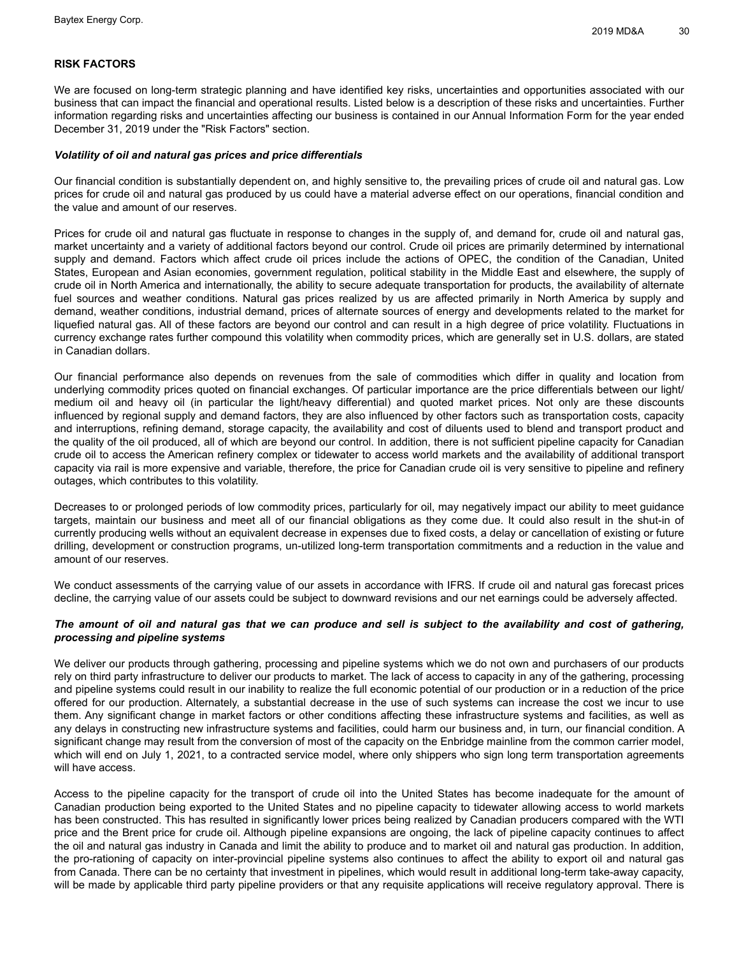## **RISK FACTORS**

We are focused on long-term strategic planning and have identified key risks, uncertainties and opportunities associated with our business that can impact the financial and operational results. Listed below is a description of these risks and uncertainties. Further information regarding risks and uncertainties affecting our business is contained in our Annual Information Form for the year ended December 31, 2019 under the "Risk Factors" section.

#### *Volatility of oil and natural gas prices and price differentials*

Our financial condition is substantially dependent on, and highly sensitive to, the prevailing prices of crude oil and natural gas. Low prices for crude oil and natural gas produced by us could have a material adverse effect on our operations, financial condition and the value and amount of our reserves.

Prices for crude oil and natural gas fluctuate in response to changes in the supply of, and demand for, crude oil and natural gas, market uncertainty and a variety of additional factors beyond our control. Crude oil prices are primarily determined by international supply and demand. Factors which affect crude oil prices include the actions of OPEC, the condition of the Canadian, United States, European and Asian economies, government regulation, political stability in the Middle East and elsewhere, the supply of crude oil in North America and internationally, the ability to secure adequate transportation for products, the availability of alternate fuel sources and weather conditions. Natural gas prices realized by us are affected primarily in North America by supply and demand, weather conditions, industrial demand, prices of alternate sources of energy and developments related to the market for liquefied natural gas. All of these factors are beyond our control and can result in a high degree of price volatility. Fluctuations in currency exchange rates further compound this volatility when commodity prices, which are generally set in U.S. dollars, are stated in Canadian dollars.

Our financial performance also depends on revenues from the sale of commodities which differ in quality and location from underlying commodity prices quoted on financial exchanges. Of particular importance are the price differentials between our light/ medium oil and heavy oil (in particular the light/heavy differential) and quoted market prices. Not only are these discounts influenced by regional supply and demand factors, they are also influenced by other factors such as transportation costs, capacity and interruptions, refining demand, storage capacity, the availability and cost of diluents used to blend and transport product and the quality of the oil produced, all of which are beyond our control. In addition, there is not sufficient pipeline capacity for Canadian crude oil to access the American refinery complex or tidewater to access world markets and the availability of additional transport capacity via rail is more expensive and variable, therefore, the price for Canadian crude oil is very sensitive to pipeline and refinery outages, which contributes to this volatility.

Decreases to or prolonged periods of low commodity prices, particularly for oil, may negatively impact our ability to meet guidance targets, maintain our business and meet all of our financial obligations as they come due. It could also result in the shut-in of currently producing wells without an equivalent decrease in expenses due to fixed costs, a delay or cancellation of existing or future drilling, development or construction programs, un-utilized long-term transportation commitments and a reduction in the value and amount of our reserves.

We conduct assessments of the carrying value of our assets in accordance with IFRS. If crude oil and natural gas forecast prices decline, the carrying value of our assets could be subject to downward revisions and our net earnings could be adversely affected.

## The amount of oil and natural gas that we can produce and sell is subject to the availability and cost of gathering, *processing and pipeline systems*

We deliver our products through gathering, processing and pipeline systems which we do not own and purchasers of our products rely on third party infrastructure to deliver our products to market. The lack of access to capacity in any of the gathering, processing and pipeline systems could result in our inability to realize the full economic potential of our production or in a reduction of the price offered for our production. Alternately, a substantial decrease in the use of such systems can increase the cost we incur to use them. Any significant change in market factors or other conditions affecting these infrastructure systems and facilities, as well as any delays in constructing new infrastructure systems and facilities, could harm our business and, in turn, our financial condition. A significant change may result from the conversion of most of the capacity on the Enbridge mainline from the common carrier model, which will end on July 1, 2021, to a contracted service model, where only shippers who sign long term transportation agreements will have access.

Access to the pipeline capacity for the transport of crude oil into the United States has become inadequate for the amount of Canadian production being exported to the United States and no pipeline capacity to tidewater allowing access to world markets has been constructed. This has resulted in significantly lower prices being realized by Canadian producers compared with the WTI price and the Brent price for crude oil. Although pipeline expansions are ongoing, the lack of pipeline capacity continues to affect the oil and natural gas industry in Canada and limit the ability to produce and to market oil and natural gas production. In addition, the pro-rationing of capacity on inter-provincial pipeline systems also continues to affect the ability to export oil and natural gas from Canada. There can be no certainty that investment in pipelines, which would result in additional long-term take-away capacity, will be made by applicable third party pipeline providers or that any requisite applications will receive regulatory approval. There is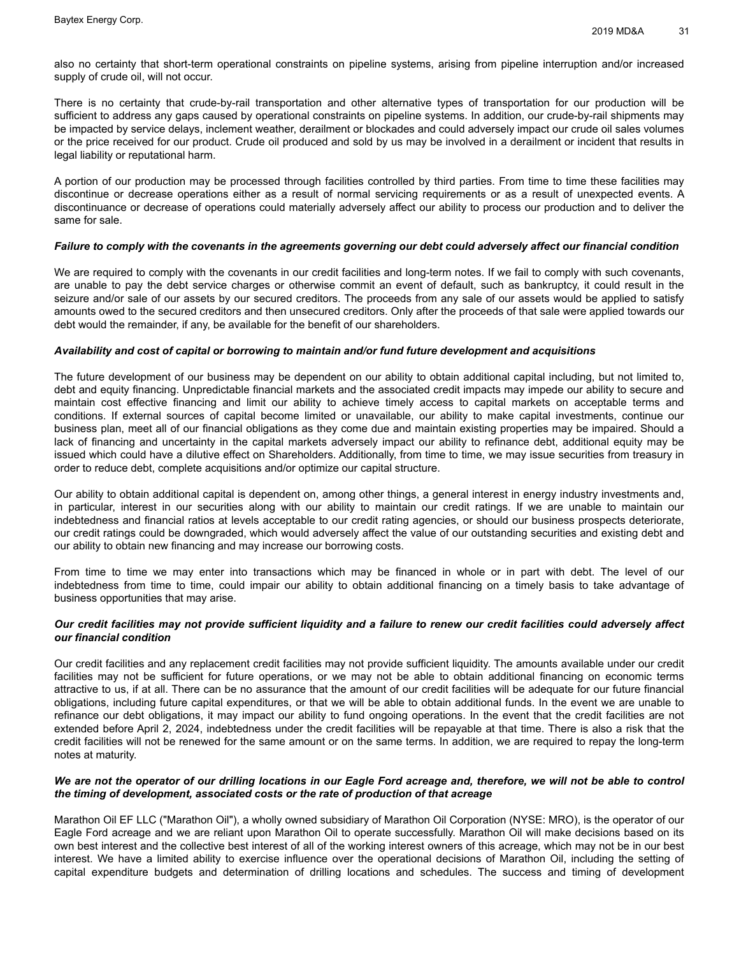also no certainty that short-term operational constraints on pipeline systems, arising from pipeline interruption and/or increased supply of crude oil, will not occur.

There is no certainty that crude-by-rail transportation and other alternative types of transportation for our production will be sufficient to address any gaps caused by operational constraints on pipeline systems. In addition, our crude-by-rail shipments may be impacted by service delays, inclement weather, derailment or blockades and could adversely impact our crude oil sales volumes or the price received for our product. Crude oil produced and sold by us may be involved in a derailment or incident that results in legal liability or reputational harm.

A portion of our production may be processed through facilities controlled by third parties. From time to time these facilities may discontinue or decrease operations either as a result of normal servicing requirements or as a result of unexpected events. A discontinuance or decrease of operations could materially adversely affect our ability to process our production and to deliver the same for sale.

## Failure to comply with the covenants in the agreements governing our debt could adversely affect our financial condition

We are required to comply with the covenants in our credit facilities and long-term notes. If we fail to comply with such covenants, are unable to pay the debt service charges or otherwise commit an event of default, such as bankruptcy, it could result in the seizure and/or sale of our assets by our secured creditors. The proceeds from any sale of our assets would be applied to satisfy amounts owed to the secured creditors and then unsecured creditors. Only after the proceeds of that sale were applied towards our debt would the remainder, if any, be available for the benefit of our shareholders.

## *Availability and cost of capital or borrowing to maintain and/or fund future development and acquisitions*

The future development of our business may be dependent on our ability to obtain additional capital including, but not limited to, debt and equity financing. Unpredictable financial markets and the associated credit impacts may impede our ability to secure and maintain cost effective financing and limit our ability to achieve timely access to capital markets on acceptable terms and conditions. If external sources of capital become limited or unavailable, our ability to make capital investments, continue our business plan, meet all of our financial obligations as they come due and maintain existing properties may be impaired. Should a lack of financing and uncertainty in the capital markets adversely impact our ability to refinance debt, additional equity may be issued which could have a dilutive effect on Shareholders. Additionally, from time to time, we may issue securities from treasury in order to reduce debt, complete acquisitions and/or optimize our capital structure.

Our ability to obtain additional capital is dependent on, among other things, a general interest in energy industry investments and, in particular, interest in our securities along with our ability to maintain our credit ratings. If we are unable to maintain our indebtedness and financial ratios at levels acceptable to our credit rating agencies, or should our business prospects deteriorate, our credit ratings could be downgraded, which would adversely affect the value of our outstanding securities and existing debt and our ability to obtain new financing and may increase our borrowing costs.

From time to time we may enter into transactions which may be financed in whole or in part with debt. The level of our indebtedness from time to time, could impair our ability to obtain additional financing on a timely basis to take advantage of business opportunities that may arise.

## Our credit facilities may not provide sufficient liquidity and a failure to renew our credit facilities could adversely affect *our financial condition*

Our credit facilities and any replacement credit facilities may not provide sufficient liquidity. The amounts available under our credit facilities may not be sufficient for future operations, or we may not be able to obtain additional financing on economic terms attractive to us, if at all. There can be no assurance that the amount of our credit facilities will be adequate for our future financial obligations, including future capital expenditures, or that we will be able to obtain additional funds. In the event we are unable to refinance our debt obligations, it may impact our ability to fund ongoing operations. In the event that the credit facilities are not extended before April 2, 2024, indebtedness under the credit facilities will be repayable at that time. There is also a risk that the credit facilities will not be renewed for the same amount or on the same terms. In addition, we are required to repay the long-term notes at maturity.

## We are not the operator of our drilling locations in our Eagle Ford acreage and, therefore, we will not be able to control *the timing of development, associated costs or the rate of production of that acreage*

Marathon Oil EF LLC ("Marathon Oil"), a wholly owned subsidiary of Marathon Oil Corporation (NYSE: MRO), is the operator of our Eagle Ford acreage and we are reliant upon Marathon Oil to operate successfully. Marathon Oil will make decisions based on its own best interest and the collective best interest of all of the working interest owners of this acreage, which may not be in our best interest. We have a limited ability to exercise influence over the operational decisions of Marathon Oil, including the setting of capital expenditure budgets and determination of drilling locations and schedules. The success and timing of development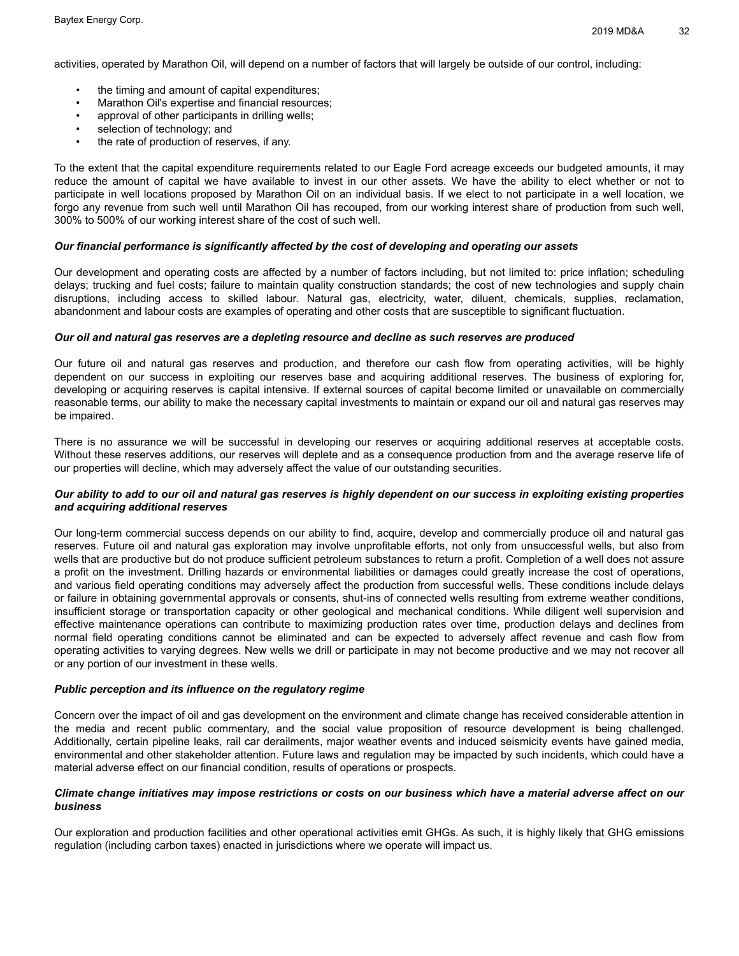activities, operated by Marathon Oil, will depend on a number of factors that will largely be outside of our control, including:

- the timing and amount of capital expenditures;
- Marathon Oil's expertise and financial resources;
- approval of other participants in drilling wells;
- selection of technology; and
- the rate of production of reserves, if any.

To the extent that the capital expenditure requirements related to our Eagle Ford acreage exceeds our budgeted amounts, it may reduce the amount of capital we have available to invest in our other assets. We have the ability to elect whether or not to participate in well locations proposed by Marathon Oil on an individual basis. If we elect to not participate in a well location, we forgo any revenue from such well until Marathon Oil has recouped, from our working interest share of production from such well, 300% to 500% of our working interest share of the cost of such well.

## *Our financial performance is significantly affected by the cost of developing and operating our assets*

Our development and operating costs are affected by a number of factors including, but not limited to: price inflation; scheduling delays; trucking and fuel costs; failure to maintain quality construction standards; the cost of new technologies and supply chain disruptions, including access to skilled labour. Natural gas, electricity, water, diluent, chemicals, supplies, reclamation, abandonment and labour costs are examples of operating and other costs that are susceptible to significant fluctuation.

#### *Our oil and natural gas reserves are a depleting resource and decline as such reserves are produced*

Our future oil and natural gas reserves and production, and therefore our cash flow from operating activities, will be highly dependent on our success in exploiting our reserves base and acquiring additional reserves. The business of exploring for, developing or acquiring reserves is capital intensive. If external sources of capital become limited or unavailable on commercially reasonable terms, our ability to make the necessary capital investments to maintain or expand our oil and natural gas reserves may be impaired.

There is no assurance we will be successful in developing our reserves or acquiring additional reserves at acceptable costs. Without these reserves additions, our reserves will deplete and as a consequence production from and the average reserve life of our properties will decline, which may adversely affect the value of our outstanding securities.

## Our ability to add to our oil and natural gas reserves is highly dependent on our success in exploiting existing properties *and acquiring additional reserves*

Our long-term commercial success depends on our ability to find, acquire, develop and commercially produce oil and natural gas reserves. Future oil and natural gas exploration may involve unprofitable efforts, not only from unsuccessful wells, but also from wells that are productive but do not produce sufficient petroleum substances to return a profit. Completion of a well does not assure a profit on the investment. Drilling hazards or environmental liabilities or damages could greatly increase the cost of operations, and various field operating conditions may adversely affect the production from successful wells. These conditions include delays or failure in obtaining governmental approvals or consents, shut-ins of connected wells resulting from extreme weather conditions, insufficient storage or transportation capacity or other geological and mechanical conditions. While diligent well supervision and effective maintenance operations can contribute to maximizing production rates over time, production delays and declines from normal field operating conditions cannot be eliminated and can be expected to adversely affect revenue and cash flow from operating activities to varying degrees. New wells we drill or participate in may not become productive and we may not recover all or any portion of our investment in these wells.

#### *Public perception and its influence on the regulatory regime*

Concern over the impact of oil and gas development on the environment and climate change has received considerable attention in the media and recent public commentary, and the social value proposition of resource development is being challenged. Additionally, certain pipeline leaks, rail car derailments, major weather events and induced seismicity events have gained media, environmental and other stakeholder attention. Future laws and regulation may be impacted by such incidents, which could have a material adverse effect on our financial condition, results of operations or prospects.

## Climate change initiatives may impose restrictions or costs on our business which have a material adverse affect on our *business*

Our exploration and production facilities and other operational activities emit GHGs. As such, it is highly likely that GHG emissions regulation (including carbon taxes) enacted in jurisdictions where we operate will impact us.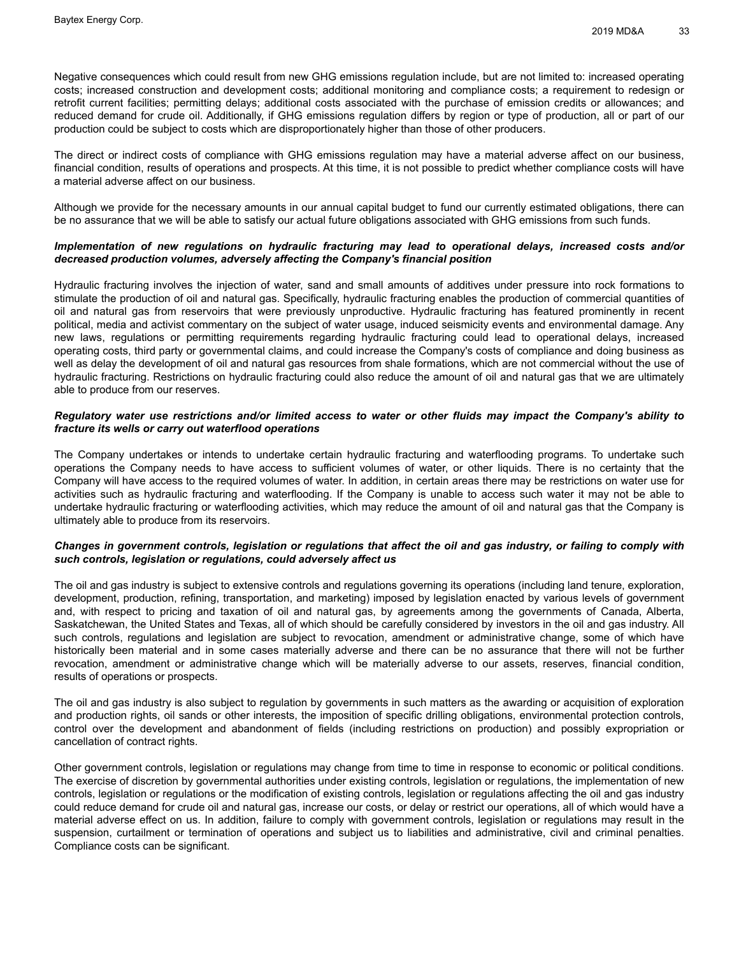Negative consequences which could result from new GHG emissions regulation include, but are not limited to: increased operating costs; increased construction and development costs; additional monitoring and compliance costs; a requirement to redesign or retrofit current facilities; permitting delays; additional costs associated with the purchase of emission credits or allowances; and reduced demand for crude oil. Additionally, if GHG emissions regulation differs by region or type of production, all or part of our production could be subject to costs which are disproportionately higher than those of other producers.

The direct or indirect costs of compliance with GHG emissions regulation may have a material adverse affect on our business, financial condition, results of operations and prospects. At this time, it is not possible to predict whether compliance costs will have a material adverse affect on our business.

Although we provide for the necessary amounts in our annual capital budget to fund our currently estimated obligations, there can be no assurance that we will be able to satisfy our actual future obligations associated with GHG emissions from such funds.

## *Implementation of new regulations on hydraulic fracturing may lead to operational delays, increased costs and/or decreased production volumes, adversely affecting the Company's financial position*

Hydraulic fracturing involves the injection of water, sand and small amounts of additives under pressure into rock formations to stimulate the production of oil and natural gas. Specifically, hydraulic fracturing enables the production of commercial quantities of oil and natural gas from reservoirs that were previously unproductive. Hydraulic fracturing has featured prominently in recent political, media and activist commentary on the subject of water usage, induced seismicity events and environmental damage. Any new laws, regulations or permitting requirements regarding hydraulic fracturing could lead to operational delays, increased operating costs, third party or governmental claims, and could increase the Company's costs of compliance and doing business as well as delay the development of oil and natural gas resources from shale formations, which are not commercial without the use of hydraulic fracturing. Restrictions on hydraulic fracturing could also reduce the amount of oil and natural gas that we are ultimately able to produce from our reserves.

## Regulatory water use restrictions and/or limited access to water or other fluids may impact the Company's ability to *fracture its wells or carry out waterflood operations*

The Company undertakes or intends to undertake certain hydraulic fracturing and waterflooding programs. To undertake such operations the Company needs to have access to sufficient volumes of water, or other liquids. There is no certainty that the Company will have access to the required volumes of water. In addition, in certain areas there may be restrictions on water use for activities such as hydraulic fracturing and waterflooding. If the Company is unable to access such water it may not be able to undertake hydraulic fracturing or waterflooding activities, which may reduce the amount of oil and natural gas that the Company is ultimately able to produce from its reservoirs.

## Changes in government controls, legislation or regulations that affect the oil and gas industry, or failing to comply with *such controls, legislation or regulations, could adversely affect us*

The oil and gas industry is subject to extensive controls and regulations governing its operations (including land tenure, exploration, development, production, refining, transportation, and marketing) imposed by legislation enacted by various levels of government and, with respect to pricing and taxation of oil and natural gas, by agreements among the governments of Canada, Alberta, Saskatchewan, the United States and Texas, all of which should be carefully considered by investors in the oil and gas industry. All such controls, regulations and legislation are subject to revocation, amendment or administrative change, some of which have historically been material and in some cases materially adverse and there can be no assurance that there will not be further revocation, amendment or administrative change which will be materially adverse to our assets, reserves, financial condition, results of operations or prospects.

The oil and gas industry is also subject to regulation by governments in such matters as the awarding or acquisition of exploration and production rights, oil sands or other interests, the imposition of specific drilling obligations, environmental protection controls, control over the development and abandonment of fields (including restrictions on production) and possibly expropriation or cancellation of contract rights.

Other government controls, legislation or regulations may change from time to time in response to economic or political conditions. The exercise of discretion by governmental authorities under existing controls, legislation or regulations, the implementation of new controls, legislation or regulations or the modification of existing controls, legislation or regulations affecting the oil and gas industry could reduce demand for crude oil and natural gas, increase our costs, or delay or restrict our operations, all of which would have a material adverse effect on us. In addition, failure to comply with government controls, legislation or regulations may result in the suspension, curtailment or termination of operations and subject us to liabilities and administrative, civil and criminal penalties. Compliance costs can be significant.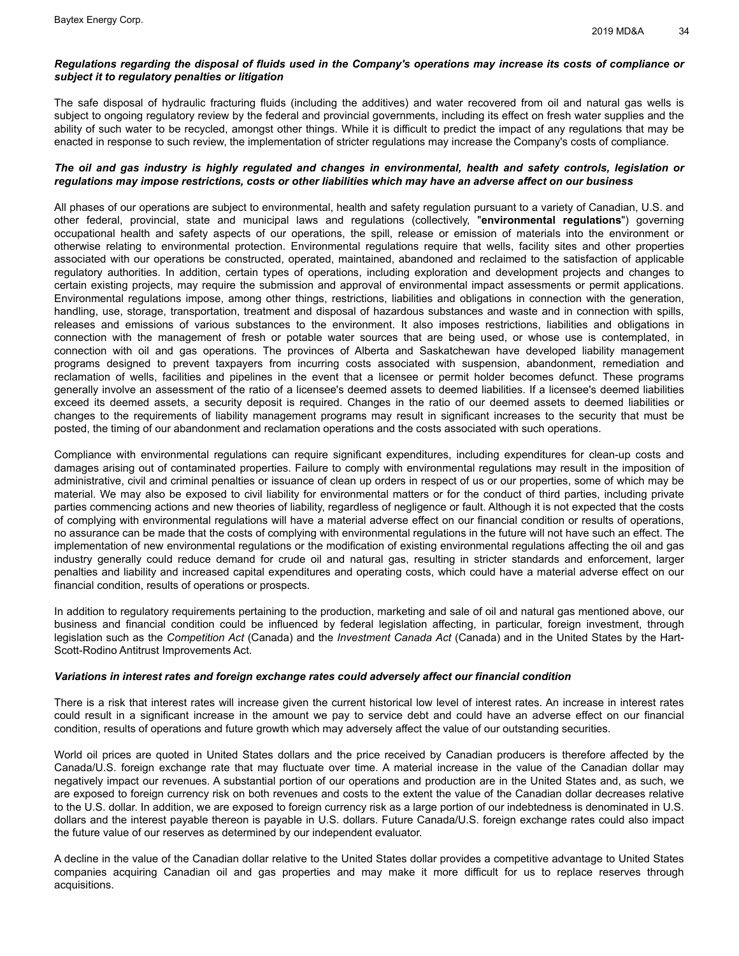## Regulations regarding the disposal of fluids used in the Company's operations may increase its costs of compliance or *subject it to regulatory penalties or litigation*

The safe disposal of hydraulic fracturing fluids (including the additives) and water recovered from oil and natural gas wells is subject to ongoing regulatory review by the federal and provincial governments, including its effect on fresh water supplies and the ability of such water to be recycled, amongst other things. While it is difficult to predict the impact of any regulations that may be enacted in response to such review, the implementation of stricter regulations may increase the Company's costs of compliance.

## The oil and gas industry is highly regulated and changes in environmental, health and safety controls, legislation or regulations may impose restrictions, costs or other liabilities which may have an adverse affect on our business

All phases of our operations are subject to environmental, health and safety regulation pursuant to a variety of Canadian, U.S. and other federal, provincial, state and municipal laws and regulations (collectively, "**environmental regulations**") governing occupational health and safety aspects of our operations, the spill, release or emission of materials into the environment or otherwise relating to environmental protection. Environmental regulations require that wells, facility sites and other properties associated with our operations be constructed, operated, maintained, abandoned and reclaimed to the satisfaction of applicable regulatory authorities. In addition, certain types of operations, including exploration and development projects and changes to certain existing projects, may require the submission and approval of environmental impact assessments or permit applications. Environmental regulations impose, among other things, restrictions, liabilities and obligations in connection with the generation, handling, use, storage, transportation, treatment and disposal of hazardous substances and waste and in connection with spills, releases and emissions of various substances to the environment. It also imposes restrictions, liabilities and obligations in connection with the management of fresh or potable water sources that are being used, or whose use is contemplated, in connection with oil and gas operations. The provinces of Alberta and Saskatchewan have developed liability management programs designed to prevent taxpayers from incurring costs associated with suspension, abandonment, remediation and reclamation of wells, facilities and pipelines in the event that a licensee or permit holder becomes defunct. These programs generally involve an assessment of the ratio of a licensee's deemed assets to deemed liabilities. If a licensee's deemed liabilities exceed its deemed assets, a security deposit is required. Changes in the ratio of our deemed assets to deemed liabilities or changes to the requirements of liability management programs may result in significant increases to the security that must be posted, the timing of our abandonment and reclamation operations and the costs associated with such operations.

Compliance with environmental regulations can require significant expenditures, including expenditures for clean-up costs and damages arising out of contaminated properties. Failure to comply with environmental regulations may result in the imposition of administrative, civil and criminal penalties or issuance of clean up orders in respect of us or our properties, some of which may be material. We may also be exposed to civil liability for environmental matters or for the conduct of third parties, including private parties commencing actions and new theories of liability, regardless of negligence or fault. Although it is not expected that the costs of complying with environmental regulations will have a material adverse effect on our financial condition or results of operations, no assurance can be made that the costs of complying with environmental regulations in the future will not have such an effect. The implementation of new environmental regulations or the modification of existing environmental regulations affecting the oil and gas industry generally could reduce demand for crude oil and natural gas, resulting in stricter standards and enforcement, larger penalties and liability and increased capital expenditures and operating costs, which could have a material adverse effect on our financial condition, results of operations or prospects.

In addition to regulatory requirements pertaining to the production, marketing and sale of oil and natural gas mentioned above, our business and financial condition could be influenced by federal legislation affecting, in particular, foreign investment, through legislation such as the *Competition Act* (Canada) and the *Investment Canada Act* (Canada) and in the United States by the Hart-Scott-Rodino Antitrust Improvements Act.

#### *Variations in interest rates and foreign exchange rates could adversely affect our financial condition*

There is a risk that interest rates will increase given the current historical low level of interest rates. An increase in interest rates could result in a significant increase in the amount we pay to service debt and could have an adverse effect on our financial condition, results of operations and future growth which may adversely affect the value of our outstanding securities.

World oil prices are quoted in United States dollars and the price received by Canadian producers is therefore affected by the Canada/U.S. foreign exchange rate that may fluctuate over time. A material increase in the value of the Canadian dollar may negatively impact our revenues. A substantial portion of our operations and production are in the United States and, as such, we are exposed to foreign currency risk on both revenues and costs to the extent the value of the Canadian dollar decreases relative to the U.S. dollar. In addition, we are exposed to foreign currency risk as a large portion of our indebtedness is denominated in U.S. dollars and the interest payable thereon is payable in U.S. dollars. Future Canada/U.S. foreign exchange rates could also impact the future value of our reserves as determined by our independent evaluator.

A decline in the value of the Canadian dollar relative to the United States dollar provides a competitive advantage to United States companies acquiring Canadian oil and gas properties and may make it more difficult for us to replace reserves through acquisitions.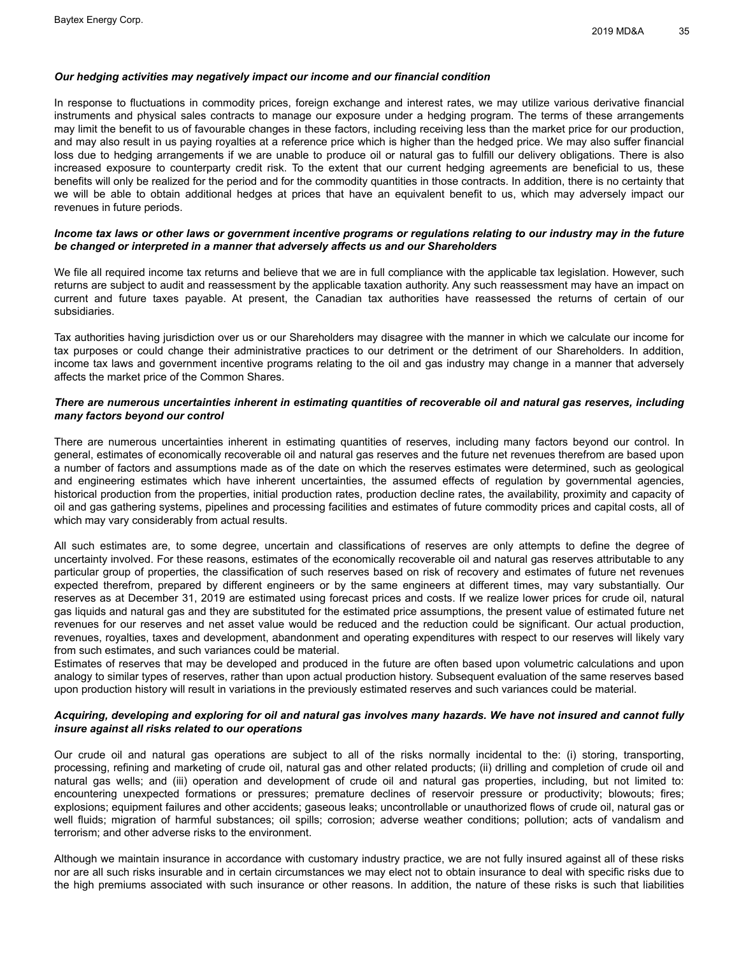## *Our hedging activities may negatively impact our income and our financial condition*

In response to fluctuations in commodity prices, foreign exchange and interest rates, we may utilize various derivative financial instruments and physical sales contracts to manage our exposure under a hedging program. The terms of these arrangements may limit the benefit to us of favourable changes in these factors, including receiving less than the market price for our production, and may also result in us paying royalties at a reference price which is higher than the hedged price. We may also suffer financial loss due to hedging arrangements if we are unable to produce oil or natural gas to fulfill our delivery obligations. There is also increased exposure to counterparty credit risk. To the extent that our current hedging agreements are beneficial to us, these benefits will only be realized for the period and for the commodity quantities in those contracts. In addition, there is no certainty that we will be able to obtain additional hedges at prices that have an equivalent benefit to us, which may adversely impact our revenues in future periods.

## Income tax laws or other laws or government incentive programs or regulations relating to our industry may in the future *be changed or interpreted in a manner that adversely affects us and our Shareholders*

We file all required income tax returns and believe that we are in full compliance with the applicable tax legislation. However, such returns are subject to audit and reassessment by the applicable taxation authority. Any such reassessment may have an impact on current and future taxes payable. At present, the Canadian tax authorities have reassessed the returns of certain of our subsidiaries.

Tax authorities having jurisdiction over us or our Shareholders may disagree with the manner in which we calculate our income for tax purposes or could change their administrative practices to our detriment or the detriment of our Shareholders. In addition, income tax laws and government incentive programs relating to the oil and gas industry may change in a manner that adversely affects the market price of the Common Shares.

## There are numerous uncertainties inherent in estimating quantities of recoverable oil and natural gas reserves, including *many factors beyond our control*

There are numerous uncertainties inherent in estimating quantities of reserves, including many factors beyond our control. In general, estimates of economically recoverable oil and natural gas reserves and the future net revenues therefrom are based upon a number of factors and assumptions made as of the date on which the reserves estimates were determined, such as geological and engineering estimates which have inherent uncertainties, the assumed effects of regulation by governmental agencies, historical production from the properties, initial production rates, production decline rates, the availability, proximity and capacity of oil and gas gathering systems, pipelines and processing facilities and estimates of future commodity prices and capital costs, all of which may vary considerably from actual results.

All such estimates are, to some degree, uncertain and classifications of reserves are only attempts to define the degree of uncertainty involved. For these reasons, estimates of the economically recoverable oil and natural gas reserves attributable to any particular group of properties, the classification of such reserves based on risk of recovery and estimates of future net revenues expected therefrom, prepared by different engineers or by the same engineers at different times, may vary substantially. Our reserves as at December 31, 2019 are estimated using forecast prices and costs. If we realize lower prices for crude oil, natural gas liquids and natural gas and they are substituted for the estimated price assumptions, the present value of estimated future net revenues for our reserves and net asset value would be reduced and the reduction could be significant. Our actual production, revenues, royalties, taxes and development, abandonment and operating expenditures with respect to our reserves will likely vary from such estimates, and such variances could be material.

Estimates of reserves that may be developed and produced in the future are often based upon volumetric calculations and upon analogy to similar types of reserves, rather than upon actual production history. Subsequent evaluation of the same reserves based upon production history will result in variations in the previously estimated reserves and such variances could be material.

## Acquiring, developing and exploring for oil and natural gas involves many hazards. We have not insured and cannot fully *insure against all risks related to our operations*

Our crude oil and natural gas operations are subject to all of the risks normally incidental to the: (i) storing, transporting, processing, refining and marketing of crude oil, natural gas and other related products; (ii) drilling and completion of crude oil and natural gas wells; and (iii) operation and development of crude oil and natural gas properties, including, but not limited to: encountering unexpected formations or pressures; premature declines of reservoir pressure or productivity; blowouts; fires; explosions; equipment failures and other accidents; gaseous leaks; uncontrollable or unauthorized flows of crude oil, natural gas or well fluids; migration of harmful substances; oil spills; corrosion; adverse weather conditions; pollution; acts of vandalism and terrorism; and other adverse risks to the environment.

Although we maintain insurance in accordance with customary industry practice, we are not fully insured against all of these risks nor are all such risks insurable and in certain circumstances we may elect not to obtain insurance to deal with specific risks due to the high premiums associated with such insurance or other reasons. In addition, the nature of these risks is such that liabilities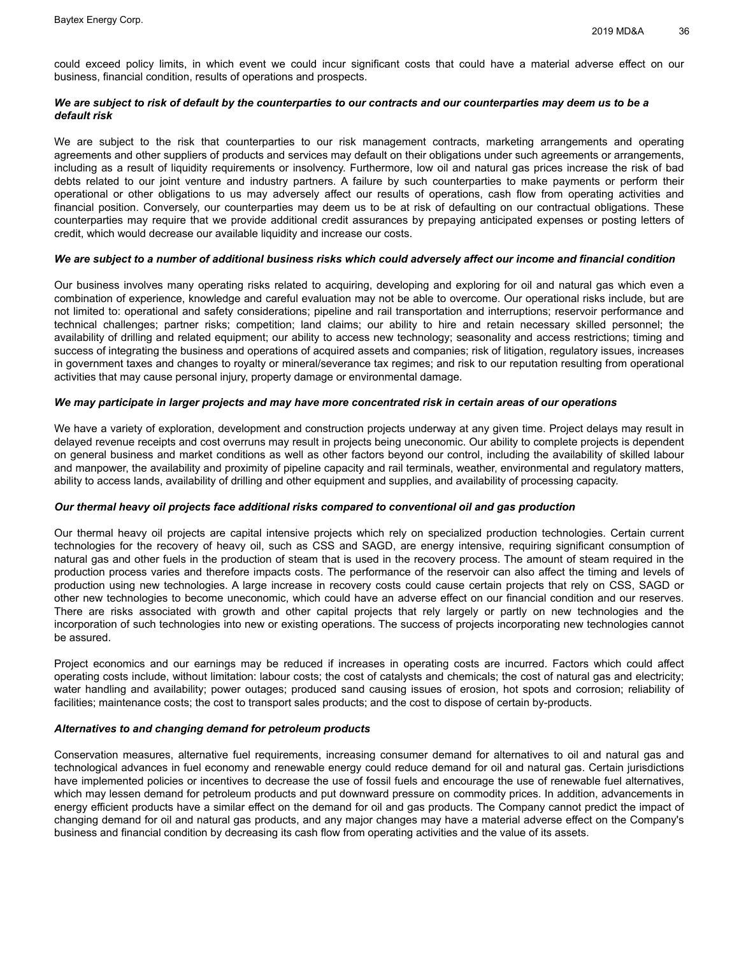could exceed policy limits, in which event we could incur significant costs that could have a material adverse effect on our business, financial condition, results of operations and prospects.

## *We are subject to risk of default by the counterparties to our contracts and our counterparties may deem us to be a default risk*

We are subject to the risk that counterparties to our risk management contracts, marketing arrangements and operating agreements and other suppliers of products and services may default on their obligations under such agreements or arrangements, including as a result of liquidity requirements or insolvency. Furthermore, low oil and natural gas prices increase the risk of bad debts related to our joint venture and industry partners. A failure by such counterparties to make payments or perform their operational or other obligations to us may adversely affect our results of operations, cash flow from operating activities and financial position. Conversely, our counterparties may deem us to be at risk of defaulting on our contractual obligations. These counterparties may require that we provide additional credit assurances by prepaying anticipated expenses or posting letters of credit, which would decrease our available liquidity and increase our costs.

#### We are subject to a number of additional business risks which could adversely affect our income and financial condition

Our business involves many operating risks related to acquiring, developing and exploring for oil and natural gas which even a combination of experience, knowledge and careful evaluation may not be able to overcome. Our operational risks include, but are not limited to: operational and safety considerations; pipeline and rail transportation and interruptions; reservoir performance and technical challenges; partner risks; competition; land claims; our ability to hire and retain necessary skilled personnel; the availability of drilling and related equipment; our ability to access new technology; seasonality and access restrictions; timing and success of integrating the business and operations of acquired assets and companies; risk of litigation, regulatory issues, increases in government taxes and changes to royalty or mineral/severance tax regimes; and risk to our reputation resulting from operational activities that may cause personal injury, property damage or environmental damage.

## We may participate in larger projects and may have more concentrated risk in certain areas of our operations

We have a variety of exploration, development and construction projects underway at any given time. Project delays may result in delayed revenue receipts and cost overruns may result in projects being uneconomic. Our ability to complete projects is dependent on general business and market conditions as well as other factors beyond our control, including the availability of skilled labour and manpower, the availability and proximity of pipeline capacity and rail terminals, weather, environmental and regulatory matters, ability to access lands, availability of drilling and other equipment and supplies, and availability of processing capacity.

#### *Our thermal heavy oil projects face additional risks compared to conventional oil and gas production*

Our thermal heavy oil projects are capital intensive projects which rely on specialized production technologies. Certain current technologies for the recovery of heavy oil, such as CSS and SAGD, are energy intensive, requiring significant consumption of natural gas and other fuels in the production of steam that is used in the recovery process. The amount of steam required in the production process varies and therefore impacts costs. The performance of the reservoir can also affect the timing and levels of production using new technologies. A large increase in recovery costs could cause certain projects that rely on CSS, SAGD or other new technologies to become uneconomic, which could have an adverse effect on our financial condition and our reserves. There are risks associated with growth and other capital projects that rely largely or partly on new technologies and the incorporation of such technologies into new or existing operations. The success of projects incorporating new technologies cannot be assured.

Project economics and our earnings may be reduced if increases in operating costs are incurred. Factors which could affect operating costs include, without limitation: labour costs; the cost of catalysts and chemicals; the cost of natural gas and electricity; water handling and availability; power outages; produced sand causing issues of erosion, hot spots and corrosion; reliability of facilities; maintenance costs; the cost to transport sales products; and the cost to dispose of certain by-products.

#### *Alternatives to and changing demand for petroleum products*

Conservation measures, alternative fuel requirements, increasing consumer demand for alternatives to oil and natural gas and technological advances in fuel economy and renewable energy could reduce demand for oil and natural gas. Certain jurisdictions have implemented policies or incentives to decrease the use of fossil fuels and encourage the use of renewable fuel alternatives, which may lessen demand for petroleum products and put downward pressure on commodity prices. In addition, advancements in energy efficient products have a similar effect on the demand for oil and gas products. The Company cannot predict the impact of changing demand for oil and natural gas products, and any major changes may have a material adverse effect on the Company's business and financial condition by decreasing its cash flow from operating activities and the value of its assets.